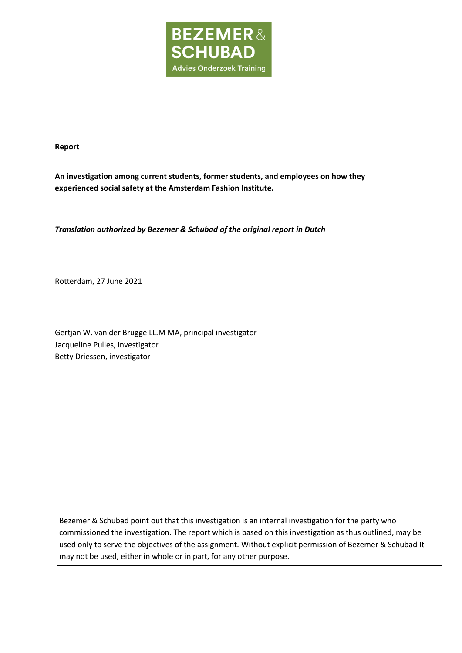

**Report**

**An investigation among current students, former students, and employees on how they experienced social safety at the Amsterdam Fashion Institute.**

*Translation authorized by Bezemer & Schubad of the original report in Dutch*

Rotterdam, 27 June 2021

Gertjan W. van der Brugge LL.M MA, principal investigator Jacqueline Pulles, investigator Betty Driessen, investigator

Bezemer & Schubad point out that this investigation is an internal investigation for the party who commissioned the investigation. The report which is based on this investigation as thus outlined, may be used only to serve the objectives of the assignment. Without explicit permission of Bezemer & Schubad It may not be used, either in whole or in part, for any other purpose.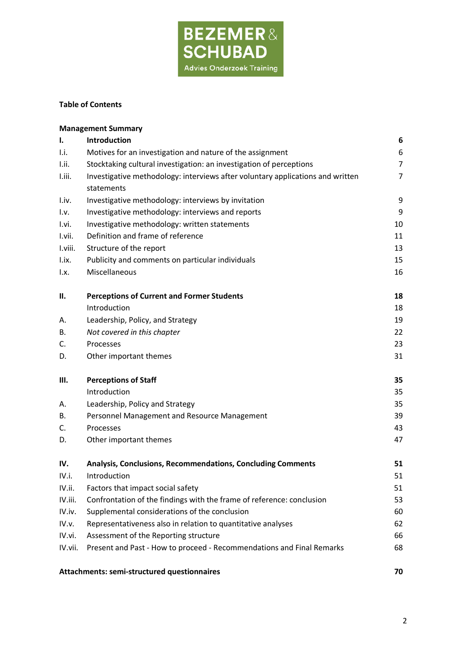

## **Table of Contents**

|                           | <b>Management Summary</b>                                                      |                |
|---------------------------|--------------------------------------------------------------------------------|----------------|
| ı.                        | Introduction                                                                   | 6              |
| Li.                       | Motives for an investigation and nature of the assignment                      | 6              |
| I.ii.                     | Stocktaking cultural investigation: an investigation of perceptions            | $\overline{7}$ |
| I.iii.                    | Investigative methodology: interviews after voluntary applications and written | 7              |
|                           | statements                                                                     |                |
| I.iv.                     | Investigative methodology: interviews by invitation                            | 9              |
| 1.9.                      | Investigative methodology: interviews and reports                              | 9              |
| I.vi.                     | Investigative methodology: written statements                                  | 10             |
| I.vii.                    | Definition and frame of reference                                              | 11             |
| I.viii.                   | Structure of the report                                                        | 13             |
| I.ix.                     | Publicity and comments on particular individuals                               | 15             |
| $\mathsf{I}.\mathsf{x}$ . | Miscellaneous                                                                  | 16             |
| П.                        | <b>Perceptions of Current and Former Students</b>                              | 18             |
|                           | Introduction                                                                   | 18             |
| А.                        | Leadership, Policy, and Strategy                                               | 19             |
| В.                        | Not covered in this chapter                                                    | 22             |
| C.                        | Processes                                                                      | 23             |
| D.                        | Other important themes                                                         | 31             |
| Ш.                        | <b>Perceptions of Staff</b>                                                    | 35             |
|                           | Introduction                                                                   | 35             |
| А.                        | Leadership, Policy and Strategy                                                | 35             |
| В.                        | Personnel Management and Resource Management                                   | 39             |
| C.                        | Processes                                                                      | 43             |
| D.                        | Other important themes                                                         | 47             |
| IV.                       | Analysis, Conclusions, Recommendations, Concluding Comments                    | 51             |
| IV.i.                     | Introduction                                                                   | 51             |
| IV.ii.                    | Factors that impact social safety                                              | 51             |
| IV.iii.                   | Confrontation of the findings with the frame of reference: conclusion          | 53             |
| IV.iv.                    | Supplemental considerations of the conclusion                                  | 60             |
| IV.v.                     | Representativeness also in relation to quantitative analyses                   | 62             |
| IV.vi.                    | Assessment of the Reporting structure                                          | 66             |
| IV.vii.                   | Present and Past - How to proceed - Recommendations and Final Remarks          | 68             |
|                           | Attachments: semi-structured questionnaires                                    | 70             |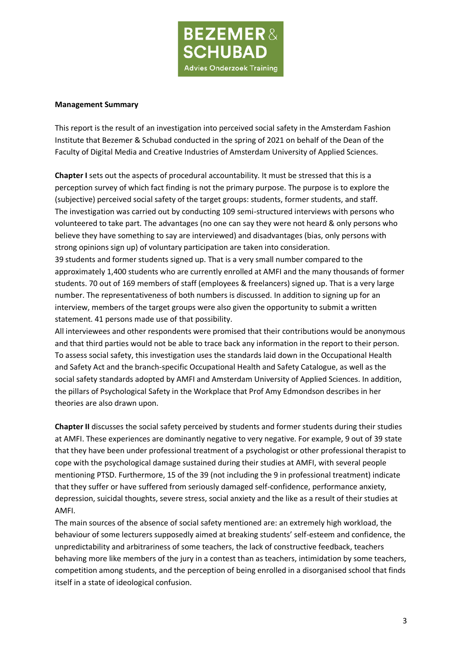

#### **Management Summary**

This report is the result of an investigation into perceived social safety in the Amsterdam Fashion Institute that Bezemer & Schubad conducted in the spring of 2021 on behalf of the Dean of the Faculty of Digital Media and Creative Industries of Amsterdam University of Applied Sciences.

**Chapter I** sets out the aspects of procedural accountability. It must be stressed that this is a perception survey of which fact finding is not the primary purpose. The purpose is to explore the (subjective) perceived social safety of the target groups: students, former students, and staff. The investigation was carried out by conducting 109 semi-structured interviews with persons who volunteered to take part. The advantages (no one can say they were not heard & only persons who believe they have something to say are interviewed) and disadvantages (bias, only persons with strong opinions sign up) of voluntary participation are taken into consideration.

39 students and former students signed up. That is a very small number compared to the approximately 1,400 students who are currently enrolled at AMFI and the many thousands of former students. 70 out of 169 members of staff (employees & freelancers) signed up. That is a very large number. The representativeness of both numbers is discussed. In addition to signing up for an interview, members of the target groups were also given the opportunity to submit a written statement. 41 persons made use of that possibility.

All interviewees and other respondents were promised that their contributions would be anonymous and that third parties would not be able to trace back any information in the report to their person. To assess social safety, this investigation uses the standards laid down in the Occupational Health and Safety Act and the branch-specific Occupational Health and Safety Catalogue, as well as the social safety standards adopted by AMFI and Amsterdam University of Applied Sciences. In addition, the pillars of Psychological Safety in the Workplace that Prof Amy Edmondson describes in her theories are also drawn upon.

**Chapter II** discusses the social safety perceived by students and former students during their studies at AMFI. These experiences are dominantly negative to very negative. For example, 9 out of 39 state that they have been under professional treatment of a psychologist or other professional therapist to cope with the psychological damage sustained during their studies at AMFI, with several people mentioning PTSD. Furthermore, 15 of the 39 (not including the 9 in professional treatment) indicate that they suffer or have suffered from seriously damaged self-confidence, performance anxiety, depression, suicidal thoughts, severe stress, social anxiety and the like as a result of their studies at AMFI.

The main sources of the absence of social safety mentioned are: an extremely high workload, the behaviour of some lecturers supposedly aimed at breaking students' self-esteem and confidence, the unpredictability and arbitrariness of some teachers, the lack of constructive feedback, teachers behaving more like members of the jury in a contest than as teachers, intimidation by some teachers, competition among students, and the perception of being enrolled in a disorganised school that finds itself in a state of ideological confusion.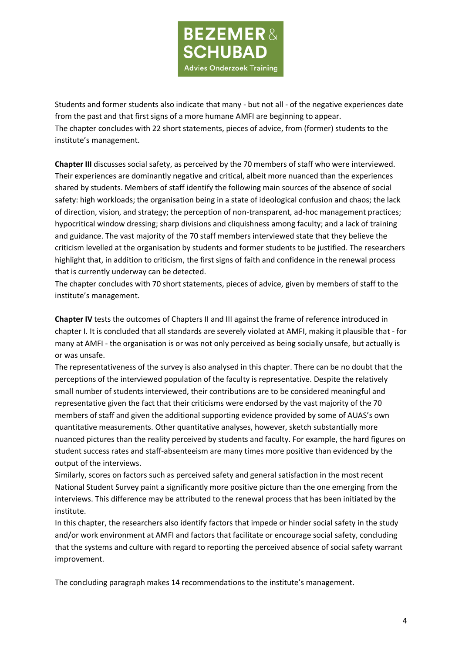

Students and former students also indicate that many - but not all - of the negative experiences date from the past and that first signs of a more humane AMFI are beginning to appear. The chapter concludes with 22 short statements, pieces of advice, from (former) students to the institute's management.

**Chapter III** discusses social safety, as perceived by the 70 members of staff who were interviewed. Their experiences are dominantly negative and critical, albeit more nuanced than the experiences shared by students. Members of staff identify the following main sources of the absence of social safety: high workloads; the organisation being in a state of ideological confusion and chaos; the lack of direction, vision, and strategy; the perception of non-transparent, ad-hoc management practices; hypocritical window dressing; sharp divisions and cliquishness among faculty; and a lack of training and guidance. The vast majority of the 70 staff members interviewed state that they believe the criticism levelled at the organisation by students and former students to be justified. The researchers highlight that, in addition to criticism, the first signs of faith and confidence in the renewal process that is currently underway can be detected.

The chapter concludes with 70 short statements, pieces of advice, given by members of staff to the institute's management.

**Chapter IV** tests the outcomes of Chapters II and III against the frame of reference introduced in chapter I. It is concluded that all standards are severely violated at AMFI, making it plausible that - for many at AMFI - the organisation is or was not only perceived as being socially unsafe, but actually is or was unsafe.

The representativeness of the survey is also analysed in this chapter. There can be no doubt that the perceptions of the interviewed population of the faculty is representative. Despite the relatively small number of students interviewed, their contributions are to be considered meaningful and representative given the fact that their criticisms were endorsed by the vast majority of the 70 members of staff and given the additional supporting evidence provided by some of AUAS's own quantitative measurements. Other quantitative analyses, however, sketch substantially more nuanced pictures than the reality perceived by students and faculty. For example, the hard figures on student success rates and staff-absenteeism are many times more positive than evidenced by the output of the interviews.

Similarly, scores on factors such as perceived safety and general satisfaction in the most recent National Student Survey paint a significantly more positive picture than the one emerging from the interviews. This difference may be attributed to the renewal process that has been initiated by the institute.

In this chapter, the researchers also identify factors that impede or hinder social safety in the study and/or work environment at AMFI and factors that facilitate or encourage social safety, concluding that the systems and culture with regard to reporting the perceived absence of social safety warrant improvement.

The concluding paragraph makes 14 recommendations to the institute's management.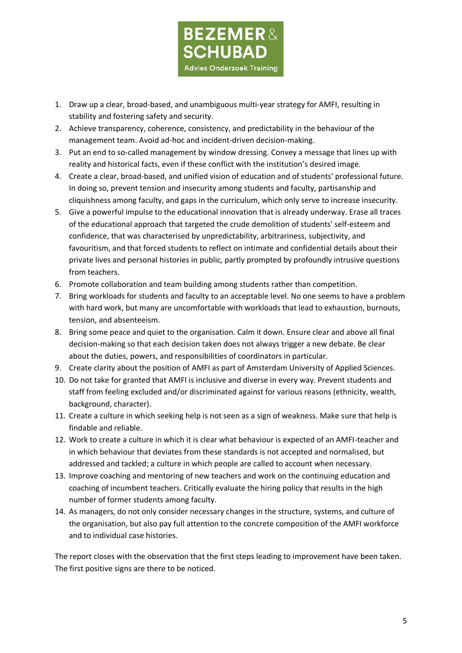

- 1. Draw up a clear, broad-based, and unambiguous multi-year strategy for AMFI, resulting in stability and fostering safety and security.
- 2. Achieve transparency, coherence, consistency, and predictability in the behaviour of the management team. Avoid ad-hoc and incident-driven decision-making.
- 3. Put an end to so-called management by window dressing. Convey a message that lines up with reality and historical facts, even if these conflict with the institution's desired image.
- 4. Create a clear, broad-based, and unified vision of education and of students' professional future. In doing so, prevent tension and insecurity among students and faculty, partisanship and cliquishness among faculty, and gaps in the curriculum, which only serve to increase insecurity.
- 5. Give a powerful impulse to the educational innovation that is already underway. Erase all traces of the educational approach that targeted the crude demolition of students' self-esteem and confidence, that was characterised by unpredictability, arbitrariness, subjectivity, and favouritism, and that forced students to reflect on intimate and confidential details about their private lives and personal histories in public, partly prompted by profoundly intrusive questions from teachers.
- 6. Promote collaboration and team building among students rather than competition.
- 7. Bring workloads for students and faculty to an acceptable level. No one seems to have a problem with hard work, but many are uncomfortable with workloads that lead to exhaustion, burnouts, tension, and absenteeism.
- 8. Bring some peace and quiet to the organisation. Calm it down. Ensure clear and above all final decision-making so that each decision taken does not always trigger a new debate. Be clear about the duties, powers, and responsibilities of coordinators in particular.
- 9. Create clarity about the position of AMFI as part of Amsterdam University of Applied Sciences.
- 10. Do not take for granted that AMFI is inclusive and diverse in every way. Prevent students and staff from feeling excluded and/or discriminated against for various reasons (ethnicity, wealth, background, character).
- 11. Create a culture in which seeking help is not seen as a sign of weakness. Make sure that help is findable and reliable.
- 12. Work to create a culture in which it is clear what behaviour is expected of an AMFI-teacher and in which behaviour that deviates from these standards is not accepted and normalised, but addressed and tackled; a culture in which people are called to account when necessary.
- 13. Improve coaching and mentoring of new teachers and work on the continuing education and coaching of incumbent teachers. Critically evaluate the hiring policy that results in the high number of former students among faculty.
- 14. As managers, do not only consider necessary changes in the structure, systems, and culture of the organisation, but also pay full attention to the concrete composition of the AMFI workforce and to individual case histories.

The report closes with the observation that the first steps leading to improvement have been taken. The first positive signs are there to be noticed.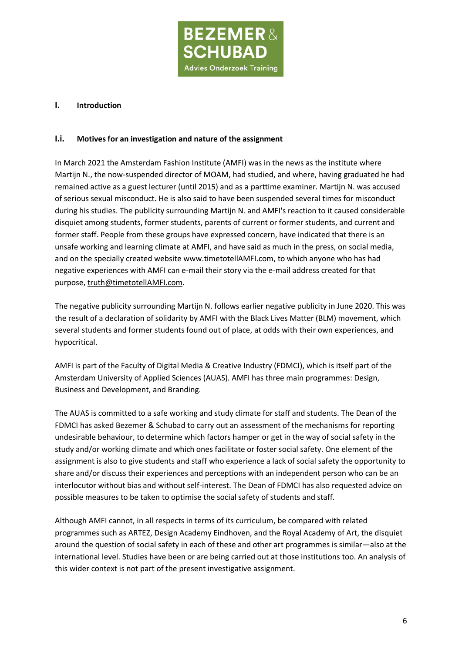

#### **I. Introduction**

#### **I.i. Motives for an investigation and nature of the assignment**

In March 2021 the Amsterdam Fashion Institute (AMFI) was in the news as the institute where Martijn N., the now-suspended director of MOAM, had studied, and where, having graduated he had remained active as a guest lecturer (until 2015) and as a parttime examiner. Martijn N. was accused of serious sexual misconduct. He is also said to have been suspended several times for misconduct during his studies. The publicity surrounding Martijn N. and AMFI's reaction to it caused considerable disquiet among students, former students, parents of current or former students, and current and former staff. People from these groups have expressed concern, have indicated that there is an unsafe working and learning climate at AMFI, and have said as much in the press, on social media, and on the specially created website [www.timetotellAMFI.com,](http://www.timetotellamfi.com/) to which anyone who has had negative experiences with AMFI can e-mail their story via the e-mail address created for that purpose, truth@timetotellAMFI.com.

The negative publicity surrounding Martijn N. follows earlier negative publicity in June 2020. This was the result of a declaration of solidarity by AMFI with the Black Lives Matter (BLM) movement, which several students and former students found out of place, at odds with their own experiences, and hypocritical.

AMFI is part of the Faculty of Digital Media & Creative Industry (FDMCI), which is itself part of the Amsterdam University of Applied Sciences (AUAS). AMFI has three main programmes: Design, Business and Development, and Branding.

The AUAS is committed to a safe working and study climate for staff and students. The Dean of the FDMCI has asked Bezemer & Schubad to carry out an assessment of the mechanisms for reporting undesirable behaviour, to determine which factors hamper or get in the way of social safety in the study and/or working climate and which ones facilitate or foster social safety. One element of the assignment is also to give students and staff who experience a lack of social safety the opportunity to share and/or discuss their experiences and perceptions with an independent person who can be an interlocutor without bias and without self-interest. The Dean of FDMCI has also requested advice on possible measures to be taken to optimise the social safety of students and staff.

Although AMFI cannot, in all respects in terms of its curriculum, be compared with related programmes such as ARTEZ, Design Academy Eindhoven, and the Royal Academy of Art, the disquiet around the question of social safety in each of these and other art programmes is similar—also at the international level. Studies have been or are being carried out at those institutions too. An analysis of this wider context is not part of the present investigative assignment.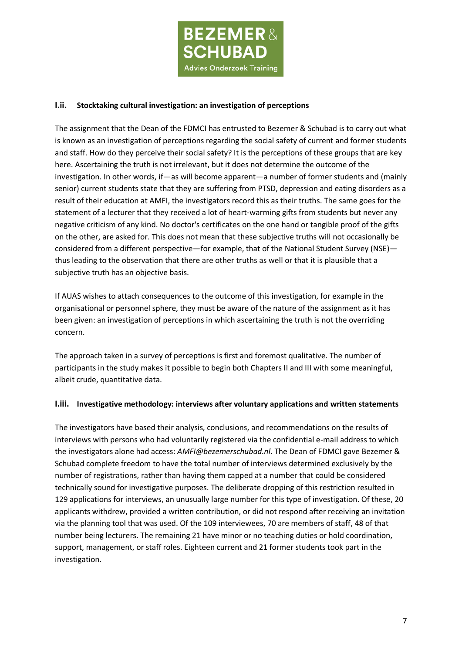

## **I.ii. Stocktaking cultural investigation: an investigation of perceptions**

The assignment that the Dean of the FDMCI has entrusted to Bezemer & Schubad is to carry out what is known as an investigation of perceptions regarding the social safety of current and former students and staff. How do they perceive their social safety? It is the perceptions of these groups that are key here. Ascertaining the truth is not irrelevant, but it does not determine the outcome of the investigation. In other words, if—as will become apparent—a number of former students and (mainly senior) current students state that they are suffering from PTSD, depression and eating disorders as a result of their education at AMFI, the investigators record this as their truths. The same goes for the statement of a lecturer that they received a lot of heart-warming gifts from students but never any negative criticism of any kind. No doctor's certificates on the one hand or tangible proof of the gifts on the other, are asked for. This does not mean that these subjective truths will not occasionally be considered from a different perspective—for example, that of the National Student Survey (NSE) thus leading to the observation that there are other truths as well or that it is plausible that a subjective truth has an objective basis.

If AUAS wishes to attach consequences to the outcome of this investigation, for example in the organisational or personnel sphere, they must be aware of the nature of the assignment as it has been given: an investigation of perceptions in which ascertaining the truth is not the overriding concern.

The approach taken in a survey of perceptions is first and foremost qualitative. The number of participants in the study makes it possible to begin both Chapters II and III with some meaningful, albeit crude, quantitative data.

### **I.iii. Investigative methodology: interviews after voluntary applications and written statements**

The investigators have based their analysis, conclusions, and recommendations on the results of interviews with persons who had voluntarily registered via the confidential e-mail address to which the investigators alone had access: *AMFI@bezemerschubad.nl*. The Dean of FDMCI gave Bezemer & Schubad complete freedom to have the total number of interviews determined exclusively by the number of registrations, rather than having them capped at a number that could be considered technically sound for investigative purposes. The deliberate dropping of this restriction resulted in 129 applications for interviews, an unusually large number for this type of investigation. Of these, 20 applicants withdrew, provided a written contribution, or did not respond after receiving an invitation via the planning tool that was used. Of the 109 interviewees, 70 are members of staff, 48 of that number being lecturers. The remaining 21 have minor or no teaching duties or hold coordination, support, management, or staff roles. Eighteen current and 21 former students took part in the investigation.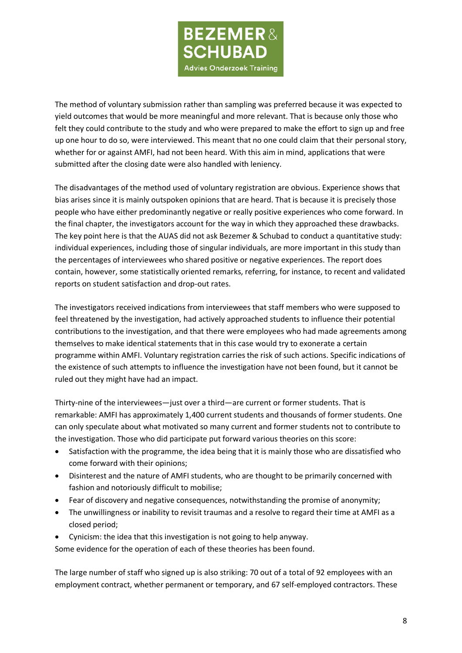

The method of voluntary submission rather than sampling was preferred because it was expected to yield outcomes that would be more meaningful and more relevant. That is because only those who felt they could contribute to the study and who were prepared to make the effort to sign up and free up one hour to do so, were interviewed. This meant that no one could claim that their personal story, whether for or against AMFI, had not been heard. With this aim in mind, applications that were submitted after the closing date were also handled with leniency.

The disadvantages of the method used of voluntary registration are obvious. Experience shows that bias arises since it is mainly outspoken opinions that are heard. That is because it is precisely those people who have either predominantly negative or really positive experiences who come forward. In the final chapter, the investigators account for the way in which they approached these drawbacks. The key point here is that the AUAS did not ask Bezemer & Schubad to conduct a quantitative study: individual experiences, including those of singular individuals, are more important in this study than the percentages of interviewees who shared positive or negative experiences. The report does contain, however, some statistically oriented remarks, referring, for instance, to recent and validated reports on student satisfaction and drop-out rates.

The investigators received indications from interviewees that staff members who were supposed to feel threatened by the investigation, had actively approached students to influence their potential contributions to the investigation, and that there were employees who had made agreements among themselves to make identical statements that in this case would try to exonerate a certain programme within AMFI. Voluntary registration carries the risk of such actions. Specific indications of the existence of such attempts to influence the investigation have not been found, but it cannot be ruled out they might have had an impact.

Thirty-nine of the interviewees—just over a third—are current or former students. That is remarkable: AMFI has approximately 1,400 current students and thousands of former students. One can only speculate about what motivated so many current and former students not to contribute to the investigation. Those who did participate put forward various theories on this score:

- Satisfaction with the programme, the idea being that it is mainly those who are dissatisfied who come forward with their opinions;
- Disinterest and the nature of AMFI students, who are thought to be primarily concerned with fashion and notoriously difficult to mobilise;
- Fear of discovery and negative consequences, notwithstanding the promise of anonymity;
- The unwillingness or inability to revisit traumas and a resolve to regard their time at AMFI as a closed period;
- Cynicism: the idea that this investigation is not going to help anyway.

Some evidence for the operation of each of these theories has been found.

The large number of staff who signed up is also striking: 70 out of a total of 92 employees with an employment contract, whether permanent or temporary, and 67 self-employed contractors. These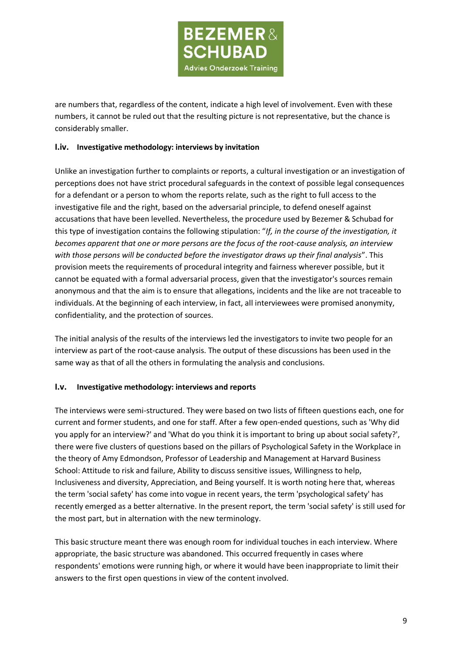

are numbers that, regardless of the content, indicate a high level of involvement. Even with these numbers, it cannot be ruled out that the resulting picture is not representative, but the chance is considerably smaller.

### **I.iv. Investigative methodology: interviews by invitation**

Unlike an investigation further to complaints or reports, a cultural investigation or an investigation of perceptions does not have strict procedural safeguards in the context of possible legal consequences for a defendant or a person to whom the reports relate, such as the right to full access to the investigative file and the right, based on the adversarial principle, to defend oneself against accusations that have been levelled. Nevertheless, the procedure used by Bezemer & Schubad for this type of investigation contains the following stipulation: "*If, in the course of the investigation, it becomes apparent that one or more persons are the focus of the root-cause analysis, an interview with those persons will be conducted before the investigator draws up their final analysis*". This provision meets the requirements of procedural integrity and fairness wherever possible, but it cannot be equated with a formal adversarial process, given that the investigator's sources remain anonymous and that the aim is to ensure that allegations, incidents and the like are not traceable to individuals. At the beginning of each interview, in fact, all interviewees were promised anonymity, confidentiality, and the protection of sources.

The initial analysis of the results of the interviews led the investigators to invite two people for an interview as part of the root-cause analysis. The output of these discussions has been used in the same way as that of all the others in formulating the analysis and conclusions.

#### **I.v. Investigative methodology: interviews and reports**

The interviews were semi-structured. They were based on two lists of fifteen questions each, one for current and former students, and one for staff. After a few open-ended questions, such as 'Why did you apply for an interview?' and 'What do you think it is important to bring up about social safety?', there were five clusters of questions based on the pillars of Psychological Safety in the Workplace in the theory of Amy Edmondson, Professor of Leadership and Management at Harvard Business School: Attitude to risk and failure, Ability to discuss sensitive issues, Willingness to help, Inclusiveness and diversity, Appreciation, and Being yourself. It is worth noting here that, whereas the term 'social safety' has come into vogue in recent years, the term 'psychological safety' has recently emerged as a better alternative. In the present report, the term 'social safety' is still used for the most part, but in alternation with the new terminology.

This basic structure meant there was enough room for individual touches in each interview. Where appropriate, the basic structure was abandoned. This occurred frequently in cases where respondents' emotions were running high, or where it would have been inappropriate to limit their answers to the first open questions in view of the content involved.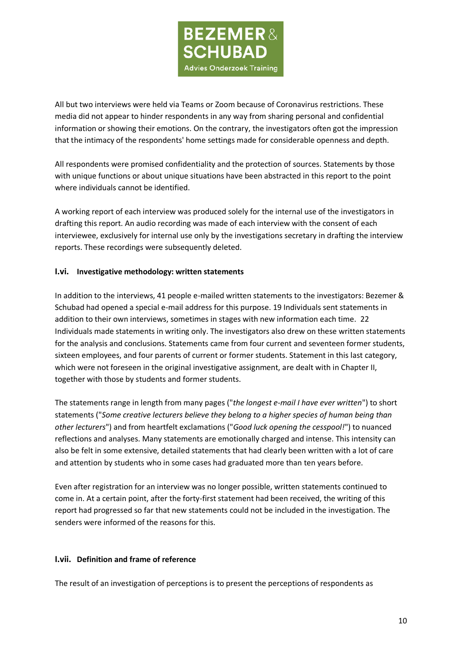

All but two interviews were held via Teams or Zoom because of Coronavirus restrictions. These media did not appear to hinder respondents in any way from sharing personal and confidential information or showing their emotions. On the contrary, the investigators often got the impression that the intimacy of the respondents' home settings made for considerable openness and depth.

All respondents were promised confidentiality and the protection of sources. Statements by those with unique functions or about unique situations have been abstracted in this report to the point where individuals cannot be identified.

A working report of each interview was produced solely for the internal use of the investigators in drafting this report. An audio recording was made of each interview with the consent of each interviewee, exclusively for internal use only by the investigations secretary in drafting the interview reports. These recordings were subsequently deleted.

### **I.vi. Investigative methodology: written statements**

In addition to the interviews, 41 people e-mailed written statements to the investigators: Bezemer & Schubad had opened a special e-mail address for this purpose. 19 Individuals sent statements in addition to their own interviews, sometimes in stages with new information each time. 22 Individuals made statements in writing only. The investigators also drew on these written statements for the analysis and conclusions. Statements came from four current and seventeen former students, sixteen employees, and four parents of current or former students. Statement in this last category, which were not foreseen in the original investigative assignment, are dealt with in Chapter II, together with those by students and former students.

The statements range in length from many pages ("*the longest e-mail I have ever written*") to short statements ("*Some creative lecturers believe they belong to a higher species of human being than other lecturers*") and from heartfelt exclamations ("*Good luck opening the cesspool!*") to nuanced reflections and analyses. Many statements are emotionally charged and intense. This intensity can also be felt in some extensive, detailed statements that had clearly been written with a lot of care and attention by students who in some cases had graduated more than ten years before.

Even after registration for an interview was no longer possible, written statements continued to come in. At a certain point, after the forty-first statement had been received, the writing of this report had progressed so far that new statements could not be included in the investigation. The senders were informed of the reasons for this.

#### **I.vii. Definition and frame of reference**

The result of an investigation of perceptions is to present the perceptions of respondents as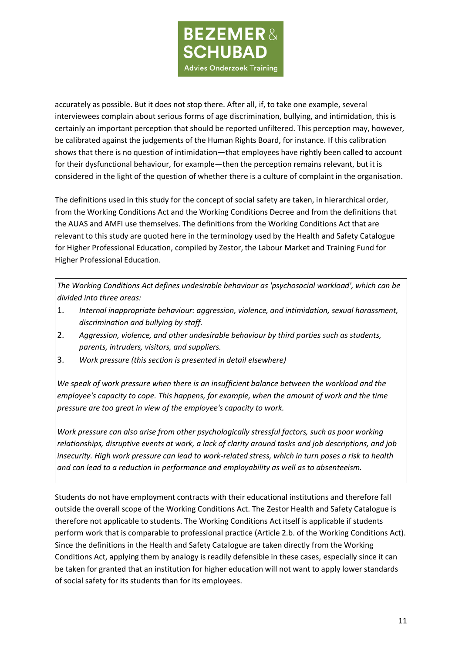

accurately as possible. But it does not stop there. After all, if, to take one example, several interviewees complain about serious forms of age discrimination, bullying, and intimidation, this is certainly an important perception that should be reported unfiltered. This perception may, however, be calibrated against the judgements of the Human Rights Board, for instance. If this calibration shows that there is no question of intimidation—that employees have rightly been called to account for their dysfunctional behaviour, for example—then the perception remains relevant, but it is considered in the light of the question of whether there is a culture of complaint in the organisation.

The definitions used in this study for the concept of social safety are taken, in hierarchical order, from the Working Conditions Act and the Working Conditions Decree and from the definitions that the AUAS and AMFI use themselves. The definitions from the Working Conditions Act that are relevant to this study are quoted here in the terminology used by the Health and Safety Catalogue for Higher Professional Education, compiled by Zestor, the Labour Market and Training Fund for Higher Professional Education.

*The Working Conditions Act defines undesirable behaviour as 'psychosocial workload', which can be divided into three areas:*

- 1. *[Internal inappropriate behaviour:](https://www.arbocatalogushbo.nl/ongewenst-gedrag/%23ongewenst) aggression, violence, and intimidation, sexual harassment, discrimination and bullying by staff.*
- 2. *[Aggression, violence, and other undesirable behaviour by third parties s](https://www.arbocatalogushbo.nl/ongewenst-gedrag/%23agressie)uch as students, parents, intruders, visitors, and suppliers.*
- 3. *Work pressure (this section is presented in detail [elsewhere\)](https://www.arbocatalogushbo.nl/werkdruk/)*

*We speak of work pressure when there is an insufficient balance between the workload and the employee's capacity to cope. This happens, for example, when the amount of work and the time pressure are too great in view of the employee's capacity to work.*

*Work pressure can also arise from other psychologically stressful factors, such as poor working relationships, disruptive events at work, a lack of clarity around tasks and job descriptions, and job insecurity. High work pressure can lead to work-related stress, which in turn poses a risk to health and can lead to a reduction in performance and employability as well as to absenteeism.*

Students do not have employment contracts with their educational institutions and therefore fall outside the overall scope of the Working Conditions Act. The Zestor Health and Safety Catalogue is therefore not applicable to students. The Working Conditions Act itself is applicable if students perform work that is comparable to professional practice (Article 2.b. of the Working Conditions Act). Since the definitions in the Health and Safety Catalogue are taken directly from the Working Conditions Act, applying them by analogy is readily defensible in these cases, especially since it can be taken for granted that an institution for higher education will not want to apply lower standards of social safety for its students than for its employees.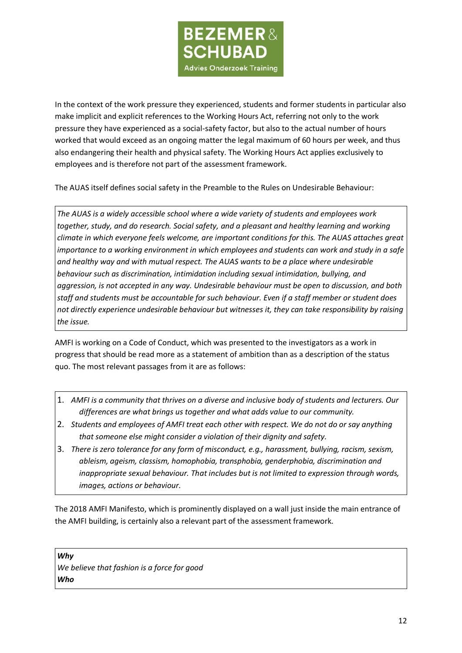

In the context of the work pressure they experienced, students and former students in particular also make implicit and explicit references to the Working Hours Act, referring not only to the work pressure they have experienced as a social-safety factor, but also to the actual number of hours worked that would exceed as an ongoing matter the legal maximum of 60 hours per week, and thus also endangering their health and physical safety. The Working Hours Act applies exclusively to employees and is therefore not part of the assessment framework.

The AUAS itself defines social safety in the Preamble to the Rules on Undesirable Behaviour:

*The AUAS is a widely accessible school where a wide variety of students and employees work together, study, and do research. Social safety, and a pleasant and healthy learning and working climate in which everyone feels welcome, are important conditions for this. The AUAS attaches great importance to a working environment in which employees and students can work and study in a safe and healthy way and with mutual respect. The AUAS wants to be a place where undesirable behaviour such as discrimination, intimidation including sexual intimidation, bullying, and aggression, is not accepted in any way. Undesirable behaviour must be open to discussion, and both staff and students must be accountable for such behaviour. Even if a staff member or student does not directly experience undesirable behaviour but witnesses it, they can take responsibility by raising the issue.*

AMFI is working on a Code of Conduct, which was presented to the investigators as a work in progress that should be read more as a statement of ambition than as a description of the status quo. The most relevant passages from it are as follows:

- 1. *AMFI is a community that thrives on a diverse and inclusive body of students and lecturers. Our differences are what brings us together and what adds value to our community.*
- 2. *Students and employees of AMFI treat each other with respect. We do not do or say anything that someone else might consider a violation of their dignity and safety.*
- 3. *There is zero tolerance for any form of misconduct, e.g., harassment, bullying, racism, sexism, ableism, ageism, classism, homophobia, transphobia, genderphobia, discrimination and inappropriate sexual behaviour. That includes but is not limited to expression through words, images, actions or behaviour.*

The 2018 AMFI Manifesto, which is prominently displayed on a wall just inside the main entrance of the AMFI building, is certainly also a relevant part of the assessment framework.

*Why We believe that fashion is a force for good Who*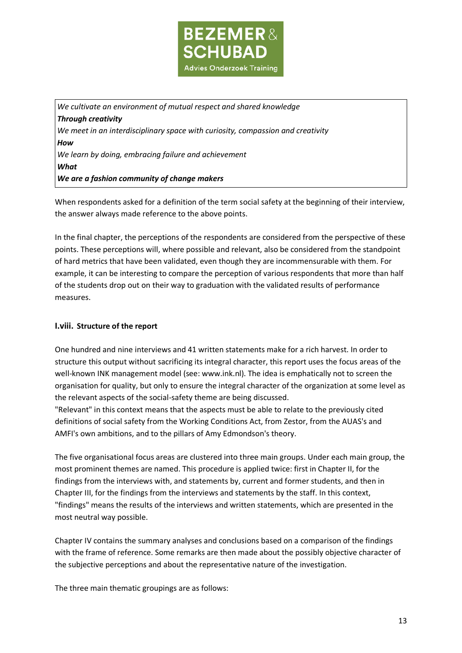

*We cultivate an environment of mutual respect and shared knowledge Through creativity We meet in an interdisciplinary space with curiosity, compassion and creativity How We learn by doing, embracing failure and achievement What We are a fashion community of change makers*

When respondents asked for a definition of the term social safety at the beginning of their interview, the answer always made reference to the above points.

In the final chapter, the perceptions of the respondents are considered from the perspective of these points. These perceptions will, where possible and relevant, also be considered from the standpoint of hard metrics that have been validated, even though they are incommensurable with them. For example, it can be interesting to compare the perception of various respondents that more than half of the students drop out on their way to graduation with the validated results of performance measures.

## **I.viii. Structure of the report**

One hundred and nine interviews and 41 written statements make for a rich harvest. In order to structure this output without sacrificing its integral character, this report uses the focus areas of the well-known INK management model (see: [www.ink.nl\)](http://www.ink.nl/). The idea is emphatically not to screen the organisation for quality, but only to ensure the integral character of the organization at some level as the relevant aspects of the social-safety theme are being discussed.

"Relevant" in this context means that the aspects must be able to relate to the previously cited definitions of social safety from the Working Conditions Act, from Zestor, from the AUAS's and AMFI's own ambitions, and to the pillars of Amy Edmondson's theory.

The five organisational focus areas are clustered into three main groups. Under each main group, the most prominent themes are named. This procedure is applied twice: first in Chapter II, for the findings from the interviews with, and statements by, current and former students, and then in Chapter III, for the findings from the interviews and statements by the staff. In this context, "findings" means the results of the interviews and written statements, which are presented in the most neutral way possible.

Chapter IV contains the summary analyses and conclusions based on a comparison of the findings with the frame of reference. Some remarks are then made about the possibly objective character of the subjective perceptions and about the representative nature of the investigation.

The three main thematic groupings are as follows: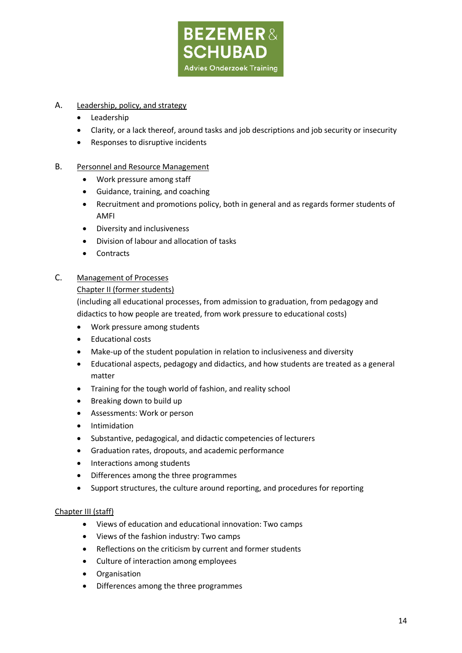

# A. Leadership, policy, and strategy

- Leadership
- Clarity, or a lack thereof, around tasks and job descriptions and job security or insecurity
- Responses to disruptive incidents

### B. Personnel and Resource Management

- Work pressure among staff
- Guidance, training, and coaching
- Recruitment and promotions policy, both in general and as regards former students of AMFI
- Diversity and inclusiveness
- Division of labour and allocation of tasks
- Contracts

## C. Management of Processes

#### Chapter II (former students)

(including all educational processes, from admission to graduation, from pedagogy and didactics to how people are treated, from work pressure to educational costs)

- Work pressure among students
- Educational costs
- Make-up of the student population in relation to inclusiveness and diversity
- Educational aspects, pedagogy and didactics, and how students are treated as a general matter
- Training for the tough world of fashion, and reality school
- Breaking down to build up
- Assessments: Work or person
- **Intimidation**
- Substantive, pedagogical, and didactic competencies of lecturers
- Graduation rates, dropouts, and academic performance
- Interactions among students
- Differences among the three programmes
- Support structures, the culture around reporting, and procedures for reporting

#### Chapter III (staff)

- Views of education and educational innovation: Two camps
- Views of the fashion industry: Two camps
- Reflections on the criticism by current and former students
- Culture of interaction among employees
- Organisation
- Differences among the three programmes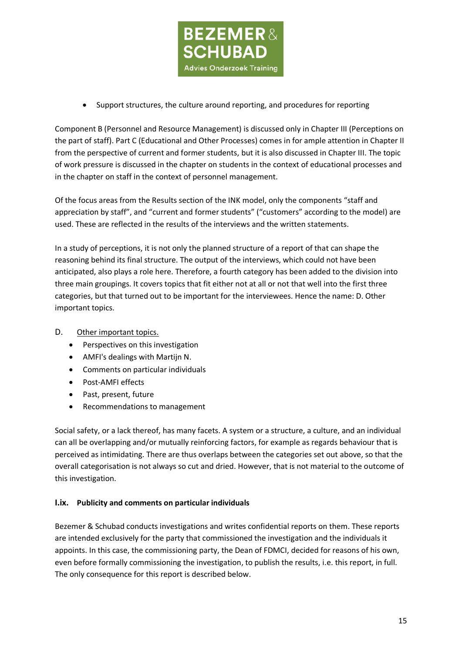

• Support structures, the culture around reporting, and procedures for reporting

Component B (Personnel and Resource Management) is discussed only in Chapter III (Perceptions on the part of staff). Part C (Educational and Other Processes) comes in for ample attention in Chapter II from the perspective of current and former students, but it is also discussed in Chapter III. The topic of work pressure is discussed in the chapter on students in the context of educational processes and in the chapter on staff in the context of personnel management.

Of the focus areas from the Results section of the INK model, only the components "staff and appreciation by staff", and "current and former students" ("customers" according to the model) are used. These are reflected in the results of the interviews and the written statements.

In a study of perceptions, it is not only the planned structure of a report of that can shape the reasoning behind its final structure. The output of the interviews, which could not have been anticipated, also plays a role here. Therefore, a fourth category has been added to the division into three main groupings. It covers topics that fit either not at all or not that well into the first three categories, but that turned out to be important for the interviewees. Hence the name: D. Other important topics.

# D. Other important topics.

- Perspectives on this investigation
- AMFI's dealings with Martijn N.
- Comments on particular individuals
- Post-AMFI effects
- Past, present, future
- Recommendations to management

Social safety, or a lack thereof, has many facets. A system or a structure, a culture, and an individual can all be overlapping and/or mutually reinforcing factors, for example as regards behaviour that is perceived as intimidating. There are thus overlaps between the categories set out above, so that the overall categorisation is not always so cut and dried. However, that is not material to the outcome of this investigation.

### **I.ix. Publicity and comments on particular individuals**

Bezemer & Schubad conducts investigations and writes confidential reports on them. These reports are intended exclusively for the party that commissioned the investigation and the individuals it appoints. In this case, the commissioning party, the Dean of FDMCI, decided for reasons of his own, even before formally commissioning the investigation, to publish the results, i.e. this report, in full. The only consequence for this report is described below.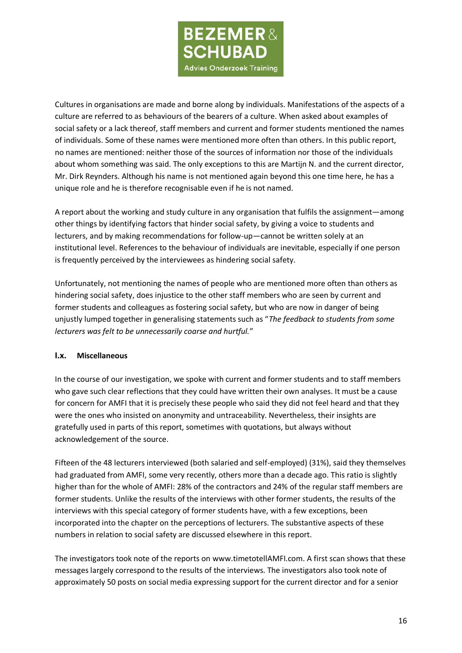

Cultures in organisations are made and borne along by individuals. Manifestations of the aspects of a culture are referred to as behaviours of the bearers of a culture. When asked about examples of social safety or a lack thereof, staff members and current and former students mentioned the names of individuals. Some of these names were mentioned more often than others. In this public report, no names are mentioned: neither those of the sources of information nor those of the individuals about whom something was said. The only exceptions to this are Martijn N. and the current director, Mr. Dirk Reynders. Although his name is not mentioned again beyond this one time here, he has a unique role and he is therefore recognisable even if he is not named.

A report about the working and study culture in any organisation that fulfils the assignment—among other things by identifying factors that hinder social safety, by giving a voice to students and lecturers, and by making recommendations for follow-up—cannot be written solely at an institutional level. References to the behaviour of individuals are inevitable, especially if one person is frequently perceived by the interviewees as hindering social safety.

Unfortunately, not mentioning the names of people who are mentioned more often than others as hindering social safety, does injustice to the other staff members who are seen by current and former students and colleagues as fostering social safety, but who are now in danger of being unjustly lumped together in generalising statements such as "*The feedback to students from some lecturers was felt to be unnecessarily coarse and hurtful.*"

### **I.x. Miscellaneous**

In the course of our investigation, we spoke with current and former students and to staff members who gave such clear reflections that they could have written their own analyses. It must be a cause for concern for AMFI that it is precisely these people who said they did not feel heard and that they were the ones who insisted on anonymity and untraceability. Nevertheless, their insights are gratefully used in parts of this report, sometimes with quotations, but always without acknowledgement of the source.

Fifteen of the 48 lecturers interviewed (both salaried and self-employed) (31%), said they themselves had graduated from AMFI, some very recently, others more than a decade ago. This ratio is slightly higher than for the whole of AMFI: 28% of the contractors and 24% of the regular staff members are former students. Unlike the results of the interviews with other former students, the results of the interviews with this special category of former students have, with a few exceptions, been incorporated into the chapter on the perceptions of lecturers. The substantive aspects of these numbers in relation to social safety are discussed elsewhere in this report.

The investigators took note of the reports on www.timetotellAMFI.com. A first scan shows that these messages largely correspond to the results of the interviews. The investigators also took note of approximately 50 posts on social media expressing support for the current director and for a senior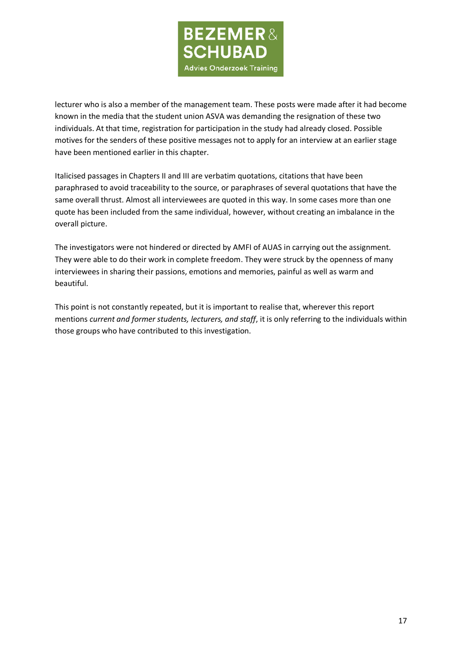

lecturer who is also a member of the management team. These posts were made after it had become known in the media that the student union ASVA was demanding the resignation of these two individuals. At that time, registration for participation in the study had already closed. Possible motives for the senders of these positive messages not to apply for an interview at an earlier stage have been mentioned earlier in this chapter.

Italicised passages in Chapters II and III are verbatim quotations, citations that have been paraphrased to avoid traceability to the source, or paraphrases of several quotations that have the same overall thrust. Almost all interviewees are quoted in this way. In some cases more than one quote has been included from the same individual, however, without creating an imbalance in the overall picture.

The investigators were not hindered or directed by AMFI of AUAS in carrying out the assignment. They were able to do their work in complete freedom. They were struck by the openness of many interviewees in sharing their passions, emotions and memories, painful as well as warm and beautiful.

This point is not constantly repeated, but it is important to realise that, wherever this report mentions *current and former students, lecturers, and staff*, it is only referring to the individuals within those groups who have contributed to this investigation.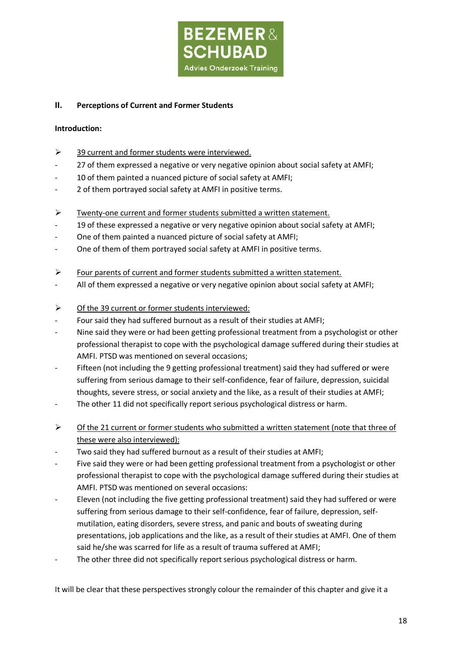

## **II. Perceptions of Current and Former Students**

### **Introduction:**

- ➢ 39 current and former students were interviewed.
- 27 of them expressed a negative or very negative opinion about social safety at AMFI;
- 10 of them painted a nuanced picture of social safety at AMFI;
- 2 of them portrayed social safety at AMFI in positive terms.
- ➢ Twenty-one current and former students submitted a written statement.
- 19 of these expressed a negative or very negative opinion about social safety at AMFI;
- One of them painted a nuanced picture of social safety at AMFI;
- One of them of them portrayed social safety at AMFI in positive terms.
- ➢ Four parents of current and former students submitted a written statement.
- All of them expressed a negative or very negative opinion about social safety at AMFI;
- ➢ Of the 39 current or former students interviewed:
- Four said they had suffered burnout as a result of their studies at AMFI;
- Nine said they were or had been getting professional treatment from a psychologist or other professional therapist to cope with the psychological damage suffered during their studies at AMFI. PTSD was mentioned on several occasions;
- Fifteen (not including the 9 getting professional treatment) said they had suffered or were suffering from serious damage to their self-confidence, fear of failure, depression, suicidal thoughts, severe stress, or social anxiety and the like, as a result of their studies at AMFI;
- The other 11 did not specifically report serious psychological distress or harm.
- ➢ Of the 21 current or former students who submitted a written statement (note that three of these were also interviewed):
- Two said they had suffered burnout as a result of their studies at AMFI;
- Five said they were or had been getting professional treatment from a psychologist or other professional therapist to cope with the psychological damage suffered during their studies at AMFI. PTSD was mentioned on several occasions:
- Eleven (not including the five getting professional treatment) said they had suffered or were suffering from serious damage to their self-confidence, fear of failure, depression, selfmutilation, eating disorders, severe stress, and panic and bouts of sweating during presentations, job applications and the like, as a result of their studies at AMFI. One of them said he/she was scarred for life as a result of trauma suffered at AMFI;
- The other three did not specifically report serious psychological distress or harm.

It will be clear that these perspectives strongly colour the remainder of this chapter and give it a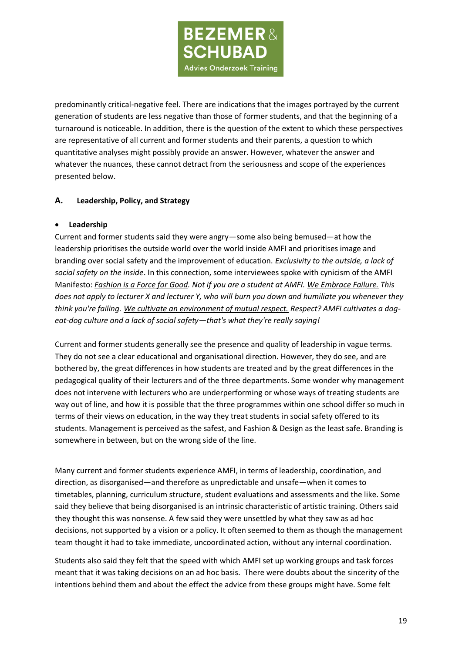

predominantly critical-negative feel. There are indications that the images portrayed by the current generation of students are less negative than those of former students, and that the beginning of a turnaround is noticeable. In addition, there is the question of the extent to which these perspectives are representative of all current and former students and their parents, a question to which quantitative analyses might possibly provide an answer. However, whatever the answer and whatever the nuances, these cannot detract from the seriousness and scope of the experiences presented below.

## **A. Leadership, Policy, and Strategy**

### • **Leadership**

Current and former students said they were angry—some also being bemused—at how the leadership prioritises the outside world over the world inside AMFI and prioritises image and branding over social safety and the improvement of education. *Exclusivity to the outside, a lack of social safety on the inside*. In this connection, some interviewees spoke with cynicism of the AMFI Manifesto: *Fashion is a Force for Good. Not if you are a student at AMFI. We Embrace Failure. This does not apply to lecturer X and lecturer Y, who will burn you down and humiliate you whenever they think you're failing. We cultivate an environment of mutual respect. Respect? AMFI cultivates a dogeat-dog culture and a lack of social safety—that's what they're really saying!*

Current and former students generally see the presence and quality of leadership in vague terms. They do not see a clear educational and organisational direction. However, they do see, and are bothered by, the great differences in how students are treated and by the great differences in the pedagogical quality of their lecturers and of the three departments. Some wonder why management does not intervene with lecturers who are underperforming or whose ways of treating students are way out of line, and how it is possible that the three programmes within one school differ so much in terms of their views on education, in the way they treat students in social safety offered to its students. Management is perceived as the safest, and Fashion & Design as the least safe. Branding is somewhere in between, but on the wrong side of the line.

Many current and former students experience AMFI, in terms of leadership, coordination, and direction, as disorganised—and therefore as unpredictable and unsafe—when it comes to timetables, planning, curriculum structure, student evaluations and assessments and the like. Some said they believe that being disorganised is an intrinsic characteristic of artistic training. Others said they thought this was nonsense. A few said they were unsettled by what they saw as ad hoc decisions, not supported by a vision or a policy. It often seemed to them as though the management team thought it had to take immediate, uncoordinated action, without any internal coordination.

Students also said they felt that the speed with which AMFI set up working groups and task forces meant that it was taking decisions on an ad hoc basis. There were doubts about the sincerity of the intentions behind them and about the effect the advice from these groups might have. Some felt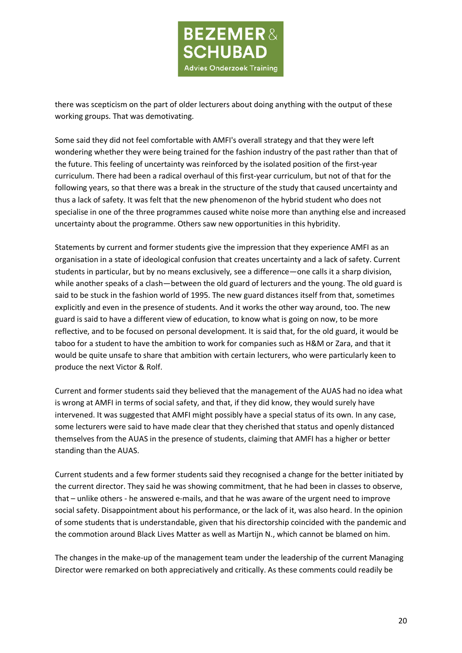

there was scepticism on the part of older lecturers about doing anything with the output of these working groups. That was demotivating.

Some said they did not feel comfortable with AMFI's overall strategy and that they were left wondering whether they were being trained for the fashion industry of the past rather than that of the future. This feeling of uncertainty was reinforced by the isolated position of the first-year curriculum. There had been a radical overhaul of this first-year curriculum, but not of that for the following years, so that there was a break in the structure of the study that caused uncertainty and thus a lack of safety. It was felt that the new phenomenon of the hybrid student who does not specialise in one of the three programmes caused white noise more than anything else and increased uncertainty about the programme. Others saw new opportunities in this hybridity.

Statements by current and former students give the impression that they experience AMFI as an organisation in a state of ideological confusion that creates uncertainty and a lack of safety. Current students in particular, but by no means exclusively, see a difference—one calls it a sharp division, while another speaks of a clash—between the old guard of lecturers and the young. The old guard is said to be stuck in the fashion world of 1995. The new guard distances itself from that, sometimes explicitly and even in the presence of students. And it works the other way around, too. The new guard is said to have a different view of education, to know what is going on now, to be more reflective, and to be focused on personal development. It is said that, for the old guard, it would be taboo for a student to have the ambition to work for companies such as H&M or Zara, and that it would be quite unsafe to share that ambition with certain lecturers, who were particularly keen to produce the next Victor & Rolf.

Current and former students said they believed that the management of the AUAS had no idea what is wrong at AMFI in terms of social safety, and that, if they did know, they would surely have intervened. It was suggested that AMFI might possibly have a special status of its own. In any case, some lecturers were said to have made clear that they cherished that status and openly distanced themselves from the AUAS in the presence of students, claiming that AMFI has a higher or better standing than the AUAS.

Current students and a few former students said they recognised a change for the better initiated by the current director. They said he was showing commitment, that he had been in classes to observe, that – unlike others - he answered e-mails, and that he was aware of the urgent need to improve social safety. Disappointment about his performance, or the lack of it, was also heard. In the opinion of some students that is understandable, given that his directorship coincided with the pandemic and the commotion around Black Lives Matter as well as Martijn N., which cannot be blamed on him.

The changes in the make-up of the management team under the leadership of the current Managing Director were remarked on both appreciatively and critically. As these comments could readily be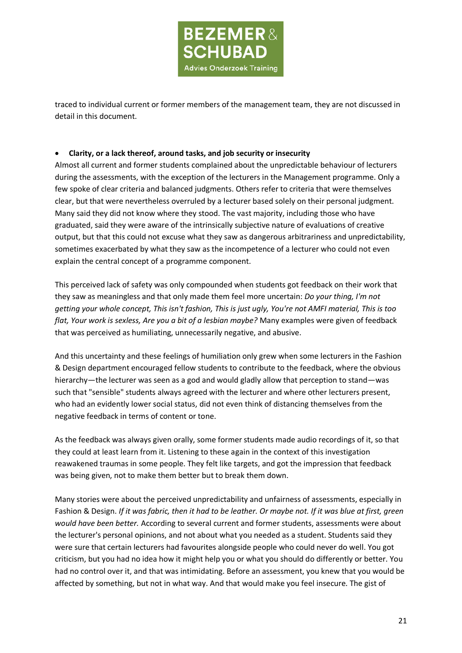

traced to individual current or former members of the management team, they are not discussed in detail in this document.

#### • **Clarity, or a lack thereof, around tasks, and job security or insecurity**

Almost all current and former students complained about the unpredictable behaviour of lecturers during the assessments, with the exception of the lecturers in the Management programme. Only a few spoke of clear criteria and balanced judgments. Others refer to criteria that were themselves clear, but that were nevertheless overruled by a lecturer based solely on their personal judgment. Many said they did not know where they stood. The vast majority, including those who have graduated, said they were aware of the intrinsically subjective nature of evaluations of creative output, but that this could not excuse what they saw as dangerous arbitrariness and unpredictability, sometimes exacerbated by what they saw as the incompetence of a lecturer who could not even explain the central concept of a programme component.

This perceived lack of safety was only compounded when students got feedback on their work that they saw as meaningless and that only made them feel more uncertain: *Do your thing, I'm not getting your whole concept, This isn't fashion, This is just ugly, You're not AMFI material, This is too flat, Your work is sexless, Are you a bit of a lesbian maybe?* Many examples were given of feedback that was perceived as humiliating, unnecessarily negative, and abusive.

And this uncertainty and these feelings of humiliation only grew when some lecturers in the Fashion & Design department encouraged fellow students to contribute to the feedback, where the obvious hierarchy—the lecturer was seen as a god and would gladly allow that perception to stand—was such that "sensible" students always agreed with the lecturer and where other lecturers present, who had an evidently lower social status, did not even think of distancing themselves from the negative feedback in terms of content or tone.

As the feedback was always given orally, some former students made audio recordings of it, so that they could at least learn from it. Listening to these again in the context of this investigation reawakened traumas in some people. They felt like targets, and got the impression that feedback was being given, not to make them better but to break them down.

Many stories were about the perceived unpredictability and unfairness of assessments, especially in Fashion & Design. *If it was fabric, then it had to be leather. Or maybe not. If it was blue at first, green would have been better.* According to several current and former students, assessments were about the lecturer's personal opinions, and not about what you needed as a student. Students said they were sure that certain lecturers had favourites alongside people who could never do well. You got criticism, but you had no idea how it might help you or what you should do differently or better. You had no control over it, and that was intimidating. Before an assessment, you knew that you would be affected by something, but not in what way. And that would make you feel insecure. The gist of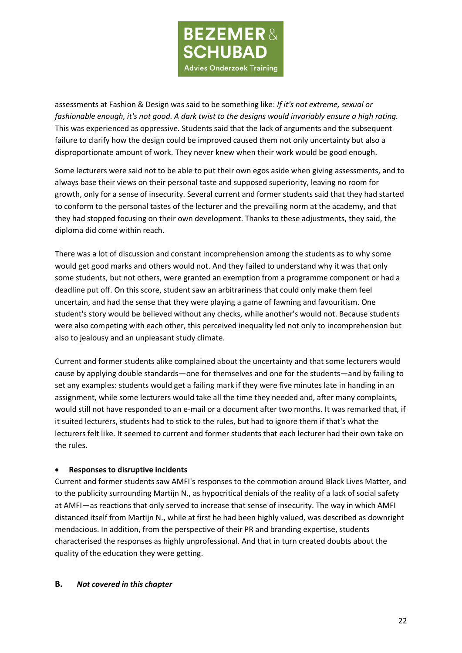

assessments at Fashion & Design was said to be something like: *If it's not extreme, sexual or fashionable enough, it's not good. A dark twist to the designs would invariably ensure a high rating.* This was experienced as oppressive. Students said that the lack of arguments and the subsequent failure to clarify how the design could be improved caused them not only uncertainty but also a disproportionate amount of work. They never knew when their work would be good enough.

Some lecturers were said not to be able to put their own egos aside when giving assessments, and to always base their views on their personal taste and supposed superiority, leaving no room for growth, only for a sense of insecurity. Several current and former students said that they had started to conform to the personal tastes of the lecturer and the prevailing norm at the academy, and that they had stopped focusing on their own development. Thanks to these adjustments, they said, the diploma did come within reach.

There was a lot of discussion and constant incomprehension among the students as to why some would get good marks and others would not. And they failed to understand why it was that only some students, but not others, were granted an exemption from a programme component or had a deadline put off. On this score, student saw an arbitrariness that could only make them feel uncertain, and had the sense that they were playing a game of fawning and favouritism. One student's story would be believed without any checks, while another's would not. Because students were also competing with each other, this perceived inequality led not only to incomprehension but also to jealousy and an unpleasant study climate.

Current and former students alike complained about the uncertainty and that some lecturers would cause by applying double standards—one for themselves and one for the students—and by failing to set any examples: students would get a failing mark if they were five minutes late in handing in an assignment, while some lecturers would take all the time they needed and, after many complaints, would still not have responded to an e-mail or a document after two months. It was remarked that, if it suited lecturers, students had to stick to the rules, but had to ignore them if that's what the lecturers felt like. It seemed to current and former students that each lecturer had their own take on the rules.

### • **Responses to disruptive incidents**

Current and former students saw AMFI's responses to the commotion around Black Lives Matter, and to the publicity surrounding Martijn N., as hypocritical denials of the reality of a lack of social safety at AMFI—as reactions that only served to increase that sense of insecurity. The way in which AMFI distanced itself from Martijn N., while at first he had been highly valued, was described as downright mendacious. In addition, from the perspective of their PR and branding expertise, students characterised the responses as highly unprofessional. And that in turn created doubts about the quality of the education they were getting.

#### **B.** *Not covered in this chapter*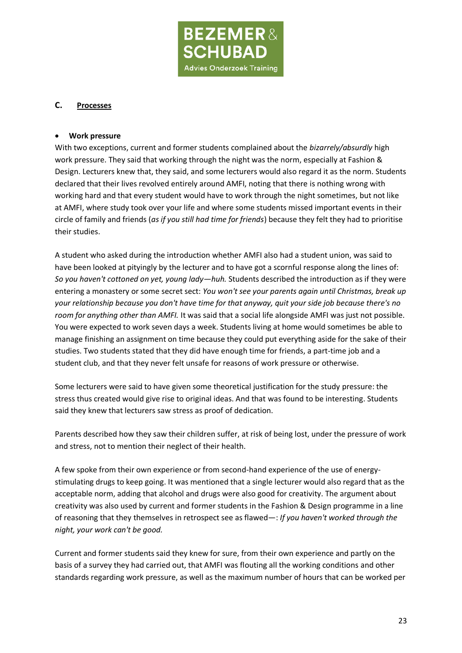

#### **C. Processes**

#### • **Work pressure**

With two exceptions, current and former students complained about the *bizarrely/absurdly* high work pressure. They said that working through the night was the norm, especially at Fashion & Design. Lecturers knew that, they said, and some lecturers would also regard it as the norm. Students declared that their lives revolved entirely around AMFI, noting that there is nothing wrong with working hard and that every student would have to work through the night sometimes, but not like at AMFI, where study took over your life and where some students missed important events in their circle of family and friends (*as if you still had time for friends*) because they felt they had to prioritise their studies.

A student who asked during the introduction whether AMFI also had a student union, was said to have been looked at pityingly by the lecturer and to have got a scornful response along the lines of: *So you haven't cottoned on yet, young lady—huh.* Students described the introduction as if they were entering a monastery or some secret sect: *You won't see your parents again until Christmas, break up your relationship because you don't have time for that anyway, quit your side job because there's no room for anything other than AMFI.* It was said that a social life alongside AMFI was just not possible. You were expected to work seven days a week. Students living at home would sometimes be able to manage finishing an assignment on time because they could put everything aside for the sake of their studies. Two students stated that they did have enough time for friends, a part-time job and a student club, and that they never felt unsafe for reasons of work pressure or otherwise.

Some lecturers were said to have given some theoretical justification for the study pressure: the stress thus created would give rise to original ideas. And that was found to be interesting. Students said they knew that lecturers saw stress as proof of dedication.

Parents described how they saw their children suffer, at risk of being lost, under the pressure of work and stress, not to mention their neglect of their health.

A few spoke from their own experience or from second-hand experience of the use of energystimulating drugs to keep going. It was mentioned that a single lecturer would also regard that as the acceptable norm, adding that alcohol and drugs were also good for creativity. The argument about creativity was also used by current and former students in the Fashion & Design programme in a line of reasoning that they themselves in retrospect see as flawed—: *If you haven't worked through the night, your work can't be good.*

Current and former students said they knew for sure, from their own experience and partly on the basis of a survey they had carried out, that AMFI was flouting all the working conditions and other standards regarding work pressure, as well as the maximum number of hours that can be worked per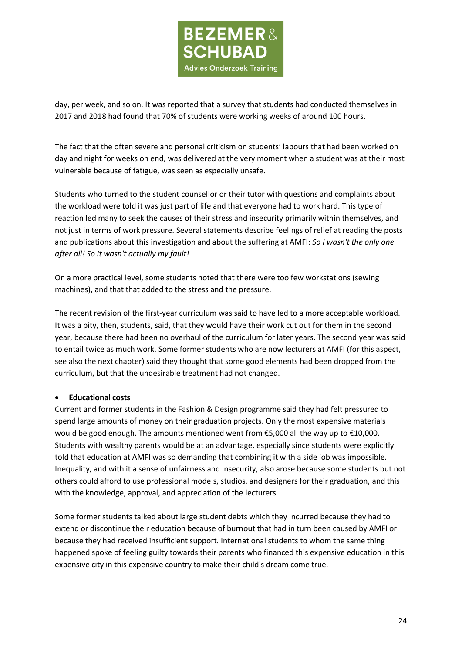

day, per week, and so on. It was reported that a survey that students had conducted themselves in 2017 and 2018 had found that 70% of students were working weeks of around 100 hours.

The fact that the often severe and personal criticism on students' labours that had been worked on day and night for weeks on end, was delivered at the very moment when a student was at their most vulnerable because of fatigue, was seen as especially unsafe.

Students who turned to the student counsellor or their tutor with questions and complaints about the workload were told it was just part of life and that everyone had to work hard. This type of reaction led many to seek the causes of their stress and insecurity primarily within themselves, and not just in terms of work pressure. Several statements describe feelings of relief at reading the posts and publications about this investigation and about the suffering at AMFI: *So I wasn't the only one after all! So it wasn't actually my fault!*

On a more practical level, some students noted that there were too few workstations (sewing machines), and that that added to the stress and the pressure.

The recent revision of the first-year curriculum was said to have led to a more acceptable workload. It was a pity, then, students, said, that they would have their work cut out for them in the second year, because there had been no overhaul of the curriculum for later years. The second year was said to entail twice as much work. Some former students who are now lecturers at AMFI (for this aspect, see also the next chapter) said they thought that some good elements had been dropped from the curriculum, but that the undesirable treatment had not changed.

### • **Educational costs**

Current and former students in the Fashion & Design programme said they had felt pressured to spend large amounts of money on their graduation projects. Only the most expensive materials would be good enough. The amounts mentioned went from €5,000 all the way up to €10,000. Students with wealthy parents would be at an advantage, especially since students were explicitly told that education at AMFI was so demanding that combining it with a side job was impossible. Inequality, and with it a sense of unfairness and insecurity, also arose because some students but not others could afford to use professional models, studios, and designers for their graduation, and this with the knowledge, approval, and appreciation of the lecturers.

Some former students talked about large student debts which they incurred because they had to extend or discontinue their education because of burnout that had in turn been caused by AMFI or because they had received insufficient support. International students to whom the same thing happened spoke of feeling guilty towards their parents who financed this expensive education in this expensive city in this expensive country to make their child's dream come true.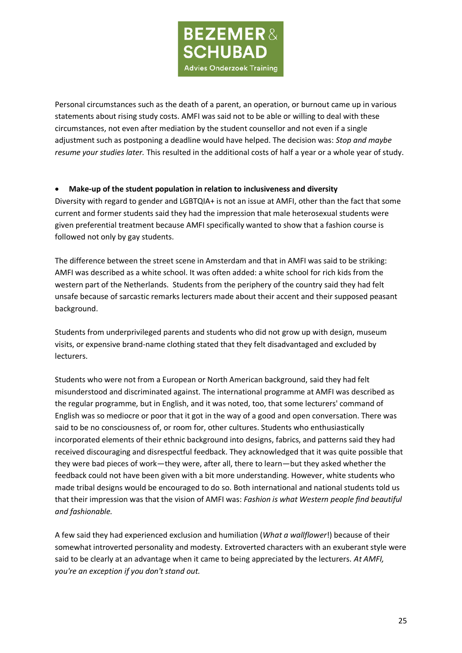

Personal circumstances such as the death of a parent, an operation, or burnout came up in various statements about rising study costs. AMFI was said not to be able or willing to deal with these circumstances, not even after mediation by the student counsellor and not even if a single adjustment such as postponing a deadline would have helped. The decision was: *Stop and maybe resume your studies later.* This resulted in the additional costs of half a year or a whole year of study.

### • **Make-up of the student population in relation to inclusiveness and diversity**

Diversity with regard to gender and LGBTQIA+ is not an issue at AMFI, other than the fact that some current and former students said they had the impression that male heterosexual students were given preferential treatment because AMFI specifically wanted to show that a fashion course is followed not only by gay students.

The difference between the street scene in Amsterdam and that in AMFI was said to be striking: AMFI was described as a white school. It was often added: a white school for rich kids from the western part of the Netherlands. Students from the periphery of the country said they had felt unsafe because of sarcastic remarks lecturers made about their accent and their supposed peasant background.

Students from underprivileged parents and students who did not grow up with design, museum visits, or expensive brand-name clothing stated that they felt disadvantaged and excluded by lecturers.

Students who were not from a European or North American background, said they had felt misunderstood and discriminated against. The international programme at AMFI was described as the regular programme, but in English, and it was noted, too, that some lecturers' command of English was so mediocre or poor that it got in the way of a good and open conversation. There was said to be no consciousness of, or room for, other cultures. Students who enthusiastically incorporated elements of their ethnic background into designs, fabrics, and patterns said they had received discouraging and disrespectful feedback. They acknowledged that it was quite possible that they were bad pieces of work—they were, after all, there to learn—but they asked whether the feedback could not have been given with a bit more understanding. However, white students who made tribal designs would be encouraged to do so. Both international and national students told us that their impression was that the vision of AMFI was: *Fashion is what Western people find beautiful and fashionable.*

A few said they had experienced exclusion and humiliation (*What a wallflower*!) because of their somewhat introverted personality and modesty. Extroverted characters with an exuberant style were said to be clearly at an advantage when it came to being appreciated by the lecturers. *At AMFI, you're an exception if you don't stand out.*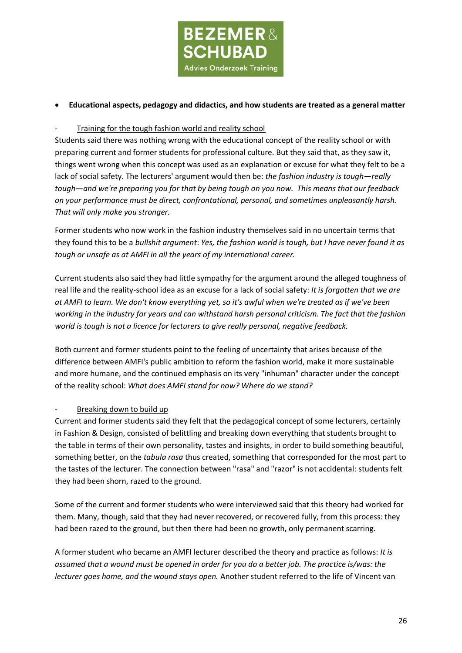

## • **Educational aspects, pedagogy and didactics, and how students are treated as a general matter**

### Training for the tough fashion world and reality school

Students said there was nothing wrong with the educational concept of the reality school or with preparing current and former students for professional culture. But they said that, as they saw it, things went wrong when this concept was used as an explanation or excuse for what they felt to be a lack of social safety. The lecturers' argument would then be: *the fashion industry is tough—really tough—and we're preparing you for that by being tough on you now. This means that our feedback on your performance must be direct, confrontational, personal, and sometimes unpleasantly harsh. That will only make you stronger.*

Former students who now work in the fashion industry themselves said in no uncertain terms that they found this to be a *bullshit argument*: *Yes, the fashion world is tough, but I have never found it as tough or unsafe as at AMFI in all the years of my international career.*

Current students also said they had little sympathy for the argument around the alleged toughness of real life and the reality-school idea as an excuse for a lack of social safety: *It is forgotten that we are at AMFI to learn. We don't know everything yet, so it's awful when we're treated as if we've been working in the industry for years and can withstand harsh personal criticism. The fact that the fashion world is tough is not a licence for lecturers to give really personal, negative feedback.*

Both current and former students point to the feeling of uncertainty that arises because of the difference between AMFI's public ambition to reform the fashion world, make it more sustainable and more humane, and the continued emphasis on its very "inhuman" character under the concept of the reality school: *What does AMFI stand for now? Where do we stand?*

### Breaking down to build up

Current and former students said they felt that the pedagogical concept of some lecturers, certainly in Fashion & Design, consisted of belittling and breaking down everything that students brought to the table in terms of their own personality, tastes and insights, in order to build something beautiful, something better, on the *tabula rasa* thus created, something that corresponded for the most part to the tastes of the lecturer. The connection between "rasa" and "razor" is not accidental: students felt they had been shorn, razed to the ground.

Some of the current and former students who were interviewed said that this theory had worked for them. Many, though, said that they had never recovered, or recovered fully, from this process: they had been razed to the ground, but then there had been no growth, only permanent scarring.

A former student who became an AMFI lecturer described the theory and practice as follows: *It is assumed that a wound must be opened in order for you do a better job. The practice is/was: the lecturer goes home, and the wound stays open.* Another student referred to the life of Vincent van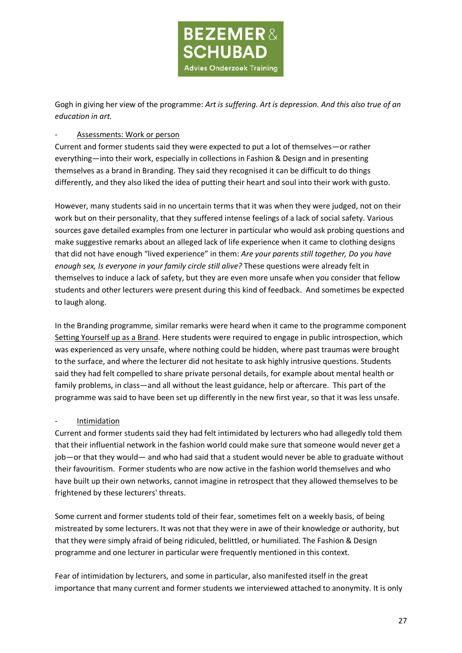

Gogh in giving her view of the programme: *Art is suffering. Art is depression. And this also true of an education in art.*

#### Assessments: Work or person

Current and former students said they were expected to put a lot of themselves—or rather everything—into their work, especially in collections in Fashion & Design and in presenting themselves as a brand in Branding. They said they recognised it can be difficult to do things differently, and they also liked the idea of putting their heart and soul into their work with gusto.

However, many students said in no uncertain terms that it was when they were judged, not on their work but on their personality, that they suffered intense feelings of a lack of social safety. Various sources gave detailed examples from one lecturer in particular who would ask probing questions and make suggestive remarks about an alleged lack of life experience when it came to clothing designs that did not have enough "lived experience" in them: *Are your parents still together, Do you have enough sex, Is everyone in your family circle still alive?* These questions were already felt in themselves to induce a lack of safety, but they are even more unsafe when you consider that fellow students and other lecturers were present during this kind of feedback. And sometimes be expected to laugh along.

In the Branding programme, similar remarks were heard when it came to the programme component Setting Yourself up as a Brand. Here students were required to engage in public introspection, which was experienced as very unsafe, where nothing could be hidden, where past traumas were brought to the surface, and where the lecturer did not hesitate to ask highly intrusive questions. Students said they had felt compelled to share private personal details, for example about mental health or family problems, in class—and all without the least guidance, help or aftercare. This part of the programme was said to have been set up differently in the new first year, so that it was less unsafe.

#### **Intimidation**

Current and former students said they had felt intimidated by lecturers who had allegedly told them that their influential network in the fashion world could make sure that someone would never get a job—or that they would— and who had said that a student would never be able to graduate without their favouritism. Former students who are now active in the fashion world themselves and who have built up their own networks, cannot imagine in retrospect that they allowed themselves to be frightened by these lecturers' threats.

Some current and former students told of their fear, sometimes felt on a weekly basis, of being mistreated by some lecturers. It was not that they were in awe of their knowledge or authority, but that they were simply afraid of being ridiculed, belittled, or humiliated. The Fashion & Design programme and one lecturer in particular were frequently mentioned in this context.

Fear of intimidation by lecturers, and some in particular, also manifested itself in the great importance that many current and former students we interviewed attached to anonymity. It is only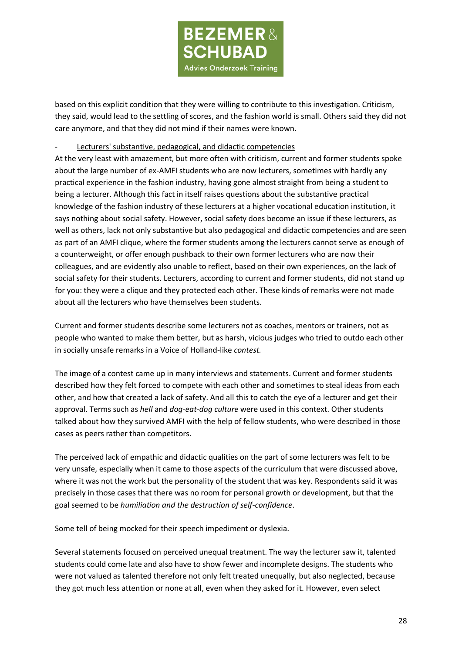

based on this explicit condition that they were willing to contribute to this investigation. Criticism, they said, would lead to the settling of scores, and the fashion world is small. Others said they did not care anymore, and that they did not mind if their names were known.

#### Lecturers' substantive, pedagogical, and didactic competencies

At the very least with amazement, but more often with criticism, current and former students spoke about the large number of ex-AMFI students who are now lecturers, sometimes with hardly any practical experience in the fashion industry, having gone almost straight from being a student to being a lecturer. Although this fact in itself raises questions about the substantive practical knowledge of the fashion industry of these lecturers at a higher vocational education institution, it says nothing about social safety. However, social safety does become an issue if these lecturers, as well as others, lack not only substantive but also pedagogical and didactic competencies and are seen as part of an AMFI clique, where the former students among the lecturers cannot serve as enough of a counterweight, or offer enough pushback to their own former lecturers who are now their colleagues, and are evidently also unable to reflect, based on their own experiences, on the lack of social safety for their students. Lecturers, according to current and former students, did not stand up for you: they were a clique and they protected each other. These kinds of remarks were not made about all the lecturers who have themselves been students.

Current and former students describe some lecturers not as coaches, mentors or trainers, not as people who wanted to make them better, but as harsh, vicious judges who tried to outdo each other in socially unsafe remarks in a Voice of Holland-like *contest.*

The image of a contest came up in many interviews and statements. Current and former students described how they felt forced to compete with each other and sometimes to steal ideas from each other, and how that created a lack of safety. And all this to catch the eye of a lecturer and get their approval. Terms such as *hell* and *dog-eat-dog culture* were used in this context. Other students talked about how they survived AMFI with the help of fellow students, who were described in those cases as peers rather than competitors.

The perceived lack of empathic and didactic qualities on the part of some lecturers was felt to be very unsafe, especially when it came to those aspects of the curriculum that were discussed above, where it was not the work but the personality of the student that was key. Respondents said it was precisely in those cases that there was no room for personal growth or development, but that the goal seemed to be *humiliation and the destruction of self-confidence*.

Some tell of being mocked for their speech impediment or dyslexia.

Several statements focused on perceived unequal treatment. The way the lecturer saw it, talented students could come late and also have to show fewer and incomplete designs. The students who were not valued as talented therefore not only felt treated unequally, but also neglected, because they got much less attention or none at all, even when they asked for it. However, even select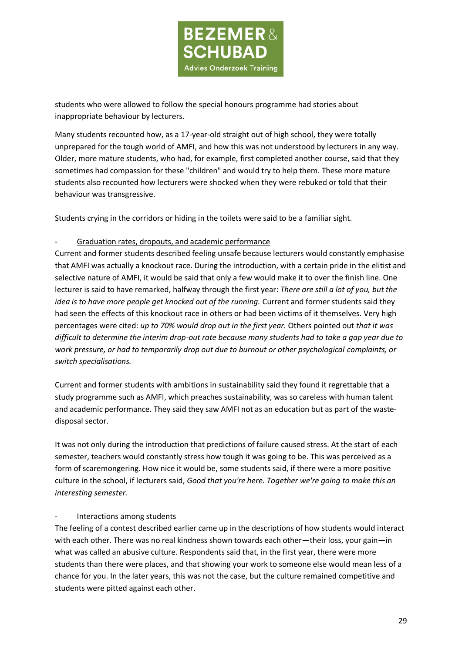

students who were allowed to follow the special honours programme had stories about inappropriate behaviour by lecturers.

Many students recounted how, as a 17-year-old straight out of high school, they were totally unprepared for the tough world of AMFI, and how this was not understood by lecturers in any way. Older, more mature students, who had, for example, first completed another course, said that they sometimes had compassion for these "children" and would try to help them. These more mature students also recounted how lecturers were shocked when they were rebuked or told that their behaviour was transgressive.

Students crying in the corridors or hiding in the toilets were said to be a familiar sight.

## - Graduation rates, dropouts, and academic performance

Current and former students described feeling unsafe because lecturers would constantly emphasise that AMFI was actually a knockout race. During the introduction, with a certain pride in the elitist and selective nature of AMFI, it would be said that only a few would make it to over the finish line. One lecturer is said to have remarked, halfway through the first year: *There are still a lot of you, but the idea is to have more people get knocked out of the running.* Current and former students said they had seen the effects of this knockout race in others or had been victims of it themselves. Very high percentages were cited: *up to 70% would drop out in the first year.* Others pointed out *that it was difficult to determine the interim drop-out rate because many students had to take a gap year due to work pressure, or had to temporarily drop out due to burnout or other psychological complaints, or switch specialisations.*

Current and former students with ambitions in sustainability said they found it regrettable that a study programme such as AMFI, which preaches sustainability, was so careless with human talent and academic performance. They said they saw AMFI not as an education but as part of the wastedisposal sector.

It was not only during the introduction that predictions of failure caused stress. At the start of each semester, teachers would constantly stress how tough it was going to be. This was perceived as a form of scaremongering. How nice it would be, some students said, if there were a more positive culture in the school, if lecturers said, *Good that you're here. Together we're going to make this an interesting semester.*

### Interactions among students

The feeling of a contest described earlier came up in the descriptions of how students would interact with each other. There was no real kindness shown towards each other—their loss, your gain—in what was called an abusive culture. Respondents said that, in the first year, there were more students than there were places, and that showing your work to someone else would mean less of a chance for you. In the later years, this was not the case, but the culture remained competitive and students were pitted against each other.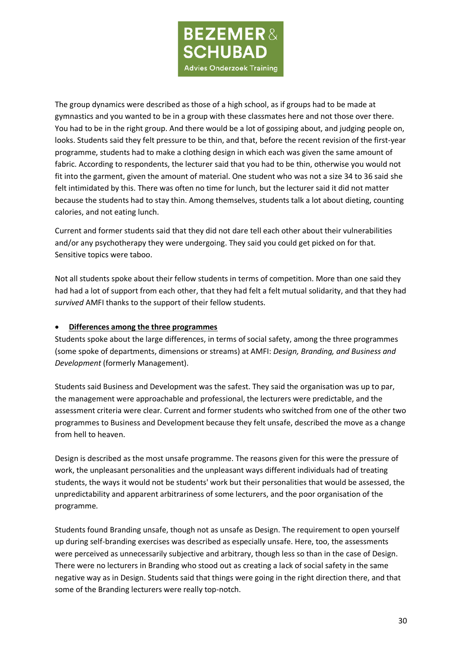

The group dynamics were described as those of a high school, as if groups had to be made at gymnastics and you wanted to be in a group with these classmates here and not those over there. You had to be in the right group. And there would be a lot of gossiping about, and judging people on, looks. Students said they felt pressure to be thin, and that, before the recent revision of the first-year programme, students had to make a clothing design in which each was given the same amount of fabric. According to respondents, the lecturer said that you had to be thin, otherwise you would not fit into the garment, given the amount of material. One student who was not a size 34 to 36 said she felt intimidated by this. There was often no time for lunch, but the lecturer said it did not matter because the students had to stay thin. Among themselves, students talk a lot about dieting, counting calories, and not eating lunch.

Current and former students said that they did not dare tell each other about their vulnerabilities and/or any psychotherapy they were undergoing. They said you could get picked on for that. Sensitive topics were taboo.

Not all students spoke about their fellow students in terms of competition. More than one said they had had a lot of support from each other, that they had felt a felt mutual solidarity, and that they had *survived* AMFI thanks to the support of their fellow students.

### • **Differences among the three programmes**

Students spoke about the large differences, in terms of social safety, among the three programmes (some spoke of departments, dimensions or streams) at AMFI: *Design, Branding, and Business and Development* (formerly Management).

Students said Business and Development was the safest. They said the organisation was up to par, the management were approachable and professional, the lecturers were predictable, and the assessment criteria were clear. Current and former students who switched from one of the other two programmes to Business and Development because they felt unsafe, described the move as a change from hell to heaven.

Design is described as the most unsafe programme. The reasons given for this were the pressure of work, the unpleasant personalities and the unpleasant ways different individuals had of treating students, the ways it would not be students' work but their personalities that would be assessed, the unpredictability and apparent arbitrariness of some lecturers, and the poor organisation of the programme.

Students found Branding unsafe, though not as unsafe as Design. The requirement to open yourself up during self-branding exercises was described as especially unsafe. Here, too, the assessments were perceived as unnecessarily subjective and arbitrary, though less so than in the case of Design. There were no lecturers in Branding who stood out as creating a lack of social safety in the same negative way as in Design. Students said that things were going in the right direction there, and that some of the Branding lecturers were really top-notch.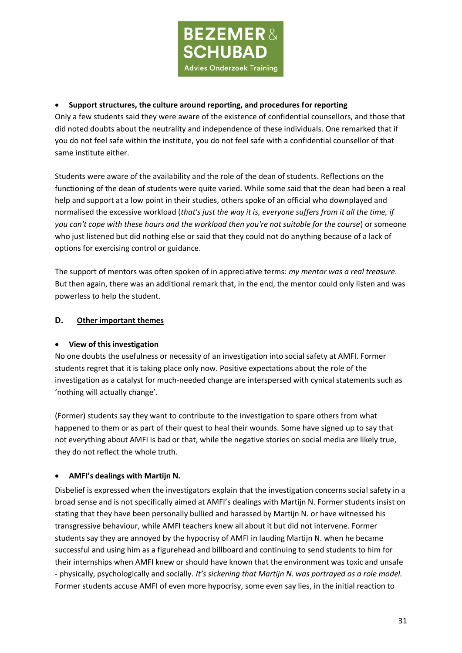

# • **Support structures, the culture around reporting, and procedures for reporting**

Only a few students said they were aware of the existence of confidential counsellors, and those that did noted doubts about the neutrality and independence of these individuals. One remarked that if you do not feel safe within the institute, you do not feel safe with a confidential counsellor of that same institute either.

Students were aware of the availability and the role of the dean of students. Reflections on the functioning of the dean of students were quite varied. While some said that the dean had been a real help and support at a low point in their studies, others spoke of an official who downplayed and normalised the excessive workload (*that's just the way it is, everyone suffers from it all the time, if you can't cope with these hours and the workload then you're not suitable for the course*) or someone who just listened but did nothing else or said that they could not do anything because of a lack of options for exercising control or guidance.

The support of mentors was often spoken of in appreciative terms: *my mentor was a real treasure*. But then again, there was an additional remark that, in the end, the mentor could only listen and was powerless to help the student.

## **D. Other important themes**

### • **View of this investigation**

No one doubts the usefulness or necessity of an investigation into social safety at AMFI. Former students regret that it is taking place only now. Positive expectations about the role of the investigation as a catalyst for much-needed change are interspersed with cynical statements such as 'nothing will actually change'.

(Former) students say they want to contribute to the investigation to spare others from what happened to them or as part of their quest to heal their wounds. Some have signed up to say that not everything about AMFI is bad or that, while the negative stories on social media are likely true, they do not reflect the whole truth.

### • **AMFI's dealings with Martijn N.**

Disbelief is expressed when the investigators explain that the investigation concerns social safety in a broad sense and is not specifically aimed at AMFI's dealings with Martijn N. Former students insist on stating that they have been personally bullied and harassed by Martijn N. or have witnessed his transgressive behaviour, while AMFI teachers knew all about it but did not intervene. Former students say they are annoyed by the hypocrisy of AMFI in lauding Martijn N. when he became successful and using him as a figurehead and billboard and continuing to send students to him for their internships when AMFI knew or should have known that the environment was toxic and unsafe - physically, psychologically and socially. *It's sickening that Martijn N. was portrayed as a role model.* Former students accuse AMFI of even more hypocrisy, some even say lies, in the initial reaction to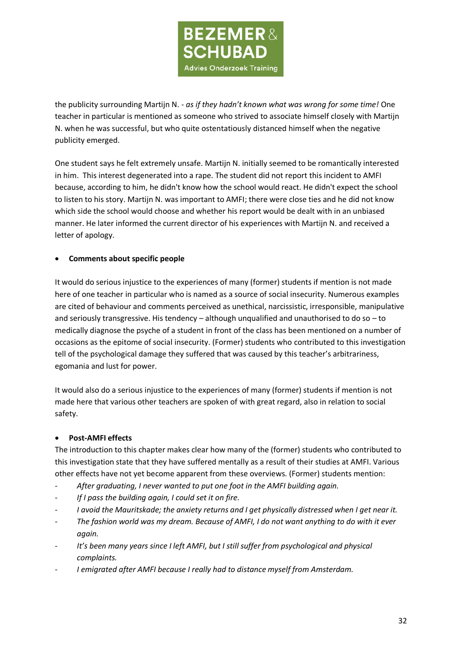

the publicity surrounding Martijn N. - *as if they hadn't known what was wrong for some time!* One teacher in particular is mentioned as someone who strived to associate himself closely with Martijn N. when he was successful, but who quite ostentatiously distanced himself when the negative publicity emerged.

One student says he felt extremely unsafe. Martijn N. initially seemed to be romantically interested in him. This interest degenerated into a rape. The student did not report this incident to AMFI because, according to him, he didn't know how the school would react. He didn't expect the school to listen to his story. Martijn N. was important to AMFI; there were close ties and he did not know which side the school would choose and whether his report would be dealt with in an unbiased manner. He later informed the current director of his experiences with Martijn N. and received a letter of apology.

## • **Comments about specific people**

It would do serious injustice to the experiences of many (former) students if mention is not made here of one teacher in particular who is named as a source of social insecurity. Numerous examples are cited of behaviour and comments perceived as unethical, narcissistic, irresponsible, manipulative and seriously transgressive. His tendency – although unqualified and unauthorised to do so – to medically diagnose the psyche of a student in front of the class has been mentioned on a number of occasions as the epitome of social insecurity. (Former) students who contributed to this investigation tell of the psychological damage they suffered that was caused by this teacher's arbitrariness, egomania and lust for power.

It would also do a serious injustice to the experiences of many (former) students if mention is not made here that various other teachers are spoken of with great regard, also in relation to social safety.

### • **Post-AMFI effects**

The introduction to this chapter makes clear how many of the (former) students who contributed to this investigation state that they have suffered mentally as a result of their studies at AMFI. Various other effects have not yet become apparent from these overviews. (Former) students mention:

- *After graduating, I never wanted to put one foot in the AMFI building again.*
- *If I pass the building again, I could set it on fire.*
- I avoid the Mauritskade; the anxiety returns and I get physically distressed when I get near it.
- *The fashion world was my dream. Because of AMFI, I do not want anything to do with it ever again.*
- *It's been many years since I left AMFI, but I still suffer from psychological and physical complaints.*
- I emigrated after AMFI because I really had to distance myself from Amsterdam.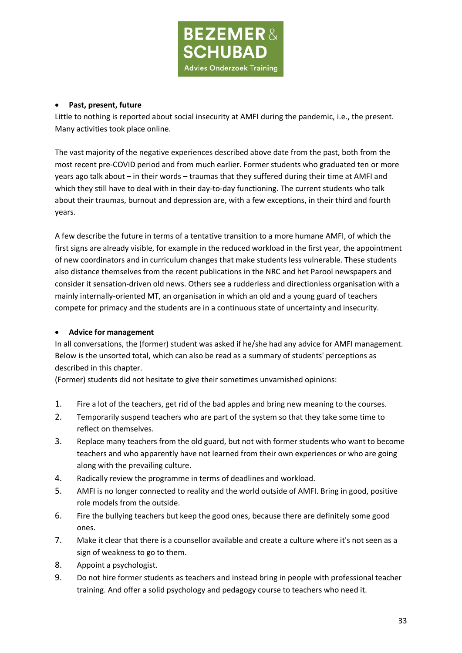

### • **Past, present, future**

Little to nothing is reported about social insecurity at AMFI during the pandemic, i.e., the present. Many activities took place online.

The vast majority of the negative experiences described above date from the past, both from the most recent pre-COVID period and from much earlier. Former students who graduated ten or more years ago talk about – in their words – traumas that they suffered during their time at AMFI and which they still have to deal with in their day-to-day functioning. The current students who talk about their traumas, burnout and depression are, with a few exceptions, in their third and fourth years.

A few describe the future in terms of a tentative transition to a more humane AMFI, of which the first signs are already visible, for example in the reduced workload in the first year, the appointment of new coordinators and in curriculum changes that make students less vulnerable. These students also distance themselves from the recent publications in the NRC and het Parool newspapers and consider it sensation-driven old news. Others see a rudderless and directionless organisation with a mainly internally-oriented MT, an organisation in which an old and a young guard of teachers compete for primacy and the students are in a continuous state of uncertainty and insecurity.

### • **Advice for management**

In all conversations, the (former) student was asked if he/she had any advice for AMFI management. Below is the unsorted total, which can also be read as a summary of students' perceptions as described in this chapter.

(Former) students did not hesitate to give their sometimes unvarnished opinions:

- 1. Fire a lot of the teachers, get rid of the bad apples and bring new meaning to the courses.
- 2. Temporarily suspend teachers who are part of the system so that they take some time to reflect on themselves.
- 3. Replace many teachers from the old guard, but not with former students who want to become teachers and who apparently have not learned from their own experiences or who are going along with the prevailing culture.
- 4. Radically review the programme in terms of deadlines and workload.
- 5. AMFI is no longer connected to reality and the world outside of AMFI. Bring in good, positive role models from the outside.
- 6. Fire the bullying teachers but keep the good ones, because there are definitely some good ones.
- 7. Make it clear that there is a counsellor available and create a culture where it's not seen as a sign of weakness to go to them.
- 8. Appoint a psychologist.
- 9. Do not hire former students as teachers and instead bring in people with professional teacher training. And offer a solid psychology and pedagogy course to teachers who need it.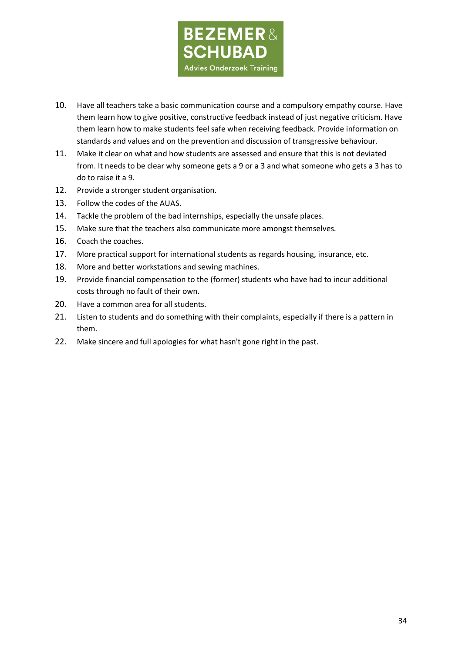

- 10. Have all teachers take a basic communication course and a compulsory empathy course. Have them learn how to give positive, constructive feedback instead of just negative criticism. Have them learn how to make students feel safe when receiving feedback. Provide information on standards and values and on the prevention and discussion of transgressive behaviour.
- 11. Make it clear on what and how students are assessed and ensure that this is not deviated from. It needs to be clear why someone gets a 9 or a 3 and what someone who gets a 3 has to do to raise it a 9.
- 12. Provide a stronger student organisation.
- 13. Follow the codes of the AUAS.
- 14. Tackle the problem of the bad internships, especially the unsafe places.
- 15. Make sure that the teachers also communicate more amongst themselves.
- 16. Coach the coaches.
- 17. More practical support for international students as regards housing, insurance, etc.
- 18. More and better workstations and sewing machines.
- 19. Provide financial compensation to the (former) students who have had to incur additional costs through no fault of their own.
- 20. Have a common area for all students.
- 21. Listen to students and do something with their complaints, especially if there is a pattern in them.
- 22. Make sincere and full apologies for what hasn't gone right in the past.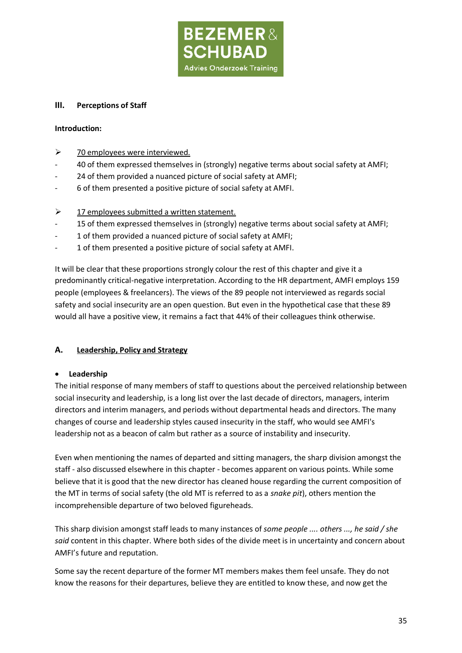

### **III. Perceptions of Staff**

## **Introduction:**

- $\geq$  70 employees were interviewed.
- 40 of them expressed themselves in (strongly) negative terms about social safety at AMFI;
- 24 of them provided a nuanced picture of social safety at AMFI;
- 6 of them presented a positive picture of social safety at AMFI.
- $\geq$  17 employees submitted a written statement.
- 15 of them expressed themselves in (strongly) negative terms about social safety at AMFI;
- 1 of them provided a nuanced picture of social safety at AMFI;
- 1 of them presented a positive picture of social safety at AMFI.

It will be clear that these proportions strongly colour the rest of this chapter and give it a predominantly critical-negative interpretation. According to the HR department, AMFI employs 159 people (employees & freelancers). The views of the 89 people not interviewed as regards social safety and social insecurity are an open question. But even in the hypothetical case that these 89 would all have a positive view, it remains a fact that 44% of their colleagues think otherwise.

# **A. Leadership, Policy and Strategy**

### • **Leadership**

The initial response of many members of staff to questions about the perceived relationship between social insecurity and leadership, is a long list over the last decade of directors, managers, interim directors and interim managers, and periods without departmental heads and directors. The many changes of course and leadership styles caused insecurity in the staff, who would see AMFI's leadership not as a beacon of calm but rather as a source of instability and insecurity.

Even when mentioning the names of departed and sitting managers, the sharp division amongst the staff - also discussed elsewhere in this chapter - becomes apparent on various points. While some believe that it is good that the new director has cleaned house regarding the current composition of the MT in terms of social safety (the old MT is referred to as a *snake pit*), others mention the incomprehensible departure of two beloved figureheads.

This sharp division amongst staff leads to many instances of *some people .... others ..., he said / she said* content in this chapter. Where both sides of the divide meet is in uncertainty and concern about AMFI's future and reputation.

Some say the recent departure of the former MT members makes them feel unsafe. They do not know the reasons for their departures, believe they are entitled to know these, and now get the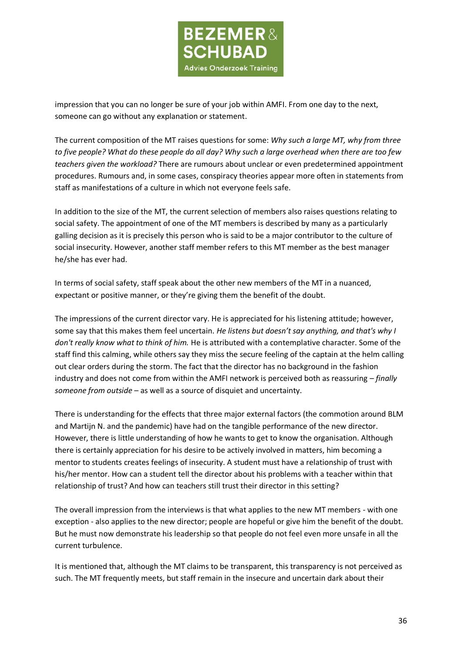

impression that you can no longer be sure of your job within AMFI. From one day to the next, someone can go without any explanation or statement.

The current composition of the MT raises questions for some: *Why such a large MT, why from three to five people? What do these people do all day? Why such a large overhead when there are too few teachers given the workload?* There are rumours about unclear or even predetermined appointment procedures. Rumours and, in some cases, conspiracy theories appear more often in statements from staff as manifestations of a culture in which not everyone feels safe.

In addition to the size of the MT, the current selection of members also raises questions relating to social safety. The appointment of one of the MT members is described by many as a particularly galling decision as it is precisely this person who is said to be a major contributor to the culture of social insecurity. However, another staff member refers to this MT member as the best manager he/she has ever had.

In terms of social safety, staff speak about the other new members of the MT in a nuanced, expectant or positive manner, or they're giving them the benefit of the doubt.

The impressions of the current director vary. He is appreciated for his listening attitude; however, some say that this makes them feel uncertain. *He listens but doesn't say anything, and that's why I don't really know what to think of him.* He is attributed with a contemplative character. Some of the staff find this calming, while others say they miss the secure feeling of the captain at the helm calling out clear orders during the storm. The fact that the director has no background in the fashion industry and does not come from within the AMFI network is perceived both as reassuring – *finally someone from outside* – as well as a source of disquiet and uncertainty.

There is understanding for the effects that three major external factors (the commotion around BLM and Martijn N. and the pandemic) have had on the tangible performance of the new director. However, there is little understanding of how he wants to get to know the organisation. Although there is certainly appreciation for his desire to be actively involved in matters, him becoming a mentor to students creates feelings of insecurity. A student must have a relationship of trust with his/her mentor. How can a student tell the director about his problems with a teacher within that relationship of trust? And how can teachers still trust their director in this setting?

The overall impression from the interviews is that what applies to the new MT members - with one exception - also applies to the new director; people are hopeful or give him the benefit of the doubt. But he must now demonstrate his leadership so that people do not feel even more unsafe in all the current turbulence.

It is mentioned that, although the MT claims to be transparent, this transparency is not perceived as such. The MT frequently meets, but staff remain in the insecure and uncertain dark about their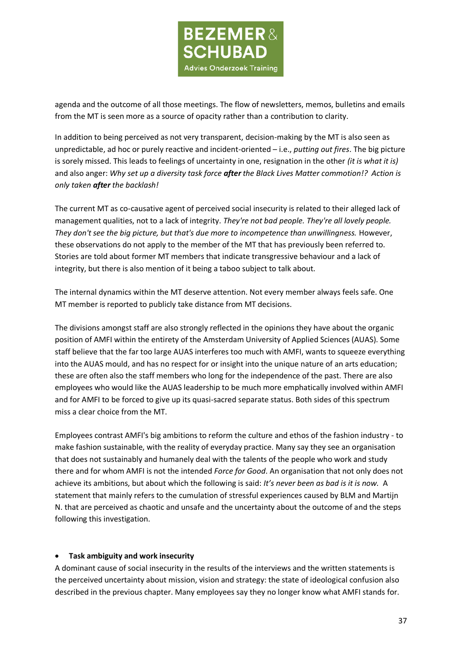

agenda and the outcome of all those meetings. The flow of newsletters, memos, bulletins and emails from the MT is seen more as a source of opacity rather than a contribution to clarity.

In addition to being perceived as not very transparent, decision-making by the MT is also seen as unpredictable, ad hoc or purely reactive and incident-oriented – i.e., *putting out fires*. The big picture is sorely missed. This leads to feelings of uncertainty in one, resignation in the other *(it is what it is)*  and also anger: *Why set up a diversity task force after the Black Lives Matter commotion!? Action is only taken after the backlash!*

The current MT as co-causative agent of perceived social insecurity is related to their alleged lack of management qualities, not to a lack of integrity. *They're not bad people. They're all lovely people. They don't see the big picture, but that's due more to incompetence than unwillingness.* However, these observations do not apply to the member of the MT that has previously been referred to. Stories are told about former MT members that indicate transgressive behaviour and a lack of integrity, but there is also mention of it being a taboo subject to talk about.

The internal dynamics within the MT deserve attention. Not every member always feels safe. One MT member is reported to publicly take distance from MT decisions.

The divisions amongst staff are also strongly reflected in the opinions they have about the organic position of AMFI within the entirety of the Amsterdam University of Applied Sciences (AUAS). Some staff believe that the far too large AUAS interferes too much with AMFI, wants to squeeze everything into the AUAS mould, and has no respect for or insight into the unique nature of an arts education; these are often also the staff members who long for the independence of the past. There are also employees who would like the AUAS leadership to be much more emphatically involved within AMFI and for AMFI to be forced to give up its quasi-sacred separate status. Both sides of this spectrum miss a clear choice from the MT.

Employees contrast AMFI's big ambitions to reform the culture and ethos of the fashion industry - to make fashion sustainable, with the reality of everyday practice. Many say they see an organisation that does not sustainably and humanely deal with the talents of the people who work and study there and for whom AMFI is not the intended *Force for Good*. An organisation that not only does not achieve its ambitions, but about which the following is said: *It's never been as bad is it is now.* A statement that mainly refers to the cumulation of stressful experiences caused by BLM and Martijn N. that are perceived as chaotic and unsafe and the uncertainty about the outcome of and the steps following this investigation.

#### • **Task ambiguity and work insecurity**

A dominant cause of social insecurity in the results of the interviews and the written statements is the perceived uncertainty about mission, vision and strategy: the state of ideological confusion also described in the previous chapter. Many employees say they no longer know what AMFI stands for.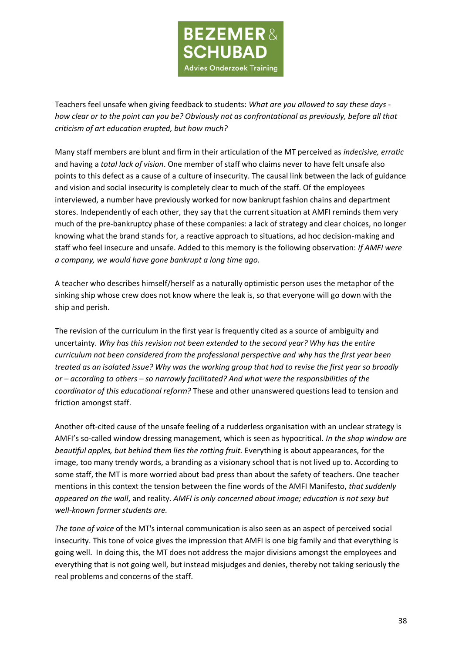

Teachers feel unsafe when giving feedback to students: *What are you allowed to say these days how clear or to the point can you be? Obviously not as confrontational as previously, before all that criticism of art education erupted, but how much?*

Many staff members are blunt and firm in their articulation of the MT perceived as *indecisive, erratic* and having a *total lack of vision*. One member of staff who claims never to have felt unsafe also points to this defect as a cause of a culture of insecurity. The causal link between the lack of guidance and vision and social insecurity is completely clear to much of the staff. Of the employees interviewed, a number have previously worked for now bankrupt fashion chains and department stores. Independently of each other, they say that the current situation at AMFI reminds them very much of the pre-bankruptcy phase of these companies: a lack of strategy and clear choices, no longer knowing what the brand stands for, a reactive approach to situations, ad hoc decision-making and staff who feel insecure and unsafe. Added to this memory is the following observation: *If AMFI were a company, we would have gone bankrupt a long time ago.*

A teacher who describes himself/herself as a naturally optimistic person uses the metaphor of the sinking ship whose crew does not know where the leak is, so that everyone will go down with the ship and perish.

The revision of the curriculum in the first year is frequently cited as a source of ambiguity and uncertainty. *Why has this revision not been extended to the second year? Why has the entire curriculum not been considered from the professional perspective and why has the first year been treated as an isolated issue? Why was the working group that had to revise the first year so broadly or – according to others – so narrowly facilitated? And what were the responsibilities of the coordinator of this educational reform?* These and other unanswered questions lead to tension and friction amongst staff.

Another oft-cited cause of the unsafe feeling of a rudderless organisation with an unclear strategy is AMFI's so-called window dressing management, which is seen as hypocritical. *In the shop window are beautiful apples, but behind them lies the rotting fruit.* Everything is about appearances, for the image, too many trendy words, a branding as a visionary school that is not lived up to. According to some staff, the MT is more worried about bad press than about the safety of teachers. One teacher mentions in this context the tension between the fine words of the AMFI Manifesto, *that suddenly appeared on the wall*, and reality. *AMFI is only concerned about image; education is not sexy but well-known former students are.*

*The tone of voice* of the MT's internal communication is also seen as an aspect of perceived social insecurity. This tone of voice gives the impression that AMFI is one big family and that everything is going well. In doing this, the MT does not address the major divisions amongst the employees and everything that is not going well, but instead misjudges and denies, thereby not taking seriously the real problems and concerns of the staff.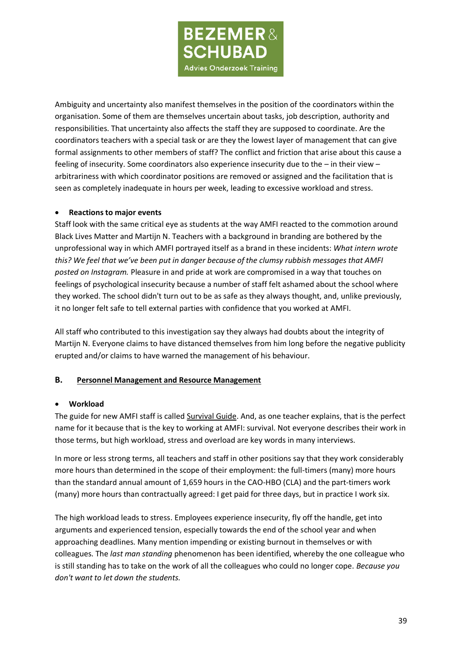**BEZEMER& SCHUBAD Advies Onderzoek Training** 

Ambiguity and uncertainty also manifest themselves in the position of the coordinators within the organisation. Some of them are themselves uncertain about tasks, job description, authority and responsibilities. That uncertainty also affects the staff they are supposed to coordinate. Are the coordinators teachers with a special task or are they the lowest layer of management that can give formal assignments to other members of staff? The conflict and friction that arise about this cause a feeling of insecurity. Some coordinators also experience insecurity due to the – in their view – arbitrariness with which coordinator positions are removed or assigned and the facilitation that is seen as completely inadequate in hours per week, leading to excessive workload and stress.

### • **Reactions to major events**

Staff look with the same critical eye as students at the way AMFI reacted to the commotion around Black Lives Matter and Martijn N. Teachers with a background in branding are bothered by the unprofessional way in which AMFI portrayed itself as a brand in these incidents: *What intern wrote this? We feel that we've been put in danger because of the clumsy rubbish messages that AMFI posted on Instagram.* Pleasure in and pride at work are compromised in a way that touches on feelings of psychological insecurity because a number of staff felt ashamed about the school where they worked. The school didn't turn out to be as safe as they always thought, and, unlike previously, it no longer felt safe to tell external parties with confidence that you worked at AMFI.

All staff who contributed to this investigation say they always had doubts about the integrity of Martijn N. Everyone claims to have distanced themselves from him long before the negative publicity erupted and/or claims to have warned the management of his behaviour.

# **B. Personnel Management and Resource Management**

### • **Workload**

The guide for new AMFI staff is called Survival Guide. And, as one teacher explains, that is the perfect name for it because that is the key to working at AMFI: survival. Not everyone describes their work in those terms, but high workload, stress and overload are key words in many interviews.

In more or less strong terms, all teachers and staff in other positions say that they work considerably more hours than determined in the scope of their employment: the full-timers (many) more hours than the standard annual amount of 1,659 hours in the CAO-HBO (CLA) and the part-timers work (many) more hours than contractually agreed: I get paid for three days, but in practice I work six.

The high workload leads to stress. Employees experience insecurity, fly off the handle, get into arguments and experienced tension, especially towards the end of the school year and when approaching deadlines. Many mention impending or existing burnout in themselves or with colleagues. The *last man standing* phenomenon has been identified, whereby the one colleague who is still standing has to take on the work of all the colleagues who could no longer cope. *Because you don't want to let down the students.*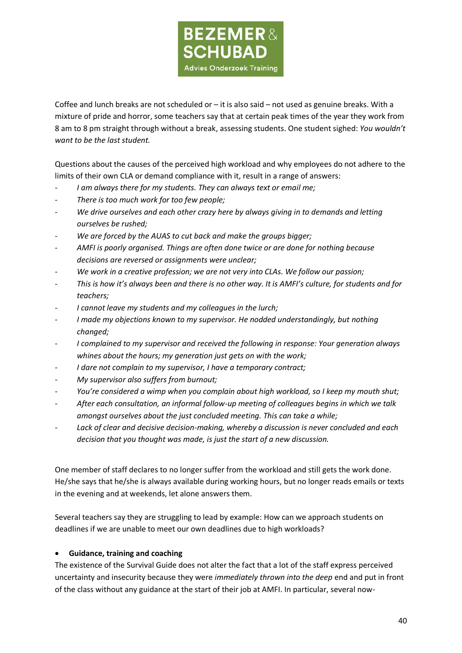

Coffee and lunch breaks are not scheduled or  $-$  it is also said  $-$  not used as genuine breaks. With a mixture of pride and horror, some teachers say that at certain peak times of the year they work from 8 am to 8 pm straight through without a break, assessing students. One student sighed: *You wouldn't want to be the last student.*

Questions about the causes of the perceived high workload and why employees do not adhere to the limits of their own CLA or demand compliance with it, result in a range of answers:

- I am always there for my students. They can always text or email me;
- *There is too much work for too few people;*
- We drive ourselves and each other crazy here by always giving in to demands and letting *ourselves be rushed;*
- We are forced by the AUAS to cut back and make the groups bigger;
- *AMFI is poorly organised. Things are often done twice or are done for nothing because decisions are reversed or assignments were unclear;*
- We work in a creative profession; we are not very into CLAs. We follow our passion;
- *This is how it's always been and there is no other way. It is AMFI's culture, for students and for teachers;*
- *I cannot leave my students and my colleagues in the lurch;*
- *I made my objections known to my supervisor. He nodded understandingly, but nothing changed;*
- *I complained to my supervisor and received the following in response: Your generation always whines about the hours; my generation just gets on with the work;*
- *I dare not complain to my supervisor, I have a temporary contract;*
- *My supervisor also suffers from burnout;*
- *You're considered a wimp when you complain about high workload, so I keep my mouth shut;*
- *After each consultation, an informal follow-up meeting of colleagues begins in which we talk amongst ourselves about the just concluded meeting. This can take a while;*
- Lack of clear and decisive decision-making, whereby a discussion is never concluded and each *decision that you thought was made, is just the start of a new discussion.*

One member of staff declares to no longer suffer from the workload and still gets the work done. He/she says that he/she is always available during working hours, but no longer reads emails or texts in the evening and at weekends, let alone answers them.

Several teachers say they are struggling to lead by example: How can we approach students on deadlines if we are unable to meet our own deadlines due to high workloads?

### • **Guidance, training and coaching**

The existence of the Survival Guide does not alter the fact that a lot of the staff express perceived uncertainty and insecurity because they were *immediately thrown into the deep* end and put in front of the class without any guidance at the start of their job at AMFI. In particular, several now-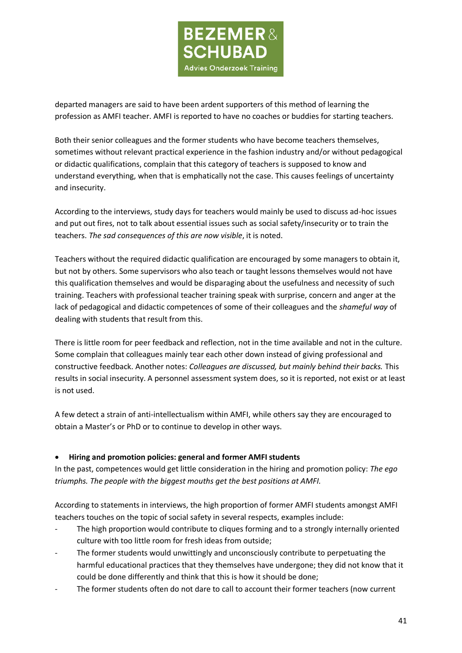

departed managers are said to have been ardent supporters of this method of learning the profession as AMFI teacher. AMFI is reported to have no coaches or buddies for starting teachers.

Both their senior colleagues and the former students who have become teachers themselves, sometimes without relevant practical experience in the fashion industry and/or without pedagogical or didactic qualifications, complain that this category of teachers is supposed to know and understand everything, when that is emphatically not the case. This causes feelings of uncertainty and insecurity.

According to the interviews, study days for teachers would mainly be used to discuss ad-hoc issues and put out fires, not to talk about essential issues such as social safety/insecurity or to train the teachers. *The sad consequences of this are now visible*, it is noted.

Teachers without the required didactic qualification are encouraged by some managers to obtain it, but not by others. Some supervisors who also teach or taught lessons themselves would not have this qualification themselves and would be disparaging about the usefulness and necessity of such training. Teachers with professional teacher training speak with surprise, concern and anger at the lack of pedagogical and didactic competences of some of their colleagues and the *shameful way* of dealing with students that result from this.

There is little room for peer feedback and reflection, not in the time available and not in the culture. Some complain that colleagues mainly tear each other down instead of giving professional and constructive feedback. Another notes: *Colleagues are discussed, but mainly behind their backs.* This results in social insecurity. A personnel assessment system does, so it is reported, not exist or at least is not used.

A few detect a strain of anti-intellectualism within AMFI, while others say they are encouraged to obtain a Master's or PhD or to continue to develop in other ways.

### • **Hiring and promotion policies: general and former AMFI students**

In the past, competences would get little consideration in the hiring and promotion policy: *The ego triumphs. The people with the biggest mouths get the best positions at AMFI.*

According to statements in interviews, the high proportion of former AMFI students amongst AMFI teachers touches on the topic of social safety in several respects, examples include:

- The high proportion would contribute to cliques forming and to a strongly internally oriented culture with too little room for fresh ideas from outside;
- The former students would unwittingly and unconsciously contribute to perpetuating the harmful educational practices that they themselves have undergone; they did not know that it could be done differently and think that this is how it should be done;
- The former students often do not dare to call to account their former teachers (now current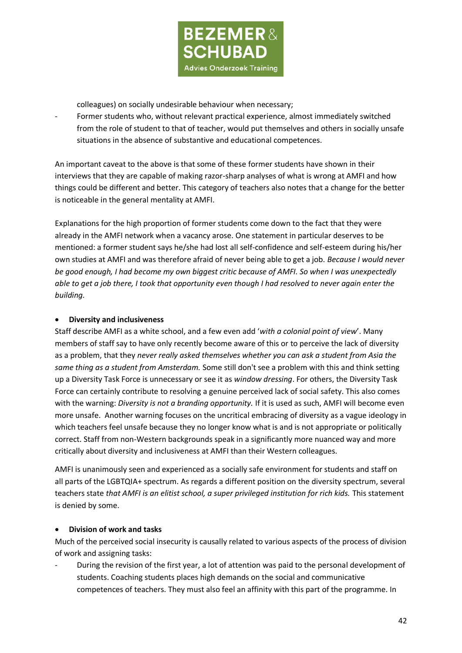

colleagues) on socially undesirable behaviour when necessary;

Former students who, without relevant practical experience, almost immediately switched from the role of student to that of teacher, would put themselves and others in socially unsafe situations in the absence of substantive and educational competences.

An important caveat to the above is that some of these former students have shown in their interviews that they are capable of making razor-sharp analyses of what is wrong at AMFI and how things could be different and better. This category of teachers also notes that a change for the better is noticeable in the general mentality at AMFI.

Explanations for the high proportion of former students come down to the fact that they were already in the AMFI network when a vacancy arose. One statement in particular deserves to be mentioned: a former student says he/she had lost all self-confidence and self-esteem during his/her own studies at AMFI and was therefore afraid of never being able to get a job. *Because I would never be good enough, I had become my own biggest critic because of AMFI. So when I was unexpectedly able to get a job there, I took that opportunity even though I had resolved to never again enter the building.*

### • **Diversity and inclusiveness**

Staff describe AMFI as a white school, and a few even add '*with a colonial point of view*'. Many members of staff say to have only recently become aware of this or to perceive the lack of diversity as a problem, that they *never really asked themselves whether you can ask a student from Asia the same thing as a student from Amsterdam.* Some still don't see a problem with this and think setting up a Diversity Task Force is unnecessary or see it as *window dressing*. For others, the Diversity Task Force can certainly contribute to resolving a genuine perceived lack of social safety. This also comes with the warning: *Diversity is not a branding opportunity.* If it is used as such, AMFI will become even more unsafe. Another warning focuses on the uncritical embracing of diversity as a vague ideology in which teachers feel unsafe because they no longer know what is and is not appropriate or politically correct. Staff from non-Western backgrounds speak in a significantly more nuanced way and more critically about diversity and inclusiveness at AMFI than their Western colleagues.

AMFI is unanimously seen and experienced as a socially safe environment for students and staff on all parts of the LGBTQIA+ spectrum. As regards a different position on the diversity spectrum, several teachers state *that AMFI is an elitist school, a super privileged institution for rich kids.* This statement is denied by some.

### • **Division of work and tasks**

Much of the perceived social insecurity is causally related to various aspects of the process of division of work and assigning tasks:

During the revision of the first year, a lot of attention was paid to the personal development of students. Coaching students places high demands on the social and communicative competences of teachers. They must also feel an affinity with this part of the programme. In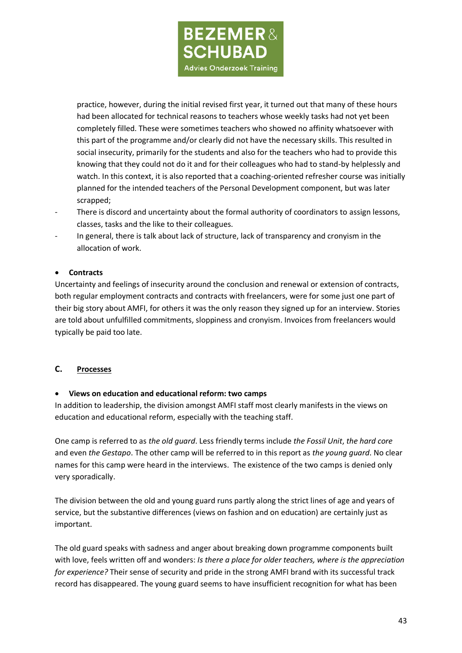

practice, however, during the initial revised first year, it turned out that many of these hours had been allocated for technical reasons to teachers whose weekly tasks had not yet been completely filled. These were sometimes teachers who showed no affinity whatsoever with this part of the programme and/or clearly did not have the necessary skills. This resulted in social insecurity, primarily for the students and also for the teachers who had to provide this knowing that they could not do it and for their colleagues who had to stand-by helplessly and watch. In this context, it is also reported that a coaching-oriented refresher course was initially planned for the intended teachers of the Personal Development component, but was later scrapped;

- There is discord and uncertainty about the formal authority of coordinators to assign lessons, classes, tasks and the like to their colleagues.
- In general, there is talk about lack of structure, lack of transparency and cronyism in the allocation of work.

## • **Contracts**

Uncertainty and feelings of insecurity around the conclusion and renewal or extension of contracts, both regular employment contracts and contracts with freelancers, were for some just one part of their big story about AMFI, for others it was the only reason they signed up for an interview. Stories are told about unfulfilled commitments, sloppiness and cronyism. Invoices from freelancers would typically be paid too late.

### **C. Processes**

### • **Views on education and educational reform: two camps**

In addition to leadership, the division amongst AMFI staff most clearly manifests in the views on education and educational reform, especially with the teaching staff.

One camp is referred to as *the old guard*. Less friendly terms include *the Fossil Unit*, *the hard core* and even *the Gestapo*. The other camp will be referred to in this report as *the young guard*. No clear names for this camp were heard in the interviews. The existence of the two camps is denied only very sporadically.

The division between the old and young guard runs partly along the strict lines of age and years of service, but the substantive differences (views on fashion and on education) are certainly just as important.

The old guard speaks with sadness and anger about breaking down programme components built with love, feels written off and wonders: *Is there a place for older teachers, where is the appreciation for experience?* Their sense of security and pride in the strong AMFI brand with its successful track record has disappeared. The young guard seems to have insufficient recognition for what has been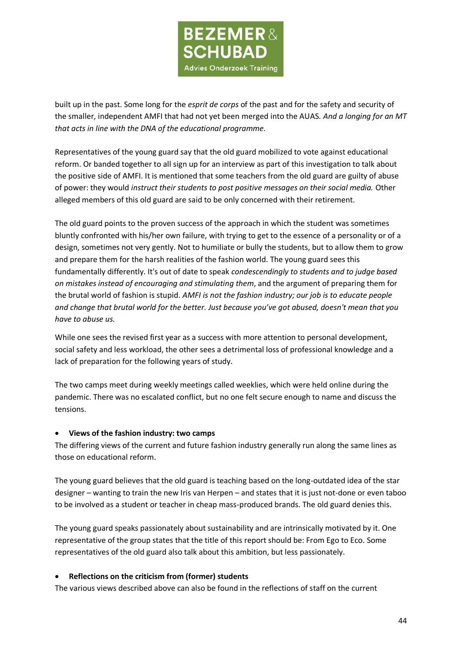

built up in the past. Some long for the *esprit de corps* of the past and for the safety and security of the smaller, independent AMFI that had not yet been merged into the AUAS. *And a longing for an MT that acts in line with the DNA of the educational programme.*

Representatives of the young guard say that the old guard mobilized to vote against educational reform. Or banded together to all sign up for an interview as part of this investigation to talk about the positive side of AMFI. It is mentioned that some teachers from the old guard are guilty of abuse of power: they would *instruct their students to post positive messages on their social media.* Other alleged members of this old guard are said to be only concerned with their retirement.

The old guard points to the proven success of the approach in which the student was sometimes bluntly confronted with his/her own failure, with trying to get to the essence of a personality or of a design, sometimes not very gently. Not to humiliate or bully the students, but to allow them to grow and prepare them for the harsh realities of the fashion world. The young guard sees this fundamentally differently. It's out of date to speak *condescendingly to students and to judge based on mistakes instead of encouraging and stimulating them*, and the argument of preparing them for the brutal world of fashion is stupid. *AMFI is not the fashion industry; our job is to educate people and change that brutal world for the better. Just because you've got abused, doesn't mean that you have to abuse us.*

While one sees the revised first year as a success with more attention to personal development, social safety and less workload, the other sees a detrimental loss of professional knowledge and a lack of preparation for the following years of study.

The two camps meet during weekly meetings called weeklies, which were held online during the pandemic. There was no escalated conflict, but no one felt secure enough to name and discuss the tensions.

### • **Views of the fashion industry: two camps**

The differing views of the current and future fashion industry generally run along the same lines as those on educational reform.

The young guard believes that the old guard is teaching based on the long-outdated idea of the star designer – wanting to train the new Iris van Herpen – and states that it is just not-done or even taboo to be involved as a student or teacher in cheap mass-produced brands. The old guard denies this.

The young guard speaks passionately about sustainability and are intrinsically motivated by it. One representative of the group states that the title of this report should be: From Ego to Eco. Some representatives of the old guard also talk about this ambition, but less passionately.

### • **Reflections on the criticism from (former) students**

The various views described above can also be found in the reflections of staff on the current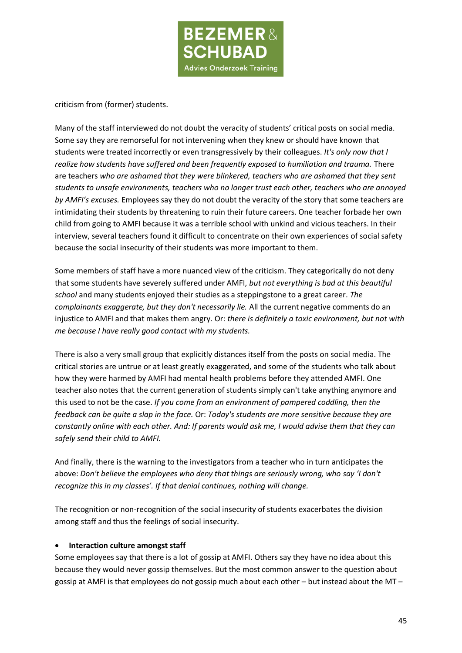

criticism from (former) students.

Many of the staff interviewed do not doubt the veracity of students' critical posts on social media. Some say they are remorseful for not intervening when they knew or should have known that students were treated incorrectly or even transgressively by their colleagues. *It's only now that I*  realize how students have suffered and been frequently exposed to humiliation and trauma. There are teachers *who are ashamed that they were blinkered, teachers who are ashamed that they sent students to unsafe environments, teachers who no longer trust each other, teachers who are annoyed by AMFI's excuses.* Employees say they do not doubt the veracity of the story that some teachers are intimidating their students by threatening to ruin their future careers. One teacher forbade her own child from going to AMFI because it was a terrible school with unkind and vicious teachers. In their interview, several teachers found it difficult to concentrate on their own experiences of social safety because the social insecurity of their students was more important to them.

Some members of staff have a more nuanced view of the criticism. They categorically do not deny that some students have severely suffered under AMFI, *but not everything is bad at this beautiful school* and many students enjoyed their studies as a steppingstone to a great career. *The complainants exaggerate, but they don't necessarily lie.* All the current negative comments do an injustice to AMFI and that makes them angry. Or: *there is definitely a toxic environment, but not with me because I have really good contact with my students.*

There is also a very small group that explicitly distances itself from the posts on social media. The critical stories are untrue or at least greatly exaggerated, and some of the students who talk about how they were harmed by AMFI had mental health problems before they attended AMFI. One teacher also notes that the current generation of students simply can't take anything anymore and this used to not be the case. *If you come from an environment of pampered coddling, then the feedback can be quite a slap in the face.* Or: *Today's students are more sensitive because they are constantly online with each other. And: If parents would ask me, I would advise them that they can safely send their child to AMFI.*

And finally, there is the warning to the investigators from a teacher who in turn anticipates the above: *Don't believe the employees who deny that things are seriously wrong, who say 'I don't recognize this in my classes'. If that denial continues, nothing will change.*

The recognition or non-recognition of the social insecurity of students exacerbates the division among staff and thus the feelings of social insecurity.

### • **Interaction culture amongst staff**

Some employees say that there is a lot of gossip at AMFI. Others say they have no idea about this because they would never gossip themselves. But the most common answer to the question about gossip at AMFI is that employees do not gossip much about each other – but instead about the MT –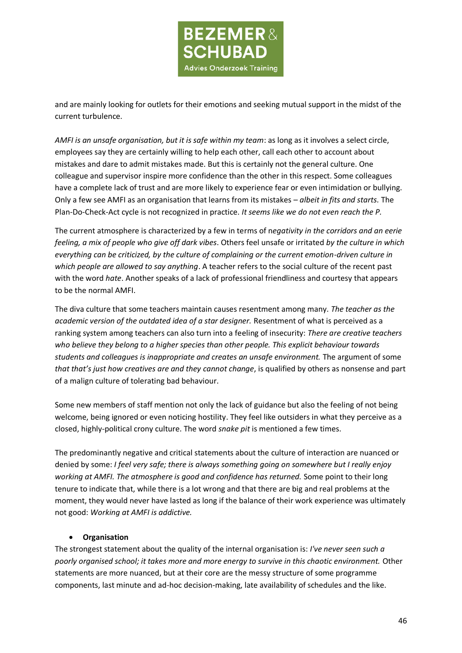

and are mainly looking for outlets for their emotions and seeking mutual support in the midst of the current turbulence.

*AMFI is an unsafe organisation, but it is safe within my team*: as long as it involves a select circle, employees say they are certainly willing to help each other, call each other to account about mistakes and dare to admit mistakes made. But this is certainly not the general culture. One colleague and supervisor inspire more confidence than the other in this respect. Some colleagues have a complete lack of trust and are more likely to experience fear or even intimidation or bullying. Only a few see AMFI as an organisation that learns from its mistakes – *albeit in fits and starts.* The Plan-Do-Check-Act cycle is not recognized in practice. *It seems like we do not even reach the P.*

The current atmosphere is characterized by a few in terms of n*egativity in the corridors and an eerie feeling, a mix of people who give off dark vibes*. Others feel unsafe or irritated *by the culture in which everything can be criticized, by the culture of complaining or the current emotion-driven culture in which people are allowed to say anything*. A teacher refers to the social culture of the recent past with the word *hate*. Another speaks of a lack of professional friendliness and courtesy that appears to be the normal AMFI.

The diva culture that some teachers maintain causes resentment among many. *The teacher as the academic version of the outdated idea of a star designer.* Resentment of what is perceived as a ranking system among teachers can also turn into a feeling of insecurity: *There are creative teachers who believe they belong to a higher species than other people. This explicit behaviour towards students and colleagues is inappropriate and creates an unsafe environment.* The argument of some *that that's just how creatives are and they cannot change*, is qualified by others as nonsense and part of a malign culture of tolerating bad behaviour.

Some new members of staff mention not only the lack of guidance but also the feeling of not being welcome, being ignored or even noticing hostility. They feel like outsiders in what they perceive as a closed, highly-political crony culture. The word *snake pit* is mentioned a few times.

The predominantly negative and critical statements about the culture of interaction are nuanced or denied by some: *I feel very safe; there is always something going on somewhere but I really enjoy working at AMFI. The atmosphere is good and confidence has returned.* Some point to their long tenure to indicate that, while there is a lot wrong and that there are big and real problems at the moment, they would never have lasted as long if the balance of their work experience was ultimately not good: *Working at AMFI is addictive.*

### • **Organisation**

The strongest statement about the quality of the internal organisation is: *I've never seen such a poorly organised school; it takes more and more energy to survive in this chaotic environment.* Other statements are more nuanced, but at their core are the messy structure of some programme components, last minute and ad-hoc decision-making, late availability of schedules and the like.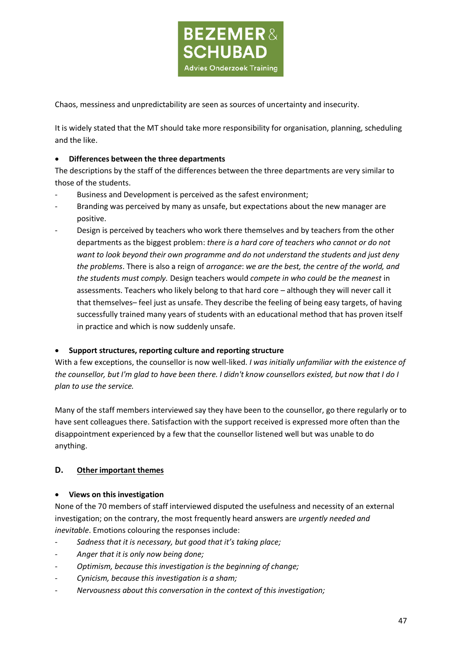

Chaos, messiness and unpredictability are seen as sources of uncertainty and insecurity.

It is widely stated that the MT should take more responsibility for organisation, planning, scheduling and the like.

#### • **Differences between the three departments**

The descriptions by the staff of the differences between the three departments are very similar to those of the students.

- Business and Development is perceived as the safest environment;
- Branding was perceived by many as unsafe, but expectations about the new manager are positive.
- Design is perceived by teachers who work there themselves and by teachers from the other departments as the biggest problem: *there is a hard core of teachers who cannot or do not want to look beyond their own programme and do not understand the students and just deny the problems*. There is also a reign of *arrogance*: *we are the best, the centre of the world, and the students must comply.* Design teachers would *compete in who could be the meanest* in assessments. Teachers who likely belong to that hard core – although they will never call it that themselves– feel just as unsafe. They describe the feeling of being easy targets, of having successfully trained many years of students with an educational method that has proven itself in practice and which is now suddenly unsafe.

#### • **Support structures, reporting culture and reporting structure**

With a few exceptions, the counsellor is now well-liked. *I was initially unfamiliar with the existence of the counsellor, but I'm glad to have been there. I didn't know counsellors existed, but now that I do I plan to use the service.*

Many of the staff members interviewed say they have been to the counsellor, go there regularly or to have sent colleagues there. Satisfaction with the support received is expressed more often than the disappointment experienced by a few that the counsellor listened well but was unable to do anything.

## **D. Other important themes**

#### • **Views on this investigation**

None of the 70 members of staff interviewed disputed the usefulness and necessity of an external investigation; on the contrary, the most frequently heard answers are *urgently needed and inevitable*. Emotions colouring the responses include:

- *Sadness that it is necessary, but good that it's taking place;*
- *Anger that it is only now being done;*
- *Optimism, because this investigation is the beginning of change;*
- *Cynicism, because this investigation is a sham;*
- *Nervousness about this conversation in the context of this investigation;*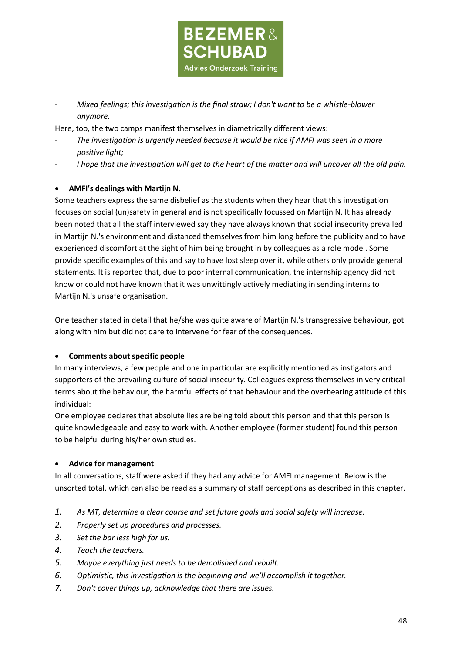

- *Mixed feelings; this investigation is the final straw; I don't want to be a whistle-blower anymore.*

Here, too, the two camps manifest themselves in diametrically different views:

- *The investigation is urgently needed because it would be nice if AMFI was seen in a more positive light;*
- I hope that the investigation will get to the heart of the matter and will uncover all the old pain.

## • **AMFI's dealings with Martijn N.**

Some teachers express the same disbelief as the students when they hear that this investigation focuses on social (un)safety in general and is not specifically focussed on Martijn N. It has already been noted that all the staff interviewed say they have always known that social insecurity prevailed in Martijn N.'s environment and distanced themselves from him long before the publicity and to have experienced discomfort at the sight of him being brought in by colleagues as a role model. Some provide specific examples of this and say to have lost sleep over it, while others only provide general statements. It is reported that, due to poor internal communication, the internship agency did not know or could not have known that it was unwittingly actively mediating in sending interns to Martijn N.'s unsafe organisation.

One teacher stated in detail that he/she was quite aware of Martijn N.'s transgressive behaviour, got along with him but did not dare to intervene for fear of the consequences.

### • **Comments about specific people**

In many interviews, a few people and one in particular are explicitly mentioned as instigators and supporters of the prevailing culture of social insecurity. Colleagues express themselves in very critical terms about the behaviour, the harmful effects of that behaviour and the overbearing attitude of this individual:

One employee declares that absolute lies are being told about this person and that this person is quite knowledgeable and easy to work with. Another employee (former student) found this person to be helpful during his/her own studies.

### • **Advice for management**

In all conversations, staff were asked if they had any advice for AMFI management. Below is the unsorted total, which can also be read as a summary of staff perceptions as described in this chapter.

- *1. As MT, determine a clear course and set future goals and social safety will increase.*
- *2. Properly set up procedures and processes.*
- *3. Set the bar less high for us.*
- *4. Teach the teachers.*
- *5. Maybe everything just needs to be demolished and rebuilt.*
- *6. Optimistic, this investigation is the beginning and we'll accomplish it together.*
- *7. Don't cover things up, acknowledge that there are issues.*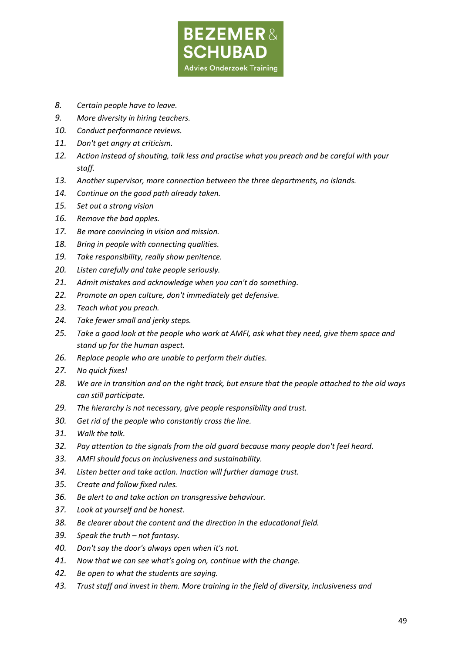

- *8. Certain people have to leave.*
- *9. More diversity in hiring teachers.*
- *10. Conduct performance reviews.*
- *11. Don't get angry at criticism.*
- *12. Action instead of shouting, talk less and practise what you preach and be careful with your staff.*
- *13. Another supervisor, more connection between the three departments, no islands.*
- *14. Continue on the good path already taken.*
- *15. Set out a strong vision*
- *16. Remove the bad apples.*
- *17. Be more convincing in vision and mission.*
- *18. Bring in people with connecting qualities.*
- *19. Take responsibility, really show penitence.*
- *20. Listen carefully and take people seriously.*
- *21. Admit mistakes and acknowledge when you can't do something.*
- *22. Promote an open culture, don't immediately get defensive.*
- *23. Teach what you preach.*
- *24. Take fewer small and jerky steps.*
- *25. Take a good look at the people who work at AMFI, ask what they need, give them space and stand up for the human aspect.*
- *26. Replace people who are unable to perform their duties.*
- *27. No quick fixes!*
- *28. We are in transition and on the right track, but ensure that the people attached to the old ways can still participate.*
- *29. The hierarchy is not necessary, give people responsibility and trust.*
- *30. Get rid of the people who constantly cross the line.*
- *31. Walk the talk.*
- *32. Pay attention to the signals from the old guard because many people don't feel heard.*
- *33. AMFI should focus on inclusiveness and sustainability.*
- *34. Listen better and take action. Inaction will further damage trust.*
- *35. Create and follow fixed rules.*
- *36. Be alert to and take action on transgressive behaviour.*
- *37. Look at yourself and be honest.*
- *38. Be clearer about the content and the direction in the educational field.*
- *39. Speak the truth – not fantasy.*
- *40. Don't say the door's always open when it's not.*
- *41. Now that we can see what's going on, continue with the change.*
- *42. Be open to what the students are saying.*
- *43. Trust staff and invest in them. More training in the field of diversity, inclusiveness and*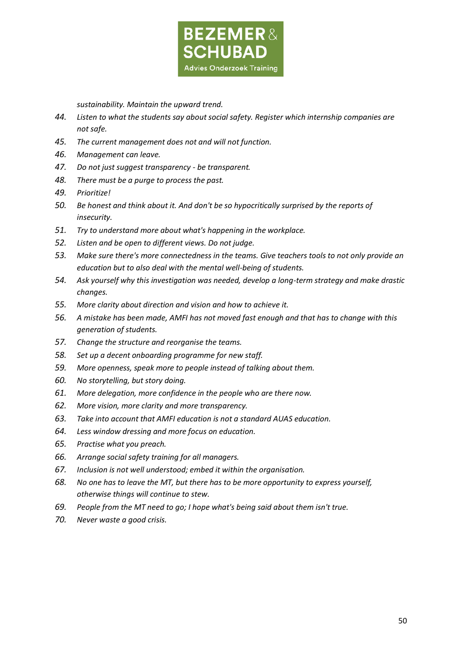

*sustainability. Maintain the upward trend.*

- *44. Listen to what the students say about social safety. Register which internship companies are not safe.*
- *45. The current management does not and will not function.*
- *46. Management can leave.*
- *47. Do not just suggest transparency - be transparent.*
- *48. There must be a purge to process the past.*
- *49. Prioritize!*
- *50. Be honest and think about it. And don't be so hypocritically surprised by the reports of insecurity.*
- *51. Try to understand more about what's happening in the workplace.*
- *52. Listen and be open to different views. Do not judge.*
- *53. Make sure there's more connectedness in the teams. Give teachers tools to not only provide an education but to also deal with the mental well-being of students.*
- *54. Ask yourself why this investigation was needed, develop a long-term strategy and make drastic changes.*
- *55. More clarity about direction and vision and how to achieve it.*
- *56. A mistake has been made, AMFI has not moved fast enough and that has to change with this generation of students.*
- *57. Change the structure and reorganise the teams.*
- *58. Set up a decent onboarding programme for new staff.*
- *59. More openness, speak more to people instead of talking about them.*
- *60. No storytelling, but story doing.*
- *61. More delegation, more confidence in the people who are there now.*
- *62. More vision, more clarity and more transparency.*
- *63. Take into account that AMFI education is not a standard AUAS education.*
- *64. Less window dressing and more focus on education.*
- *65. Practise what you preach.*
- *66. Arrange social safety training for all managers.*
- *67. Inclusion is not well understood; embed it within the organisation.*
- *68. No one has to leave the MT, but there has to be more opportunity to express yourself, otherwise things will continue to stew.*
- *69. People from the MT need to go; I hope what's being said about them isn't true.*
- *70. Never waste a good crisis.*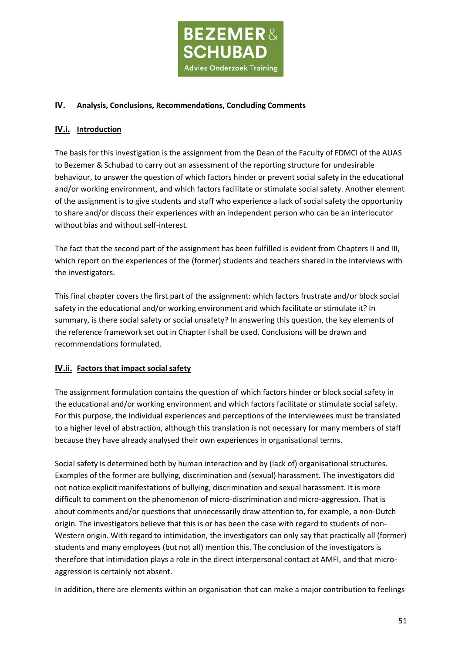

### **IV. Analysis, Conclusions, Recommendations, Concluding Comments**

## **IV.i. Introduction**

The basis for this investigation is the assignment from the Dean of the Faculty of FDMCI of the AUAS to Bezemer & Schubad to carry out an assessment of the reporting structure for undesirable behaviour, to answer the question of which factors hinder or prevent social safety in the educational and/or working environment, and which factors facilitate or stimulate social safety. Another element of the assignment is to give students and staff who experience a lack of social safety the opportunity to share and/or discuss their experiences with an independent person who can be an interlocutor without bias and without self-interest.

The fact that the second part of the assignment has been fulfilled is evident from Chapters II and III, which report on the experiences of the (former) students and teachers shared in the interviews with the investigators.

This final chapter covers the first part of the assignment: which factors frustrate and/or block social safety in the educational and/or working environment and which facilitate or stimulate it? In summary, is there social safety or social unsafety? In answering this question, the key elements of the reference framework set out in Chapter I shall be used. Conclusions will be drawn and recommendations formulated.

# **IV.ii. Factors that impact social safety**

The assignment formulation contains the question of which factors hinder or block social safety in the educational and/or working environment and which factors facilitate or stimulate social safety. For this purpose, the individual experiences and perceptions of the interviewees must be translated to a higher level of abstraction, although this translation is not necessary for many members of staff because they have already analysed their own experiences in organisational terms.

Social safety is determined both by human interaction and by (lack of) organisational structures. Examples of the former are bullying, discrimination and (sexual) harassment. The investigators did not notice explicit manifestations of bullying, discrimination and sexual harassment. It is more difficult to comment on the phenomenon of micro-discrimination and micro-aggression. That is about comments and/or questions that unnecessarily draw attention to, for example, a non-Dutch origin. The investigators believe that this is or has been the case with regard to students of non-Western origin. With regard to intimidation, the investigators can only say that practically all (former) students and many employees (but not all) mention this. The conclusion of the investigators is therefore that intimidation plays a role in the direct interpersonal contact at AMFI, and that microaggression is certainly not absent.

In addition, there are elements within an organisation that can make a major contribution to feelings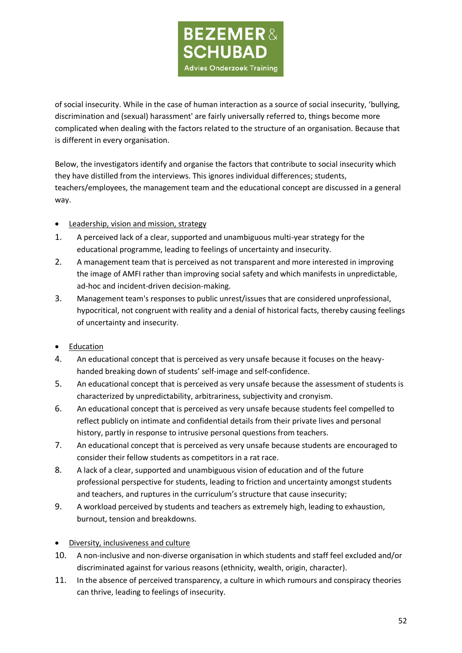

of social insecurity. While in the case of human interaction as a source of social insecurity, 'bullying, discrimination and (sexual) harassment' are fairly universally referred to, things become more complicated when dealing with the factors related to the structure of an organisation. Because that is different in every organisation.

Below, the investigators identify and organise the factors that contribute to social insecurity which they have distilled from the interviews. This ignores individual differences; students, teachers/employees, the management team and the educational concept are discussed in a general way.

- Leadership, vision and mission, strategy
- 1. A perceived lack of a clear, supported and unambiguous multi-year strategy for the educational programme, leading to feelings of uncertainty and insecurity.
- 2. A management team that is perceived as not transparent and more interested in improving the image of AMFI rather than improving social safety and which manifests in unpredictable, ad-hoc and incident-driven decision-making.
- 3. Management team's responses to public unrest/issues that are considered unprofessional, hypocritical, not congruent with reality and a denial of historical facts, thereby causing feelings of uncertainty and insecurity.
- Education
- 4. An educational concept that is perceived as very unsafe because it focuses on the heavyhanded breaking down of students' self-image and self-confidence.
- 5. An educational concept that is perceived as very unsafe because the assessment of students is characterized by unpredictability, arbitrariness, subjectivity and cronyism.
- 6. An educational concept that is perceived as very unsafe because students feel compelled to reflect publicly on intimate and confidential details from their private lives and personal history, partly in response to intrusive personal questions from teachers.
- 7. An educational concept that is perceived as very unsafe because students are encouraged to consider their fellow students as competitors in a rat race.
- 8. A lack of a clear, supported and unambiguous vision of education and of the future professional perspective for students, leading to friction and uncertainty amongst students and teachers, and ruptures in the curriculum's structure that cause insecurity;
- 9. A workload perceived by students and teachers as extremely high, leading to exhaustion, burnout, tension and breakdowns.
- Diversity, inclusiveness and culture
- 10. A non-inclusive and non-diverse organisation in which students and staff feel excluded and/or discriminated against for various reasons (ethnicity, wealth, origin, character).
- 11. In the absence of perceived transparency, a culture in which rumours and conspiracy theories can thrive, leading to feelings of insecurity.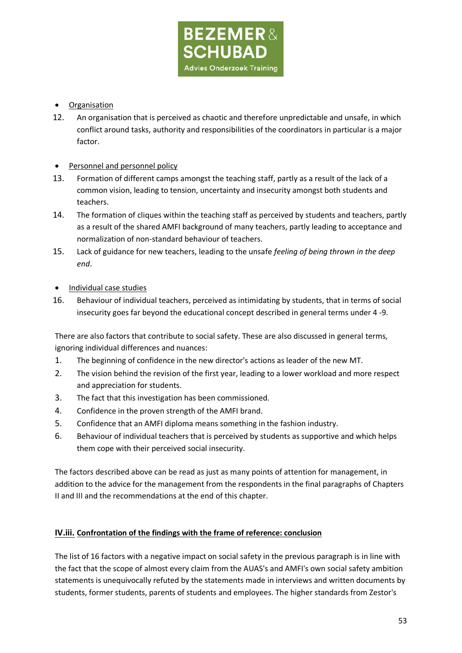

# • Organisation

12. An organisation that is perceived as chaotic and therefore unpredictable and unsafe, in which conflict around tasks, authority and responsibilities of the coordinators in particular is a major factor.

# • Personnel and personnel policy

- 13. Formation of different camps amongst the teaching staff, partly as a result of the lack of a common vision, leading to tension, uncertainty and insecurity amongst both students and teachers.
- 14. The formation of cliques within the teaching staff as perceived by students and teachers, partly as a result of the shared AMFI background of many teachers, partly leading to acceptance and normalization of non-standard behaviour of teachers.
- 15. Lack of guidance for new teachers, leading to the unsafe *feeling of being thrown in the deep end*.
- Individual case studies
- 16. Behaviour of individual teachers, perceived as intimidating by students, that in terms of social insecurity goes far beyond the educational concept described in general terms under 4 -9.

There are also factors that contribute to social safety. These are also discussed in general terms, ignoring individual differences and nuances:

- 1. The beginning of confidence in the new director's actions as leader of the new MT.
- 2. The vision behind the revision of the first year, leading to a lower workload and more respect and appreciation for students.
- 3. The fact that this investigation has been commissioned.
- 4. Confidence in the proven strength of the AMFI brand.
- 5. Confidence that an AMFI diploma means something in the fashion industry.
- 6. Behaviour of individual teachers that is perceived by students as supportive and which helps them cope with their perceived social insecurity.

The factors described above can be read as just as many points of attention for management, in addition to the advice for the management from the respondents in the final paragraphs of Chapters II and III and the recommendations at the end of this chapter.

# **IV.iii. Confrontation of the findings with the frame of reference: conclusion**

The list of 16 factors with a negative impact on social safety in the previous paragraph is in line with the fact that the scope of almost every claim from the AUAS's and AMFI's own social safety ambition statements is unequivocally refuted by the statements made in interviews and written documents by students, former students, parents of students and employees. The higher standards from Zestor's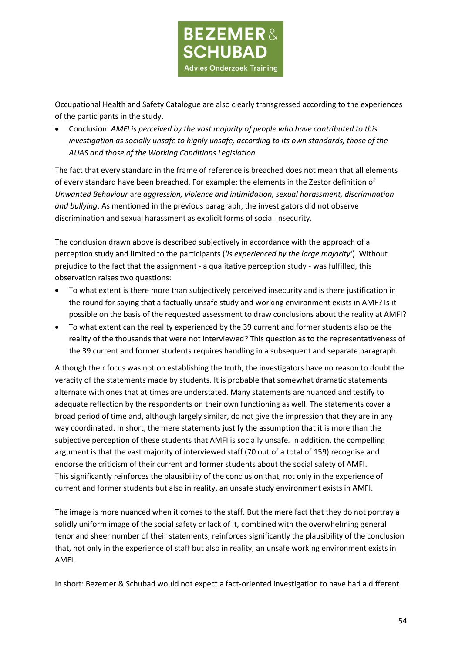

Occupational Health and Safety Catalogue are also clearly transgressed according to the experiences of the participants in the study.

• Conclusion: *AMFI is perceived by the vast majority of people who have contributed to this investigation as socially unsafe to highly unsafe, according to its own standards, those of the AUAS and those of the Working Conditions Legislation.*

The fact that every standard in the frame of reference is breached does not mean that all elements of every standard have been breached. For example: the elements in the Zestor definition of *[Unwanted Behaviour](https://www.arbocatalogushbo.nl/ongewenst-gedrag/%23ongewenst)* are *aggression, violence and intimidation, sexual harassment, discrimination and bullying*. As mentioned in the previous paragraph, the investigators did not observe discrimination and sexual harassment as explicit forms of social insecurity.

The conclusion drawn above is described subjectively in accordance with the approach of a perception study and limited to the participants (*'is experienced by the large majority'*). Without prejudice to the fact that the assignment - a qualitative perception study - was fulfilled, this observation raises two questions:

- To what extent is there more than subjectively perceived insecurity and is there justification in the round for saying that a factually unsafe study and working environment exists in AMF? Is it possible on the basis of the requested assessment to draw conclusions about the reality at AMFI?
- To what extent can the reality experienced by the 39 current and former students also be the reality of the thousands that were not interviewed? This question as to the representativeness of the 39 current and former students requires handling in a subsequent and separate paragraph.

Although their focus was not on establishing the truth, the investigators have no reason to doubt the veracity of the statements made by students. It is probable that somewhat dramatic statements alternate with ones that at times are understated. Many statements are nuanced and testify to adequate reflection by the respondents on their own functioning as well. The statements cover a broad period of time and, although largely similar, do not give the impression that they are in any way coordinated. In short, the mere statements justify the assumption that it is more than the subjective perception of these students that AMFI is socially unsafe. In addition, the compelling argument is that the vast majority of interviewed staff (70 out of a total of 159) recognise and endorse the criticism of their current and former students about the social safety of AMFI. This significantly reinforces the plausibility of the conclusion that, not only in the experience of current and former students but also in reality, an unsafe study environment exists in AMFI.

The image is more nuanced when it comes to the staff. But the mere fact that they do not portray a solidly uniform image of the social safety or lack of it, combined with the overwhelming general tenor and sheer number of their statements, reinforces significantly the plausibility of the conclusion that, not only in the experience of staff but also in reality, an unsafe working environment exists in AMFI.

In short: Bezemer & Schubad would not expect a fact-oriented investigation to have had a different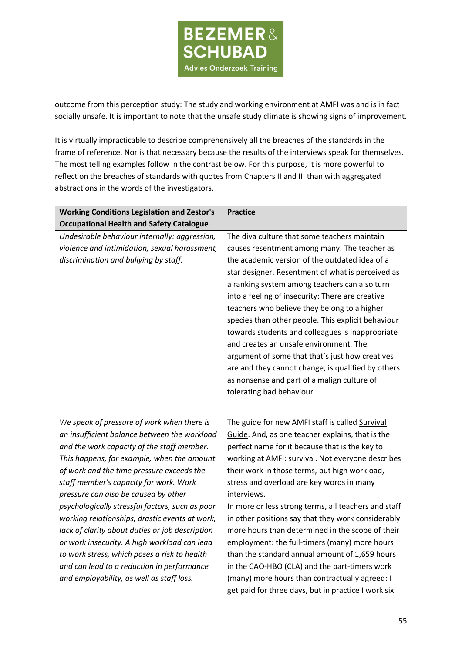

outcome from this perception study: The study and working environment at AMFI was and is in fact socially unsafe. It is important to note that the unsafe study climate is showing signs of improvement.

It is virtually impracticable to describe comprehensively all the breaches of the standards in the frame of reference. Nor is that necessary because the results of the interviews speak for themselves. The most telling examples follow in the contrast below. For this purpose, it is more powerful to reflect on the breaches of standards with quotes from Chapters II and III than with aggregated abstractions in the words of the investigators.

| <b>Working Conditions Legislation and Zestor's</b> | <b>Practice</b>                                      |  |
|----------------------------------------------------|------------------------------------------------------|--|
| <b>Occupational Health and Safety Catalogue</b>    |                                                      |  |
| Undesirable behaviour internally: aggression,      | The diva culture that some teachers maintain         |  |
| violence and intimidation, sexual harassment,      | causes resentment among many. The teacher as         |  |
| discrimination and bullying by staff.              | the academic version of the outdated idea of a       |  |
|                                                    | star designer. Resentment of what is perceived as    |  |
|                                                    | a ranking system among teachers can also turn        |  |
|                                                    | into a feeling of insecurity: There are creative     |  |
|                                                    | teachers who believe they belong to a higher         |  |
|                                                    | species than other people. This explicit behaviour   |  |
|                                                    | towards students and colleagues is inappropriate     |  |
|                                                    | and creates an unsafe environment. The               |  |
|                                                    | argument of some that that's just how creatives      |  |
|                                                    | are and they cannot change, is qualified by others   |  |
|                                                    | as nonsense and part of a malign culture of          |  |
|                                                    | tolerating bad behaviour.                            |  |
|                                                    |                                                      |  |
| We speak of pressure of work when there is         | The guide for new AMFI staff is called Survival      |  |
| an insufficient balance between the workload       | Guide. And, as one teacher explains, that is the     |  |
| and the work capacity of the staff member.         | perfect name for it because that is the key to       |  |
| This happens, for example, when the amount         | working at AMFI: survival. Not everyone describes    |  |
| of work and the time pressure exceeds the          | their work in those terms, but high workload,        |  |
| staff member's capacity for work. Work             | stress and overload are key words in many            |  |
| pressure can also be caused by other               | interviews.                                          |  |
| psychologically stressful factors, such as poor    | In more or less strong terms, all teachers and staff |  |
| working relationships, drastic events at work,     | in other positions say that they work considerably   |  |
| lack of clarity about duties or job description    | more hours than determined in the scope of their     |  |
| or work insecurity. A high workload can lead       | employment: the full-timers (many) more hours        |  |
| to work stress, which poses a risk to health       | than the standard annual amount of 1,659 hours       |  |
| and can lead to a reduction in performance         | in the CAO-HBO (CLA) and the part-timers work        |  |
| and employability, as well as staff loss.          | (many) more hours than contractually agreed: I       |  |
|                                                    | get paid for three days, but in practice I work six. |  |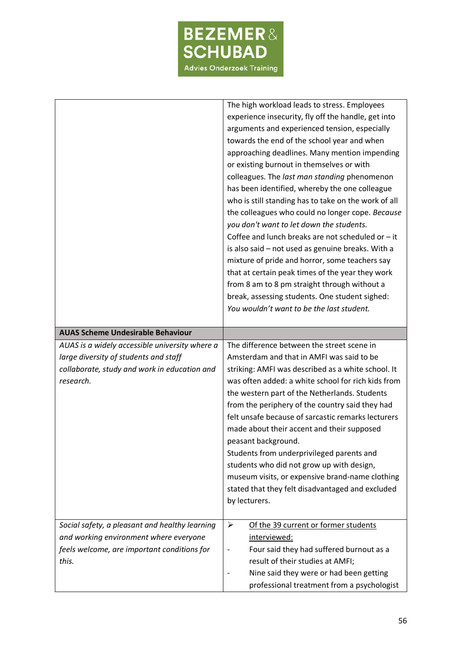

|                                                                                                    | The high workload leads to stress. Employees<br>experience insecurity, fly off the handle, get into<br>arguments and experienced tension, especially<br>towards the end of the school year and when<br>approaching deadlines. Many mention impending<br>or existing burnout in themselves or with<br>colleagues. The last man standing phenomenon<br>has been identified, whereby the one colleague<br>who is still standing has to take on the work of all<br>the colleagues who could no longer cope. Because<br>you don't want to let down the students.<br>Coffee and lunch breaks are not scheduled or $-$ it<br>is also said - not used as genuine breaks. With a<br>mixture of pride and horror, some teachers say<br>that at certain peak times of the year they work<br>from 8 am to 8 pm straight through without a<br>break, assessing students. One student sighed:<br>You wouldn't want to be the last student. |  |
|----------------------------------------------------------------------------------------------------|------------------------------------------------------------------------------------------------------------------------------------------------------------------------------------------------------------------------------------------------------------------------------------------------------------------------------------------------------------------------------------------------------------------------------------------------------------------------------------------------------------------------------------------------------------------------------------------------------------------------------------------------------------------------------------------------------------------------------------------------------------------------------------------------------------------------------------------------------------------------------------------------------------------------------|--|
| <b>AUAS Scheme Undesirable Behaviour</b>                                                           |                                                                                                                                                                                                                                                                                                                                                                                                                                                                                                                                                                                                                                                                                                                                                                                                                                                                                                                              |  |
| AUAS is a widely accessible university where a                                                     |                                                                                                                                                                                                                                                                                                                                                                                                                                                                                                                                                                                                                                                                                                                                                                                                                                                                                                                              |  |
| large diversity of students and staff<br>collaborate, study and work in education and<br>research. | The difference between the street scene in<br>Amsterdam and that in AMFI was said to be<br>striking: AMFI was described as a white school. It<br>was often added: a white school for rich kids from<br>the western part of the Netherlands. Students<br>from the periphery of the country said they had<br>felt unsafe because of sarcastic remarks lecturers<br>made about their accent and their supposed<br>peasant background.<br>Students from underprivileged parents and<br>students who did not grow up with design,<br>museum visits, or expensive brand-name clothing<br>stated that they felt disadvantaged and excluded<br>by lecturers.                                                                                                                                                                                                                                                                         |  |
|                                                                                                    |                                                                                                                                                                                                                                                                                                                                                                                                                                                                                                                                                                                                                                                                                                                                                                                                                                                                                                                              |  |
| Social safety, a pleasant and healthy learning                                                     | ➤<br>Of the 39 current or former students                                                                                                                                                                                                                                                                                                                                                                                                                                                                                                                                                                                                                                                                                                                                                                                                                                                                                    |  |
| and working environment where everyone                                                             | interviewed:                                                                                                                                                                                                                                                                                                                                                                                                                                                                                                                                                                                                                                                                                                                                                                                                                                                                                                                 |  |
| feels welcome, are important conditions for<br>this.                                               | Four said they had suffered burnout as a<br>result of their studies at AMFI;                                                                                                                                                                                                                                                                                                                                                                                                                                                                                                                                                                                                                                                                                                                                                                                                                                                 |  |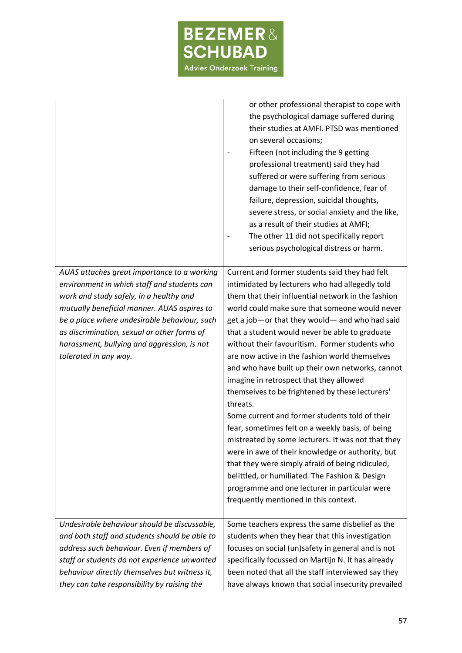

|                                                                                                                                                                                                                                                                                                                                                             | or other professional therapist to cope with<br>the psychological damage suffered during<br>their studies at AMFI. PTSD was mentioned<br>on several occasions;<br>Fifteen (not including the 9 getting<br>professional treatment) said they had<br>suffered or were suffering from serious<br>damage to their self-confidence, fear of<br>failure, depression, suicidal thoughts,<br>severe stress, or social anxiety and the like,<br>as a result of their studies at AMFI;<br>The other 11 did not specifically report<br>serious psychological distress or harm.                                                                                                                                                                                                                                                                                                                                                                                                                             |
|-------------------------------------------------------------------------------------------------------------------------------------------------------------------------------------------------------------------------------------------------------------------------------------------------------------------------------------------------------------|-------------------------------------------------------------------------------------------------------------------------------------------------------------------------------------------------------------------------------------------------------------------------------------------------------------------------------------------------------------------------------------------------------------------------------------------------------------------------------------------------------------------------------------------------------------------------------------------------------------------------------------------------------------------------------------------------------------------------------------------------------------------------------------------------------------------------------------------------------------------------------------------------------------------------------------------------------------------------------------------------|
| AUAS attaches great importance to a working<br>environment in which staff and students can<br>work and study safely, in a healthy and<br>mutually beneficial manner. AUAS aspires to<br>be a place where undesirable behaviour, such<br>as discrimination, sexual or other forms of<br>harassment, bullying and aggression, is not<br>tolerated in any way. | Current and former students said they had felt<br>intimidated by lecturers who had allegedly told<br>them that their influential network in the fashion<br>world could make sure that someone would never<br>get a job-or that they would- and who had said<br>that a student would never be able to graduate<br>without their favouritism. Former students who<br>are now active in the fashion world themselves<br>and who have built up their own networks, cannot<br>imagine in retrospect that they allowed<br>themselves to be frightened by these lecturers'<br>threats.<br>Some current and former students told of their<br>fear, sometimes felt on a weekly basis, of being<br>mistreated by some lecturers. It was not that they<br>were in awe of their knowledge or authority, but<br>that they were simply afraid of being ridiculed,<br>belittled, or humiliated. The Fashion & Design<br>programme and one lecturer in particular were<br>frequently mentioned in this context. |
| Undesirable behaviour should be discussable,                                                                                                                                                                                                                                                                                                                | Some teachers express the same disbelief as the                                                                                                                                                                                                                                                                                                                                                                                                                                                                                                                                                                                                                                                                                                                                                                                                                                                                                                                                                 |
| and both staff and students should be able to                                                                                                                                                                                                                                                                                                               | students when they hear that this investigation                                                                                                                                                                                                                                                                                                                                                                                                                                                                                                                                                                                                                                                                                                                                                                                                                                                                                                                                                 |
| address such behaviour. Even if members of                                                                                                                                                                                                                                                                                                                  | focuses on social (un)safety in general and is not                                                                                                                                                                                                                                                                                                                                                                                                                                                                                                                                                                                                                                                                                                                                                                                                                                                                                                                                              |
| staff or students do not experience unwanted                                                                                                                                                                                                                                                                                                                | specifically focussed on Martijn N. It has already                                                                                                                                                                                                                                                                                                                                                                                                                                                                                                                                                                                                                                                                                                                                                                                                                                                                                                                                              |
| behaviour directly themselves but witness it,                                                                                                                                                                                                                                                                                                               | been noted that all the staff interviewed say they                                                                                                                                                                                                                                                                                                                                                                                                                                                                                                                                                                                                                                                                                                                                                                                                                                                                                                                                              |
| they can take responsibility by raising the                                                                                                                                                                                                                                                                                                                 | have always known that social insecurity prevailed                                                                                                                                                                                                                                                                                                                                                                                                                                                                                                                                                                                                                                                                                                                                                                                                                                                                                                                                              |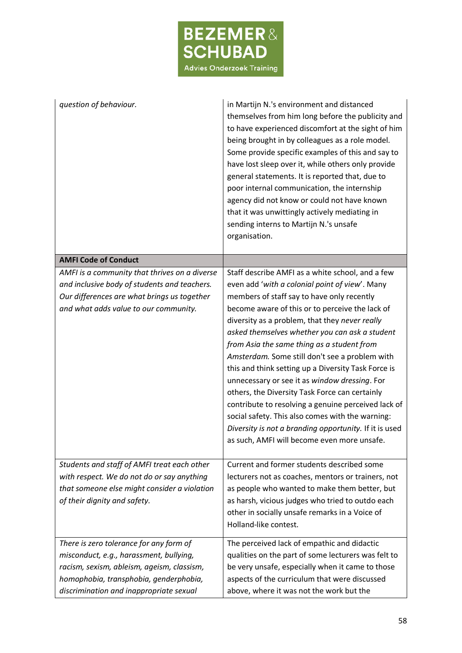

| question of behaviour.                                                                                                                                                                                                | in Martijn N.'s environment and distanced<br>themselves from him long before the publicity and<br>to have experienced discomfort at the sight of him<br>being brought in by colleagues as a role model.<br>Some provide specific examples of this and say to<br>have lost sleep over it, while others only provide<br>general statements. It is reported that, due to<br>poor internal communication, the internship<br>agency did not know or could not have known<br>that it was unwittingly actively mediating in<br>sending interns to Martijn N.'s unsafe<br>organisation.                                                                                                                                                                                                       |
|-----------------------------------------------------------------------------------------------------------------------------------------------------------------------------------------------------------------------|---------------------------------------------------------------------------------------------------------------------------------------------------------------------------------------------------------------------------------------------------------------------------------------------------------------------------------------------------------------------------------------------------------------------------------------------------------------------------------------------------------------------------------------------------------------------------------------------------------------------------------------------------------------------------------------------------------------------------------------------------------------------------------------|
| <b>AMFI Code of Conduct</b>                                                                                                                                                                                           |                                                                                                                                                                                                                                                                                                                                                                                                                                                                                                                                                                                                                                                                                                                                                                                       |
| AMFI is a community that thrives on a diverse<br>and inclusive body of students and teachers.<br>Our differences are what brings us together<br>and what adds value to our community.                                 | Staff describe AMFI as a white school, and a few<br>even add 'with a colonial point of view'. Many<br>members of staff say to have only recently<br>become aware of this or to perceive the lack of<br>diversity as a problem, that they never really<br>asked themselves whether you can ask a student<br>from Asia the same thing as a student from<br>Amsterdam. Some still don't see a problem with<br>this and think setting up a Diversity Task Force is<br>unnecessary or see it as window dressing. For<br>others, the Diversity Task Force can certainly<br>contribute to resolving a genuine perceived lack of<br>social safety. This also comes with the warning:<br>Diversity is not a branding opportunity. If it is used<br>as such, AMFI will become even more unsafe. |
| Students and staff of AMFI treat each other<br>with respect. We do not do or say anything<br>that someone else might consider a violation<br>of their dignity and safety.                                             | Current and former students described some<br>lecturers not as coaches, mentors or trainers, not<br>as people who wanted to make them better, but<br>as harsh, vicious judges who tried to outdo each<br>other in socially unsafe remarks in a Voice of<br>Holland-like contest.                                                                                                                                                                                                                                                                                                                                                                                                                                                                                                      |
| There is zero tolerance for any form of<br>misconduct, e.g., harassment, bullying,<br>racism, sexism, ableism, ageism, classism,<br>homophobia, transphobia, genderphobia,<br>discrimination and inappropriate sexual | The perceived lack of empathic and didactic<br>qualities on the part of some lecturers was felt to<br>be very unsafe, especially when it came to those<br>aspects of the curriculum that were discussed<br>above, where it was not the work but the                                                                                                                                                                                                                                                                                                                                                                                                                                                                                                                                   |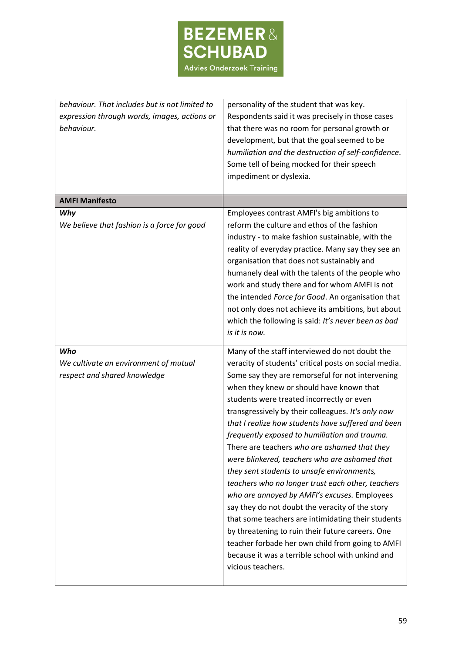

| behaviour. That includes but is not limited to<br>expression through words, images, actions or<br>behaviour. | personality of the student that was key.<br>Respondents said it was precisely in those cases<br>that there was no room for personal growth or<br>development, but that the goal seemed to be<br>humiliation and the destruction of self-confidence.<br>Some tell of being mocked for their speech<br>impediment or dyslexia.                                                                                                                                                                                                                                                                                                                                                                                                                                                                                                                                                                                                                                    |
|--------------------------------------------------------------------------------------------------------------|-----------------------------------------------------------------------------------------------------------------------------------------------------------------------------------------------------------------------------------------------------------------------------------------------------------------------------------------------------------------------------------------------------------------------------------------------------------------------------------------------------------------------------------------------------------------------------------------------------------------------------------------------------------------------------------------------------------------------------------------------------------------------------------------------------------------------------------------------------------------------------------------------------------------------------------------------------------------|
| <b>AMFI Manifesto</b>                                                                                        |                                                                                                                                                                                                                                                                                                                                                                                                                                                                                                                                                                                                                                                                                                                                                                                                                                                                                                                                                                 |
| Why<br>We believe that fashion is a force for good                                                           | Employees contrast AMFI's big ambitions to<br>reform the culture and ethos of the fashion<br>industry - to make fashion sustainable, with the<br>reality of everyday practice. Many say they see an<br>organisation that does not sustainably and<br>humanely deal with the talents of the people who<br>work and study there and for whom AMFI is not<br>the intended Force for Good. An organisation that<br>not only does not achieve its ambitions, but about<br>which the following is said: It's never been as bad<br>is it is now.                                                                                                                                                                                                                                                                                                                                                                                                                       |
| Who<br>We cultivate an environment of mutual<br>respect and shared knowledge                                 | Many of the staff interviewed do not doubt the<br>veracity of students' critical posts on social media.<br>Some say they are remorseful for not intervening<br>when they knew or should have known that<br>students were treated incorrectly or even<br>transgressively by their colleagues. It's only now<br>that I realize how students have suffered and been<br>frequently exposed to humiliation and trauma.<br>There are teachers who are ashamed that they<br>were blinkered, teachers who are ashamed that<br>they sent students to unsafe environments,<br>teachers who no longer trust each other, teachers<br>who are annoyed by AMFI's excuses. Employees<br>say they do not doubt the veracity of the story<br>that some teachers are intimidating their students<br>by threatening to ruin their future careers. One<br>teacher forbade her own child from going to AMFI<br>because it was a terrible school with unkind and<br>vicious teachers. |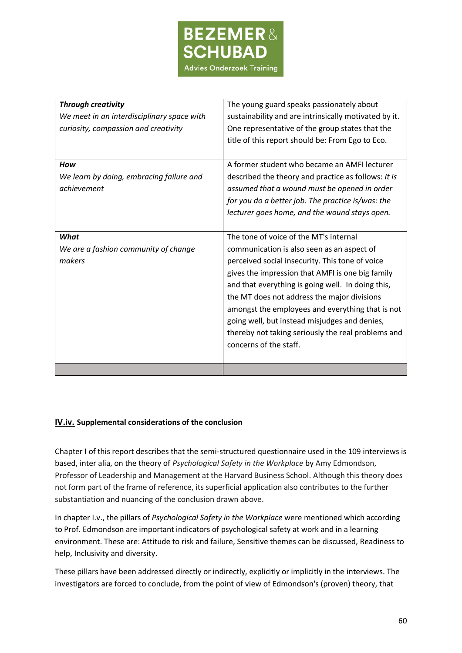

| <b>Through creativity</b><br>We meet in an interdisciplinary space with<br>curiosity, compassion and creativity | The young guard speaks passionately about<br>sustainability and are intrinsically motivated by it.<br>One representative of the group states that the<br>title of this report should be: From Ego to Eco.                                                                                                                                                                                                                                                                            |
|-----------------------------------------------------------------------------------------------------------------|--------------------------------------------------------------------------------------------------------------------------------------------------------------------------------------------------------------------------------------------------------------------------------------------------------------------------------------------------------------------------------------------------------------------------------------------------------------------------------------|
| How<br>We learn by doing, embracing failure and<br>achievement                                                  | A former student who became an AMFI lecturer<br>described the theory and practice as follows: It is<br>assumed that a wound must be opened in order<br>for you do a better job. The practice is/was: the<br>lecturer goes home, and the wound stays open.                                                                                                                                                                                                                            |
| What<br>We are a fashion community of change<br>makers                                                          | The tone of voice of the MT's internal<br>communication is also seen as an aspect of<br>perceived social insecurity. This tone of voice<br>gives the impression that AMFI is one big family<br>and that everything is going well. In doing this,<br>the MT does not address the major divisions<br>amongst the employees and everything that is not<br>going well, but instead misjudges and denies,<br>thereby not taking seriously the real problems and<br>concerns of the staff. |
|                                                                                                                 |                                                                                                                                                                                                                                                                                                                                                                                                                                                                                      |

### **IV.iv. Supplemental considerations of the conclusion**

Chapter I of this report describes that the semi-structured questionnaire used in the 109 interviews is based, inter alia, on the theory of *Psychological Safety in the Workplace* by Amy Edmondson, Professor of Leadership and Management at the Harvard Business School. Although this theory does not form part of the frame of reference, its superficial application also contributes to the further substantiation and nuancing of the conclusion drawn above.

In chapter I.v., the pillars of *Psychological Safety in the Workplace* were mentioned which according to Prof. Edmondson are important indicators of psychological safety at work and in a learning environment. These are: Attitude to risk and failure, Sensitive themes can be discussed, Readiness to help, Inclusivity and diversity.

These pillars have been addressed directly or indirectly, explicitly or implicitly in the interviews. The investigators are forced to conclude, from the point of view of Edmondson's (proven) theory, that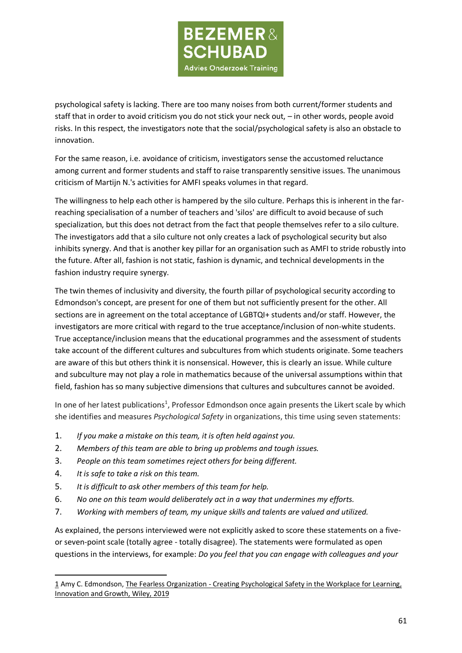

psychological safety is lacking. There are too many noises from both current/former students and staff that in order to avoid criticism you do not stick your neck out, – in other words, people avoid risks. In this respect, the investigators note that the social/psychological safety is also an obstacle to innovation.

For the same reason, i.e. avoidance of criticism, investigators sense the accustomed reluctance among current and former students and staff to raise transparently sensitive issues. The unanimous criticism of Martijn N.'s activities for AMFI speaks volumes in that regard.

The willingness to help each other is hampered by the silo culture. Perhaps this is inherent in the farreaching specialisation of a number of teachers and 'silos' are difficult to avoid because of such specialization, but this does not detract from the fact that people themselves refer to a silo culture. The investigators add that a silo culture not only creates a lack of psychological security but also inhibits synergy. And that is another key pillar for an organisation such as AMFI to stride robustly into the future. After all, fashion is not static, fashion is dynamic, and technical developments in the fashion industry require synergy.

The twin themes of inclusivity and diversity, the fourth pillar of psychological security according to Edmondson's concept, are present for one of them but not sufficiently present for the other. All sections are in agreement on the total acceptance of LGBTQI+ students and/or staff. However, the investigators are more critical with regard to the true acceptance/inclusion of non-white students. True acceptance/inclusion means that the educational programmes and the assessment of students take account of the different cultures and subcultures from which students originate. Some teachers are aware of this but others think it is nonsensical. However, this is clearly an issue. While culture and subculture may not play a role in mathematics because of the universal assumptions within that field, fashion has so many subjective dimensions that cultures and subcultures cannot be avoided.

In one of her latest publications<sup>1</sup>, Professor Edmondson once again presents the Likert scale by which she identifies and measures *Psychological Safety* in organizations, this time using seven statements:

- 1. *If you make a mistake on this team, it is often held against you.*
- 2. *Members of this team are able to bring up problems and tough issues.*
- 3. *People on this team sometimes reject others for being different.*
- 4. *It is safe to take a risk on this team.*
- 5. *It is difficult to ask other members of this team for help.*
- 6. *No one on this team would deliberately act in a way that undermines my efforts.*
- 7. *Working with members of team, my unique skills and talents are valued and utilized.*

As explained, the persons interviewed were not explicitly asked to score these statements on a fiveor seven-point scale (totally agree - totally disagree). The statements were formulated as open questions in the interviews, for example: *Do you feel that you can engage with colleagues and your* 

<sup>1</sup> Amy C. Edmondson, The Fearless Organization - Creating Psychological Safety in the Workplace for Learning, Innovation and Growth, Wiley, 2019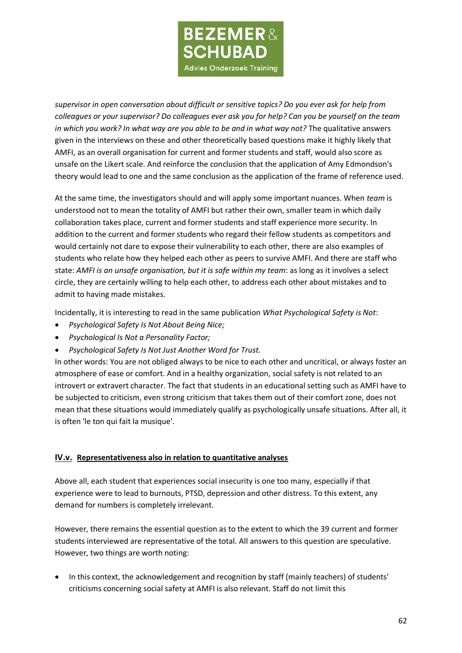

*supervisor in open conversation about difficult or sensitive topics? Do you ever ask for help from colleagues or your supervisor? Do colleagues ever ask you for help? Can you be yourself on the team in which you work? In what way are you able to be and in what way not?* The qualitative answers given in the interviews on these and other theoretically based questions make it highly likely that AMFI, as an overall organisation for current and former students and staff, would also score as unsafe on the Likert scale. And reinforce the conclusion that the application of Amy Edmondson's theory would lead to one and the same conclusion as the application of the frame of reference used.

At the same time, the investigators should and will apply some important nuances. When *team* is understood not to mean the totality of AMFI but rather their own, smaller team in which daily collaboration takes place, current and former students and staff experience more security. In addition to the current and former students who regard their fellow students as competitors and would certainly not dare to expose their vulnerability to each other, there are also examples of students who relate how they helped each other as peers to survive AMFI. And there are staff who state: *AMFI is an unsafe organisation, but it is safe within my team*: as long as it involves a select circle, they are certainly willing to help each other, to address each other about mistakes and to admit to having made mistakes.

Incidentally, it is interesting to read in the same publication *What Psychological Safety is Not*:

- *Psychological Safety Is Not About Being Nice;*
- *Psychological Is Not a Personality Factor;*
- *Psychological Safety Is Not Just Another Word for Trust.*

In other words: You are not obliged always to be nice to each other and uncritical, or always foster an atmosphere of ease or comfort. And in a healthy organization, social safety is not related to an introvert or extravert character. The fact that students in an educational setting such as AMFI have to be subjected to criticism, even strong criticism that takes them out of their comfort zone, does not mean that these situations would immediately qualify as psychologically unsafe situations. After all, it is often 'le ton qui fait la musique'.

### **IV.v. Representativeness also in relation to quantitative analyses**

Above all, each student that experiences social insecurity is one too many, especially if that experience were to lead to burnouts, PTSD, depression and other distress. To this extent, any demand for numbers is completely irrelevant.

However, there remains the essential question as to the extent to which the 39 current and former students interviewed are representative of the total. All answers to this question are speculative. However, two things are worth noting:

• In this context, the acknowledgement and recognition by staff (mainly teachers) of students' criticisms concerning social safety at AMFI is also relevant. Staff do not limit this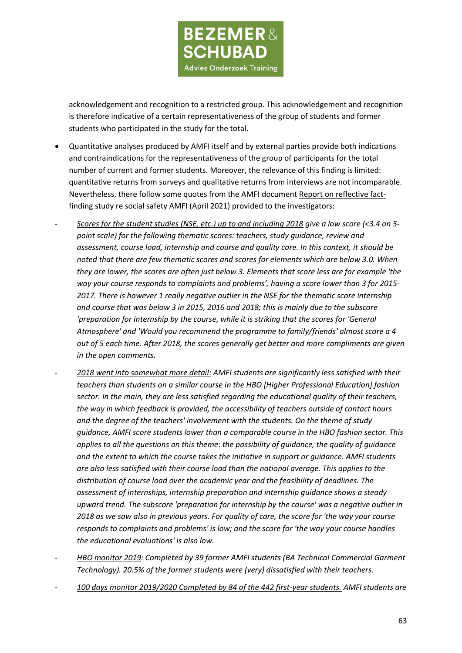

acknowledgement and recognition to a restricted group. This acknowledgement and recognition is therefore indicative of a certain representativeness of the group of students and former students who participated in the study for the total.

- Quantitative analyses produced by AMFI itself and by external parties provide both indications and contraindications for the representativeness of the group of participants for the total number of current and former students. Moreover, the relevance of this finding is limited: quantitative returns from surveys and qualitative returns from interviews are not incomparable. Nevertheless, there follow some quotes from the AMFI document Report on reflective factfinding study re social safety AMFI (April 2021) provided to the investigators:
- *Scores for the student studies (NSE, etc.) up to and including 2018 give a low score (<3.4 on 5 point scale) for the following thematic scores: teachers, study guidance, review and assessment, course load, internship and course and quality care. In this context, it should be noted that there are few thematic scores and scores for elements which are below 3.0. When they are lower, the scores are often just below 3. Elements that score less are for example 'the way your course responds to complaints and problems', having a score lower than 3 for 2015- 2017. There is however 1 really negative outlier in the NSE for the thematic score internship and course that was below 3 in 2015, 2016 and 2018; this is mainly due to the subscore 'preparation for internship by the course, while it is striking that the scores for 'General Atmosphere' and 'Would you recommend the programme to family/friends' almost score a 4 out of 5 each time. After 2018, the scores generally get better and more compliments are given in the open comments.*
- *2018 went into somewhat more detail: AMFI students are significantly less satisfied with their teachers than students on a similar course in the HBO [Higher Professional Education] fashion sector. In the main, they are less satisfied regarding the educational quality of their teachers, the way in which feedback is provided, the accessibility of teachers outside of contact hours and the degree of the teachers' involvement with the students. On the theme of study guidance, AMFI score students lower than a comparable course in the HBO fashion sector. This applies to all the questions on this theme: the possibility of guidance, the quality of guidance and the extent to which the course takes the initiative in support or guidance. AMFI students are also less satisfied with their course load than the national average. This applies to the distribution of course load over the academic year and the feasibility of deadlines. The assessment of internships, internship preparation and internship guidance shows a steady upward trend. The subscore 'preparation for internship by the course' was a negative outlier in 2018 as we saw also in previous years. For quality of care, the score for 'the way your course responds to complaints and problems' is low; and the score for 'the way your course handles the educational evaluations' is also low.*
- *HBO monitor 2019: Completed by 39 former AMFI students (BA Technical Commercial Garment Technology). 20.5% of the former students were (very) dissatisfied with their teachers.*
- *100 days monitor 2019/2020 Completed by 84 of the 442 first-year students. AMFI students are*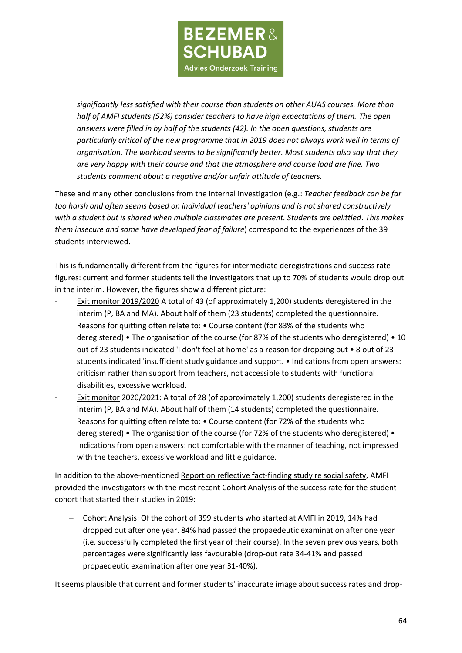

*significantly less satisfied with their course than students on other AUAS courses. More than half of AMFI students (52%) consider teachers to have high expectations of them. The open answers were filled in by half of the students (42). In the open questions, students are particularly critical of the new programme that in 2019 does not always work well in terms of organisation. The workload seems to be significantly better. Most students also say that they are very happy with their course and that the atmosphere and course load are fine. Two students comment about a negative and/or unfair attitude of teachers.*

These and many other conclusions from the internal investigation (e.g.: *Teacher feedback can be far too harsh and often seems based on individual teachers' opinions and is not shared constructively with a student but is shared when multiple classmates are present. Students are belittled. This makes them insecure and some have developed fear of failure*) correspond to the experiences of the 39 students interviewed.

This is fundamentally different from the figures for intermediate deregistrations and success rate figures: current and former students tell the investigators that up to 70% of students would drop out in the interim. However, the figures show a different picture:

- Exit monitor 2019/2020 A total of 43 (of approximately 1,200) students deregistered in the interim (P, BA and MA). About half of them (23 students) completed the questionnaire. Reasons for quitting often relate to: • Course content (for 83% of the students who deregistered) • The organisation of the course (for 87% of the students who deregistered) • 10 out of 23 students indicated 'I don't feel at home' as a reason for dropping out • 8 out of 23 students indicated 'insufficient study guidance and support. • Indications from open answers: criticism rather than support from teachers, not accessible to students with functional disabilities, excessive workload.
- Exit monitor 2020/2021: A total of 28 (of approximately 1,200) students deregistered in the interim (P, BA and MA). About half of them (14 students) completed the questionnaire. Reasons for quitting often relate to: • Course content (for 72% of the students who deregistered) • The organisation of the course (for 72% of the students who deregistered) • Indications from open answers: not comfortable with the manner of teaching, not impressed with the teachers, excessive workload and little guidance.

In addition to the above-mentioned Report on reflective fact-finding study re social safety, AMFI provided the investigators with the most recent Cohort Analysis of the success rate for the student cohort that started their studies in 2019:

− Cohort Analysis: Of the cohort of 399 students who started at AMFI in 2019, 14% had dropped out after one year. 84% had passed the propaedeutic examination after one year (i.e. successfully completed the first year of their course). In the seven previous years, both percentages were significantly less favourable (drop-out rate 34-41% and passed propaedeutic examination after one year 31-40%).

It seems plausible that current and former students' inaccurate image about success rates and drop-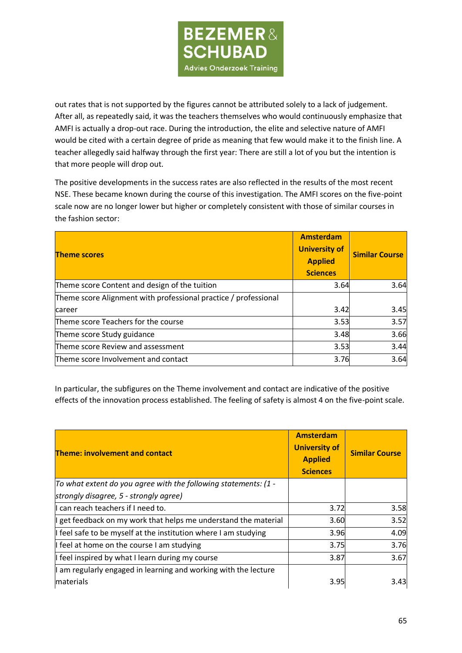

out rates that is not supported by the figures cannot be attributed solely to a lack of judgement. After all, as repeatedly said, it was the teachers themselves who would continuously emphasize that AMFI is actually a drop-out race. During the introduction, the elite and selective nature of AMFI would be cited with a certain degree of pride as meaning that few would make it to the finish line. A teacher allegedly said halfway through the first year: There are still a lot of you but the intention is that more people will drop out.

The positive developments in the success rates are also reflected in the results of the most recent NSE. These became known during the course of this investigation. The AMFI scores on the five-point scale now are no longer lower but higher or completely consistent with those of similar courses in the fashion sector:

| <b>Theme scores</b>                                             | Amsterdam<br><b>University of</b><br><b>Applied</b><br><b>Sciences</b> | <b>Similar Course</b> |
|-----------------------------------------------------------------|------------------------------------------------------------------------|-----------------------|
| Theme score Content and design of the tuition                   | 3.64                                                                   | 3.64                  |
| Theme score Alignment with professional practice / professional |                                                                        |                       |
| career                                                          | 3.42                                                                   | 3.45                  |
| Theme score Teachers for the course                             | 3.53                                                                   | 3.57                  |
| Theme score Study guidance                                      | 3.48                                                                   | 3.66                  |
| Theme score Review and assessment                               | 3.53                                                                   | 3.44                  |
| Theme score Involvement and contact                             | 3.76                                                                   | 3.64                  |

In particular, the subfigures on the Theme involvement and contact are indicative of the positive effects of the innovation process established. The feeling of safety is almost 4 on the five-point scale.

| <b>Theme: involvement and contact</b>                            | <b>Amsterdam</b><br><b>University of</b><br><b>Applied</b><br><b>Sciences</b> | <b>Similar Course</b> |
|------------------------------------------------------------------|-------------------------------------------------------------------------------|-----------------------|
| To what extent do you agree with the following statements: (1 -  |                                                                               |                       |
| strongly disagree, 5 - strongly agree)                           |                                                                               |                       |
| I can reach teachers if I need to.                               | 3.72                                                                          | 3.58                  |
| I get feedback on my work that helps me understand the material  | 3.60                                                                          | 3.52                  |
| If feel safe to be myself at the institution where I am studying | 3.96                                                                          | 4.09                  |
| I feel at home on the course I am studying                       | 3.75                                                                          | 3.76                  |
| If feel inspired by what I learn during my course                | 3.87                                                                          | 3.67                  |
| I am regularly engaged in learning and working with the lecture  |                                                                               |                       |
| <b>Imaterials</b>                                                | 3.95                                                                          | 3.43I                 |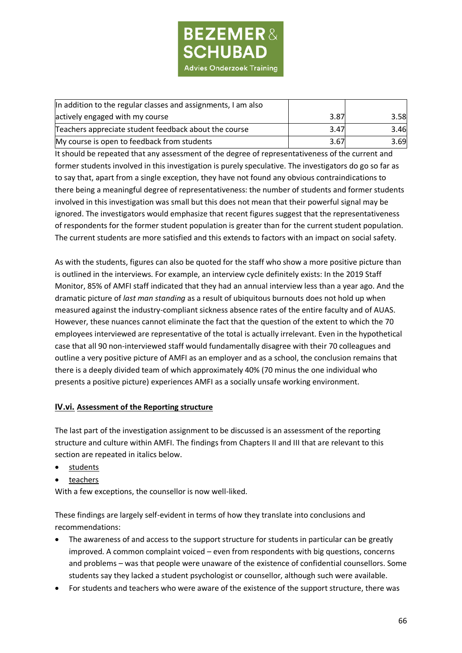

| In addition to the regular classes and assignments, I am also |      |      |
|---------------------------------------------------------------|------|------|
| actively engaged with my course                               | 3.87 | 3.58 |
| Teachers appreciate student feedback about the course         | 3.47 | 3.46 |
| My course is open to feedback from students                   | 3.67 | 3.69 |

It should be repeated that any assessment of the degree of representativeness of the current and former students involved in this investigation is purely speculative. The investigators do go so far as to say that, apart from a single exception, they have not found any obvious contraindications to there being a meaningful degree of representativeness: the number of students and former students involved in this investigation was small but this does not mean that their powerful signal may be ignored. The investigators would emphasize that recent figures suggest that the representativeness of respondents for the former student population is greater than for the current student population. The current students are more satisfied and this extends to factors with an impact on social safety.

As with the students, figures can also be quoted for the staff who show a more positive picture than is outlined in the interviews. For example, an interview cycle definitely exists: In the 2019 Staff Monitor, 85% of AMFI staff indicated that they had an annual interview less than a year ago. And the dramatic picture of *last man standing* as a result of ubiquitous burnouts does not hold up when measured against the industry-compliant sickness absence rates of the entire faculty and of AUAS. However, these nuances cannot eliminate the fact that the question of the extent to which the 70 employees interviewed are representative of the total is actually irrelevant. Even in the hypothetical case that all 90 non-interviewed staff would fundamentally disagree with their 70 colleagues and outline a very positive picture of AMFI as an employer and as a school, the conclusion remains that there is a deeply divided team of which approximately 40% (70 minus the one individual who presents a positive picture) experiences AMFI as a socially unsafe working environment.

### **IV.vi. Assessment of the Reporting structure**

The last part of the investigation assignment to be discussed is an assessment of the reporting structure and culture within AMFI. The findings from Chapters II and III that are relevant to this section are repeated in italics below.

- students
- teachers

With a few exceptions, the counsellor is now well-liked.

These findings are largely self-evident in terms of how they translate into conclusions and recommendations:

- The awareness of and access to the support structure for students in particular can be greatly improved. A common complaint voiced – even from respondents with big questions, concerns and problems – was that people were unaware of the existence of confidential counsellors. Some students say they lacked a student psychologist or counsellor, although such were available.
- For students and teachers who were aware of the existence of the support structure, there was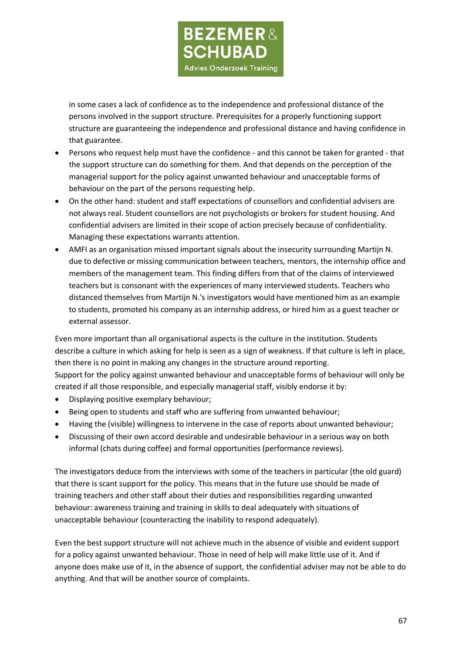**BEZEMER& SCHUBAD Advies Onderzoek Training** 

in some cases a lack of confidence as to the independence and professional distance of the persons involved in the support structure. Prerequisites for a properly functioning support structure are guaranteeing the independence and professional distance and having confidence in that guarantee.

- Persons who request help must have the confidence and this cannot be taken for granted that the support structure can do something for them. And that depends on the perception of the managerial support for the policy against unwanted behaviour and unacceptable forms of behaviour on the part of the persons requesting help.
- On the other hand: student and staff expectations of counsellors and confidential advisers are not always real. Student counsellors are not psychologists or brokers for student housing. And confidential advisers are limited in their scope of action precisely because of confidentiality. Managing these expectations warrants attention.
- AMFI as an organisation missed important signals about the insecurity surrounding Martijn N. due to defective or missing communication between teachers, mentors, the internship office and members of the management team. This finding differs from that of the claims of interviewed teachers but is consonant with the experiences of many interviewed students. Teachers who distanced themselves from Martijn N.'s investigators would have mentioned him as an example to students, promoted his company as an internship address, or hired him as a guest teacher or external assessor.

Even more important than all organisational aspects is the culture in the institution. Students describe a culture in which asking for help is seen as a sign of weakness. If that culture is left in place, then there is no point in making any changes in the structure around reporting. Support for the policy against unwanted behaviour and unacceptable forms of behaviour will only be created if all those responsible, and especially managerial staff, visibly endorse it by:

- Displaying positive exemplary behaviour;
- Being open to students and staff who are suffering from unwanted behaviour;
- Having the (visible) willingness to intervene in the case of reports about unwanted behaviour;
- Discussing of their own accord desirable and undesirable behaviour in a serious way on both informal (chats during coffee) and formal opportunities (performance reviews).

The investigators deduce from the interviews with some of the teachers in particular (the old guard) that there is scant support for the policy. This means that in the future use should be made of training teachers and other staff about their duties and responsibilities regarding unwanted behaviour: awareness training and training in skills to deal adequately with situations of unacceptable behaviour (counteracting the inability to respond adequately).

Even the best support structure will not achieve much in the absence of visible and evident support for a policy against unwanted behaviour. Those in need of help will make little use of it. And if anyone does make use of it, in the absence of support, the confidential adviser may not be able to do anything. And that will be another source of complaints.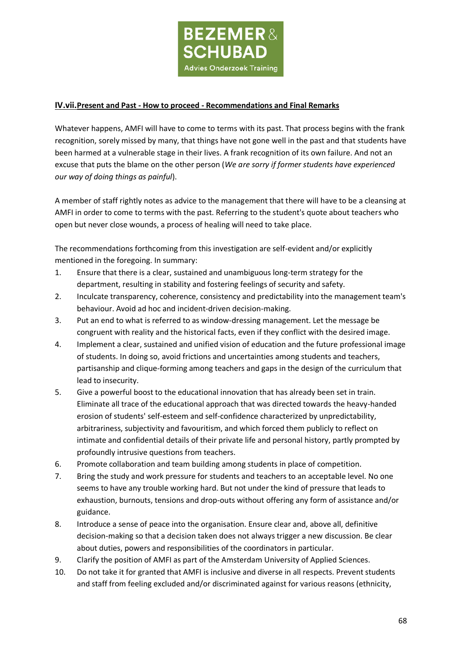

#### **IV.vii.Present and Past - How to proceed - Recommendations and Final Remarks**

Whatever happens, AMFI will have to come to terms with its past. That process begins with the frank recognition, sorely missed by many, that things have not gone well in the past and that students have been harmed at a vulnerable stage in their lives. A frank recognition of its own failure. And not an excuse that puts the blame on the other person (*We are sorry if former students have experienced our way of doing things as painful*).

A member of staff rightly notes as advice to the management that there will have to be a cleansing at AMFI in order to come to terms with the past. Referring to the student's quote about teachers who open but never close wounds, a process of healing will need to take place.

The recommendations forthcoming from this investigation are self-evident and/or explicitly mentioned in the foregoing. In summary:

- 1. Ensure that there is a clear, sustained and unambiguous long-term strategy for the department, resulting in stability and fostering feelings of security and safety.
- 2. Inculcate transparency, coherence, consistency and predictability into the management team's behaviour. Avoid ad hoc and incident-driven decision-making.
- 3. Put an end to what is referred to as window-dressing management. Let the message be congruent with reality and the historical facts, even if they conflict with the desired image.
- 4. Implement a clear, sustained and unified vision of education and the future professional image of students. In doing so, avoid frictions and uncertainties among students and teachers, partisanship and clique-forming among teachers and gaps in the design of the curriculum that lead to insecurity.
- 5. Give a powerful boost to the educational innovation that has already been set in train. Eliminate all trace of the educational approach that was directed towards the heavy-handed erosion of students' self-esteem and self-confidence characterized by unpredictability, arbitrariness, subjectivity and favouritism, and which forced them publicly to reflect on intimate and confidential details of their private life and personal history, partly prompted by profoundly intrusive questions from teachers.
- 6. Promote collaboration and team building among students in place of competition.
- 7. Bring the study and work pressure for students and teachers to an acceptable level. No one seems to have any trouble working hard. But not under the kind of pressure that leads to exhaustion, burnouts, tensions and drop-outs without offering any form of assistance and/or guidance.
- 8. Introduce a sense of peace into the organisation. Ensure clear and, above all, definitive decision-making so that a decision taken does not always trigger a new discussion. Be clear about duties, powers and responsibilities of the coordinators in particular.
- 9. Clarify the position of AMFI as part of the Amsterdam University of Applied Sciences.
- 10. Do not take it for granted that AMFI is inclusive and diverse in all respects. Prevent students and staff from feeling excluded and/or discriminated against for various reasons (ethnicity,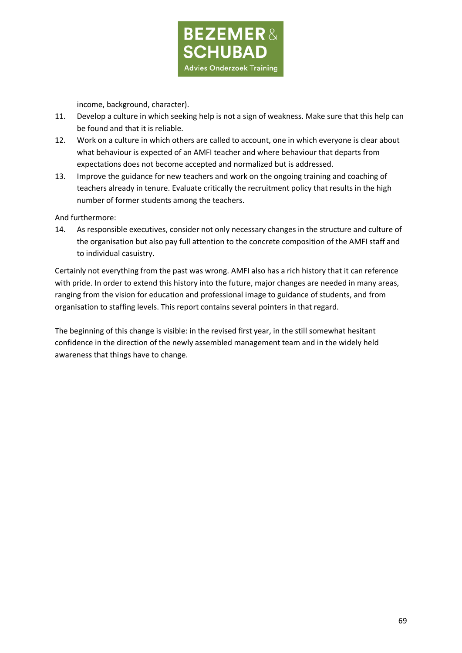

income, background, character).

- 11. Develop a culture in which seeking help is not a sign of weakness. Make sure that this help can be found and that it is reliable.
- 12. Work on a culture in which others are called to account, one in which everyone is clear about what behaviour is expected of an AMFI teacher and where behaviour that departs from expectations does not become accepted and normalized but is addressed.
- 13. Improve the guidance for new teachers and work on the ongoing training and coaching of teachers already in tenure. Evaluate critically the recruitment policy that results in the high number of former students among the teachers.

And furthermore:

14. As responsible executives, consider not only necessary changes in the structure and culture of the organisation but also pay full attention to the concrete composition of the AMFI staff and to individual casuistry.

Certainly not everything from the past was wrong. AMFI also has a rich history that it can reference with pride. In order to extend this history into the future, major changes are needed in many areas, ranging from the vision for education and professional image to guidance of students, and from organisation to staffing levels. This report contains several pointers in that regard.

The beginning of this change is visible: in the revised first year, in the still somewhat hesitant confidence in the direction of the newly assembled management team and in the widely held awareness that things have to change.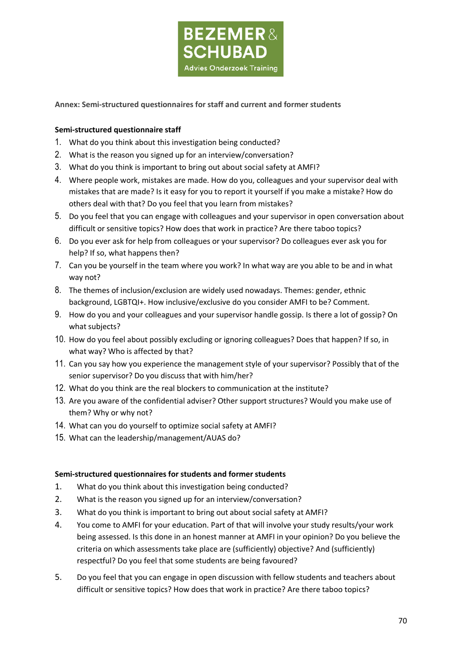

## **Annex: Semi-structured questionnaires for staff and current and former students**

### **Semi-structured questionnaire staff**

- 1. What do you think about this investigation being conducted?
- 2. What is the reason you signed up for an interview/conversation?
- 3. What do you think is important to bring out about social safety at AMFI?
- 4. Where people work, mistakes are made. How do you, colleagues and your supervisor deal with mistakes that are made? Is it easy for you to report it yourself if you make a mistake? How do others deal with that? Do you feel that you learn from mistakes?
- 5. Do you feel that you can engage with colleagues and your supervisor in open conversation about difficult or sensitive topics? How does that work in practice? Are there taboo topics?
- 6. Do you ever ask for help from colleagues or your supervisor? Do colleagues ever ask you for help? If so, what happens then?
- 7. Can you be yourself in the team where you work? In what way are you able to be and in what way not?
- 8. The themes of inclusion/exclusion are widely used nowadays. Themes: gender, ethnic background, LGBTQI+. How inclusive/exclusive do you consider AMFI to be? Comment.
- 9. How do you and your colleagues and your supervisor handle gossip. Is there a lot of gossip? On what subjects?
- 10. How do you feel about possibly excluding or ignoring colleagues? Does that happen? If so, in what way? Who is affected by that?
- 11. Can you say how you experience the management style of your supervisor? Possibly that of the senior supervisor? Do you discuss that with him/her?
- 12. What do you think are the real blockers to communication at the institute?
- 13. Are you aware of the confidential adviser? Other support structures? Would you make use of them? Why or why not?
- 14. What can you do yourself to optimize social safety at AMFI?
- 15. What can the leadership/management/AUAS do?

### **Semi-structured questionnaires for students and former students**

- 1. What do you think about this investigation being conducted?
- 2. What is the reason you signed up for an interview/conversation?
- 3. What do you think is important to bring out about social safety at AMFI?
- 4. You come to AMFI for your education. Part of that will involve your study results/your work being assessed. Is this done in an honest manner at AMFI in your opinion? Do you believe the criteria on which assessments take place are (sufficiently) objective? And (sufficiently) respectful? Do you feel that some students are being favoured?
- 5. Do you feel that you can engage in open discussion with fellow students and teachers about difficult or sensitive topics? How does that work in practice? Are there taboo topics?